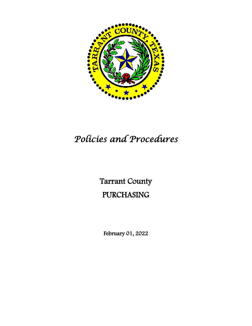

# *Policies and Procedures*

# Tarrant County PURCHASING

February 01, 2022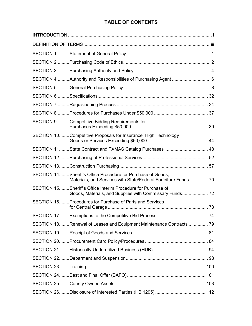# **TABLE OF CONTENTS**

| SECTION 4Authority and Responsibilities of Purchasing Agent  6                                                                 |  |
|--------------------------------------------------------------------------------------------------------------------------------|--|
|                                                                                                                                |  |
|                                                                                                                                |  |
|                                                                                                                                |  |
|                                                                                                                                |  |
| SECTION 9Competitive Bidding Requirements for                                                                                  |  |
| SECTION 10Competitive Proposals for Insurance, High Technology                                                                 |  |
| SECTION 11State Contract and TXMAS Catalog Purchases 48                                                                        |  |
|                                                                                                                                |  |
|                                                                                                                                |  |
| SECTION 14Sheriff's Office Procedure for Purchase of Goods,<br>Materials, and Services with State/Federal Forfeiture Funds  70 |  |
| SECTION 15 Sheriff's Office Interim Procedure for Purchase of                                                                  |  |
| SECTION 16 Procedures for Purchase of Parts and Services                                                                       |  |
|                                                                                                                                |  |
| SECTION 18Renewal of Leases and Equipment Maintenance Contracts  79                                                            |  |
|                                                                                                                                |  |
|                                                                                                                                |  |
|                                                                                                                                |  |
|                                                                                                                                |  |
|                                                                                                                                |  |
|                                                                                                                                |  |
|                                                                                                                                |  |
|                                                                                                                                |  |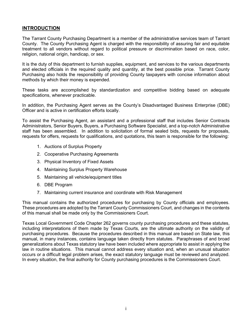## **INTRODUCTION**

The Tarrant County Purchasing Department is a member of the administrative services team of Tarrant County. The County Purchasing Agent is charged with the responsibility of assuring fair and equitable treatment to all vendors without regard to political pressure or discrimination based on race, color, religion, national origin, handicap, or sex.

It is the duty of this department to furnish supplies, equipment, and services to the various departments and elected officials in the required quality and quantity, at the best possible price. Tarrant County Purchasing also holds the responsibility of providing County taxpayers with concise information about methods by which their money is expended.

These tasks are accomplished by standardization and competitive bidding based on adequate specifications, whenever practicable.

In addition, the Purchasing Agent serves as the County's Disadvantaged Business Enterprise (DBE) Officer and is active in certification efforts locally.

To assist the Purchasing Agent, an assistant and a professional staff that includes Senior Contracts Administrators, Senior Buyers, Buyers, a Purchasing Software Specialist, and a top-notch Administrative staff has been assembled. In addition to solicitation of formal sealed bids, requests for proposals, requests for offers, requests for qualifications, and quotations, this team is responsible for the following:

- 1. Auctions of Surplus Property
- 2. Cooperative Purchasing Agreements
- 3. Physical Inventory of Fixed Assets
- 4. Maintaining Surplus Property Warehouse
- 5. Maintaining all vehicle/equipment titles
- 6. DBE Program
- 7. Maintaining current insurance and coordinate with Risk Management

This manual contains the authorized procedures for purchasing by County officials and employees. These procedures are adopted by the Tarrant County Commissioners Court, and changes in the contents of this manual shall be made only by the Commissioners Court.

Texas Local Government Code Chapter 262 governs county purchasing procedures and these statutes, including interpretations of them made by Texas Courts, are the ultimate authority on the validity of purchasing procedures. Because the procedures described in this manual are based on State law, this manual, in many instances, contains language taken directly from statutes. Paraphrases of and broad generalizations about Texas statutory law have been included where appropriate to assist in applying the law in routine situations. This manual cannot address every situation and, when an unusual situation occurs or a difficult legal problem arises, the exact statutory language must be reviewed and analyzed. In every situation, the final authority for County purchasing procedures is the Commissioners Court.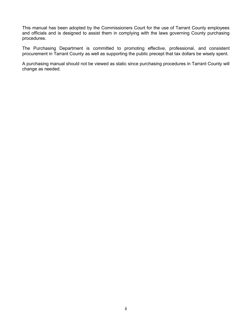This manual has been adopted by the Commissioners Court for the use of Tarrant County employees and officials and is designed to assist them in complying with the laws governing County purchasing procedures.

The Purchasing Department is committed to promoting effective, professional, and consistent procurement in Tarrant County as well as supporting the public precept that tax dollars be wisely spent.

A purchasing manual should not be viewed as static since purchasing procedures in Tarrant County will change as needed.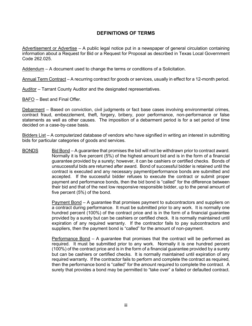## **DEFINITIONS OF TERMS**

Advertisement or Advertise – A public legal notice put in a newspaper of general circulation containing information about a Request for Bid or a Request for Proposal as described in Texas Local Government Code 262.025.

Addendum – A document used to change the terms or conditions of a Solicitation.

Annual Term Contract – A recurring contract for goods or services, usually in effect for a 12-month period.

Auditor – Tarrant County Auditor and the designated representatives.

BAFO – Best and Final Offer.

Debarment – Based on conviction, civil judgments or fact base cases involving environmental crimes, contract fraud, embezzlement, theft, forgery, bribery, poor performance, non-performance or false statements as well as other causes. The imposition of a debarment period is for a set period of time decided on a case-by-case basis.

Bidders List – A computerized database of vendors who have signified in writing an interest in submitting bids for particular categories of goods and services.

BONDS Bid Bond – A guarantee that promises the bid will not be withdrawn prior to contract award. Normally it is five percent (5%) of the highest amount bid and is in the form of a financial guarantee provided by a surety; however, it can be cashiers or certified checks. Bonds of unsuccessful bids are returned after award. Bond of successful bidder is retained until the contract is executed and any necessary payment/performance bonds are submitted and accepted. If the successful bidder refuses to execute the contract or submit proper payment and performance bonds, then the bid bond is "called" for the difference between their bid and that of the next low responsive responsible bidder, up to the penal amount of five percent (5%) of the bond.

> Payment Bond – A guarantee that promises payment to subcontractors and suppliers on a contract during performance. It must be submitted prior to any work. It is normally one hundred percent (100%) of the contract price and is in the form of a financial guarantee provided by a surety but can be cashiers or certified check. It is normally maintained until expiration of any required warranty. If the contractor fails to pay subcontractors and suppliers, then the payment bond is "called" for the amount of non-payment.

> Performance Bond – A guarantee that promises that the contract will be performed as required. It must be submitted prior to any work. Normally it is one hundred percent (100%) of the contract price and is in the form of a financial guarantee provided by a surety but can be cashiers or certified checks. It is normally maintained until expiration of any required warranty. If the contractor fails to perform and complete the contract as required, then the performance bond is "called" for the amount required to complete the contract. A surety that provides a bond may be permitted to "take over" a failed or defaulted contract.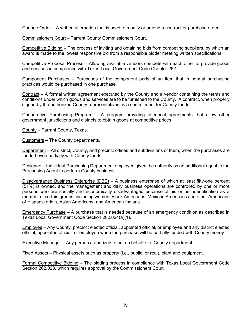Change Order – A written alternation that is used to modify or amend a contract or purchase order.

Commissioners Court – Tarrant County Commissioners Court.

Competitive Bidding – The process of inviting and obtaining bids from competing suppliers, by which an award is made to the lowest responsive bid from a responsible bidder meeting written specifications.

Competitive Proposal Process – Allowing available vendors compete with each other to provide goods and services in compliance with Texas Local Government Code Chapter 262.

Component Purchases – Purchases of the component parts of an item that in normal purchasing practices would be purchased in one purchase.

Contract – A formal written agreement executed by the County and a vendor containing the terms and conditions under which goods and services are to be furnished to the County. A contract, when properly signed by the authorized County representatives, is a commitment for County funds.

Cooperative Purchasing Program – A program providing interlocal agreements that allow other government jurisdictions and districts to obtain goods at competitive prices

County – Tarrant County, Texas.

Customers – The County departments.

Department – All district, County, and precinct offices and subdivisions of them, when the purchases are funded even partially with County funds.

Designee – Individual Purchasing Department employee given the authority as an additional agent to the Purchasing Agent to perform County business.

Disadvantaged Business Enterprise (DBE) – A business enterprise of which at least fifty-one percent (51%) is owned, and the management and daily business operations are controlled by one or more persons who are socially and economically disadvantaged because of his or her identification as a member of certain groups, including women, Black Americans, Mexican Americans and other Americans of Hispanic origin, Asian Americans, and American Indians.

Emergency Purchase – A purchase that is needed because of an emergency condition as described in Texas Local Government Code Section 262.024(a)(1).

Employee – Any County, precinct elected official, appointed official, or employee and any district elected official, appointed official, or employee when the purchase will be partially funded with County money.

Executive Manager – Any person authorized to act on behalf of a County department.

Fixed Assets – Physical assets such as property (i.e., public, or real), plant and equipment.

Formal Competitive Bidding – The bidding process in compliance with Texas Local Government Code Section 262.023, which requires approval by the Commissioners Court.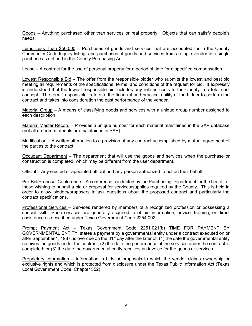Goods – Anything purchased other than services or real property. Objects that can satisfy people's needs.

Items Less Than \$50,000 – Purchases of goods and services that are accounted for in the County Commodity Code Inquiry listing, and purchases of goods and services from a single vendor in a single purchase as defined in the County Purchasing Act.

Lease – A contract for the use of personal property for a period of time for a specified compensation.

Lowest Responsible Bid – The offer from the responsible bidder who submits the lowest and best bid meeting all requirements of the specifications, terms, and conditions of the request for bid. It expressly is understood that the lowest responsible bid includes any related costs to the County in a total cost concept. The term "responsible" refers to the financial and practical ability of the bidder to perform the contract and takes into consideration the past performance of the vendor.

Material Group – A means of classifying goods and services with a unique group number assigned to each description.

Material Master Record – Provides a unique number for each material maintained in the SAP database (not all ordered materials are maintained in SAP).

Modification – A written alternation to a provision of any contract accomplished by mutual agreement of the parties to the contract.

Occupant Department – The department that will use the goods and services when the purchase or construction is completed, which may be different from the user department.

Official – Any elected or appointed official and any person authorized to act on their behalf.

Pre-Bid/Proposal Conference – A conference conducted by the Purchasing Department for the benefit of those wishing to submit a bid or proposal for services/supplies required by the County. This is held in order to allow bidders/proposers to ask questions about the proposed contract and particularly the contract specifications.

Professional Services – Services rendered by members of a recognized profession or possessing a special skill. Such services are generally acquired to obtain information, advice, training, or direct assistance as described under Texas Government Code 2254.002.

Prompt Payment Act – Texas Government Code 2251.021(b) TIME FOR PAYMENT BY GOVERNMENTAL ENTITY, states a payment by a governmental entity under a contract executed on or after September 1, 1987, is overdue on the 31<sup>st</sup> day after the later of: (1) the date the governmental entity receives the goods under the contract; (2) the date the performance of the services under the contract is completed; or (3) the date the governmental entity receives an invoice for the goods or services.

Proprietary Information – Information in bids or proposals to which the vendor claims ownership or exclusive rights and which is protected from disclosure under the Texas Public Information Act (Texas Local Government Code, Chapter 552).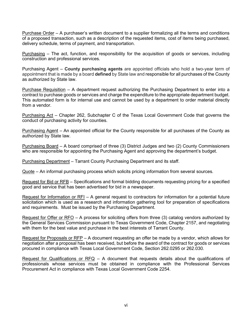Purchase Order – A purchaser's written document to a supplier formalizing all the terms and conditions of a proposed transaction, such as a description of the requested items, cost of items being purchased, delivery schedule, terms of payment, and transportation.

Purchasing – The act, function, and responsibility for the acquisition of goods or services, including construction and professional services.

Purchasing Agent – **County purchasing agents** are appointed officials who hold a two-year term of appointment that is made by a board **defined** by State law and responsible for all purchases of the County as authorized by State law.

Purchase Requisition – A department request authorizing the Purchasing Department to enter into a contract to purchase goods or services and charge the expenditure to the appropriate department budget. This automated form is for internal use and cannot be used by a department to order material directly from a vendor.

Purchasing Act – Chapter 262, Subchapter C of the Texas Local Government Code that governs the conduct of purchasing activity for counties.

Purchasing Agent – An appointed official for the County responsible for all purchases of the County as authorized by State law.

Purchasing Board – A board comprised of three (3) District Judges and two (2) County Commissioners who are responsible for appointing the Purchasing Agent and approving the department's budget.

Purchasing Department – Tarrant County Purchasing Department and its staff.

Quote – An informal purchasing process which solicits pricing information from several sources.

Request for Bid or RFB – Specifications and formal bidding documents requesting pricing for a specified good and service that has been advertised for bid in a newspaper.

Request for Information or RFI – A general request to contractors for information for a potential future solicitation which is used as a research and information gathering tool for preparation of specifications and requirements. Must be issued by the Purchasing Department.

Request for Offer or RFO – A process for soliciting offers from three (3) catalog vendors authorized by the General Services Commission pursuant to Texas Government Code, Chapter 2157, and negotiating with them for the best value and purchase in the best interests of Tarrant County.

Request for Proposals or RFP – A document requesting an offer be made by a vendor, which allows for negotiation after a proposal has been received, but before the award of the contract for goods or services procured in compliance with Texas Local Government Code, Section 262.0295 or 262.030.

Request for Qualifications or RFQ  $-$  A document that requests details about the qualifications of professionals whose services must be obtained in compliance with the Professional Services Procurement Act in compliance with Texas Local Government Code 2254.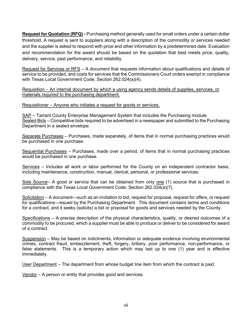**Request for Quotation (RFQ) -** Purchasing method generally used for small orders under a certain dollar threshold. A request is sent to suppliers along with a description of the commodity or services needed and the supplier is asked to respond with price and other information by a predetermined date. Evaluation and recommendation for the award should be based on the quotation that best meets price, quality, delivery, service, past performance, and reliability.

Request for Services or RFS – A document that requests information about qualifications and details of service to be provided, and costs for services that the Commissioners Court orders exempt in compliance with Texas Local Government Code, Section 262.024(a)(4).

Requisition – An internal document by which a using agency sends details of supplies, services, or materials required to the purchasing department.

Requisitioner – Anyone who initiates a request for goods or services.

SAP - Tarrant County Enterprise Management System that includes the Purchasing module. Sealed Bids – Competitive bids required to be advertised in a newspaper and submitted to the Purchasing Department in a sealed envelope.

Separate Purchases – Purchases, made separately, of items that in normal purchasing practices would be purchased in one purchase.

Sequential Purchases - Purchases, made over a period, of items that in normal purchasing practices would be purchased in one purchase.

Services – Includes all work or labor performed for the County on an independent contractor basis, including maintenance, construction, manual, clerical, personal, or professional services.

Sole Source– A good or service that can be obtained from only one (1) source that is purchased in compliance with the Texas Local Government Code, Section 262.024(a)(7).

Solicitation – A document—such as an invitation to bid, request for proposal, request for offers, or request for qualifications—issued by the Purchasing Department. This document contains terms and conditions for a contract, and it seeks (solicits) a bid or proposal for goods and services needed by the County.

Specifications – A precise description of the physical characteristics, quality, or desired outcomes of a commodity to be procured, which a supplier must be able to produce or deliver to be considered for award of a contract.

Suspension – May be based on indictments, information or adequate evidence involving environmental crimes, contract fraud, embezzlement, theft, forgery, bribery, poor performance, non-performance, or false statements. This is a temporary action which may last up to one (1) year and is effective immediately.

User Department – The department from whose budget line item from which the contract is paid.

Vendor – A person or entity that provides good and services.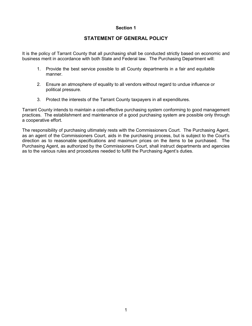## **Section 1**

# **STATEMENT OF GENERAL POLICY**

It is the policy of Tarrant County that all purchasing shall be conducted strictly based on economic and business merit in accordance with both State and Federal law. The Purchasing Department will:

- 1. Provide the best service possible to all County departments in a fair and equitable manner.
- 2. Ensure an atmosphere of equality to all vendors without regard to undue influence or political pressure.
- 3. Protect the interests of the Tarrant County taxpayers in all expenditures.

Tarrant County intends to maintain a cost-effective purchasing system conforming to good management practices. The establishment and maintenance of a good purchasing system are possible only through a cooperative effort.

The responsibility of purchasing ultimately rests with the Commissioners Court. The Purchasing Agent, as an agent of the Commissioners Court, aids in the purchasing process, but is subject to the Court's direction as to reasonable specifications and maximum prices on the items to be purchased. The Purchasing Agent, as authorized by the Commissioners Court, shall instruct departments and agencies as to the various rules and procedures needed to fulfill the Purchasing Agent's duties.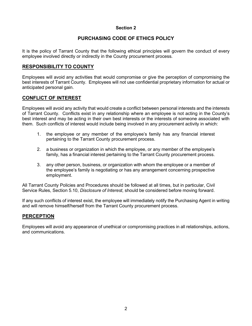# **Section 2**

# **PURCHASING CODE OF ETHICS POLICY**

It is the policy of Tarrant County that the following ethical principles will govern the conduct of every employee involved directly or indirectly in the County procurement process.

# **RESPONSIBILITY TO COUNTY**

Employees will avoid any activities that would compromise or give the perception of compromising the best interests of Tarrant County. Employees will not use confidential proprietary information for actual or anticipated personal gain.

# **CONFLICT OF INTEREST**

Employees will avoid any activity that would create a conflict between personal interests and the interests of Tarrant County. Conflicts exist in any relationship where an employee is not acting in the County's best interest and may be acting in their own best interests or the interests of someone associated with them. Such conflicts of interest would include being involved in any procurement activity in which:

- 1. the employee or any member of the employee's family has any financial interest pertaining to the Tarrant County procurement process.
- 2. a business or organization in which the employee, or any member of the employee's family, has a financial interest pertaining to the Tarrant County procurement process.
- 3. any other person, business, or organization with whom the employee or a member of the employee's family is negotiating or has any arrangement concerning prospective employment.

All Tarrant County Policies and Procedures should be followed at all times, but in particular, Civil Service Rules, Section 5.10, *Disclosure of Interest*, should be considered before moving forward.

If any such conflicts of interest exist, the employee will immediately notify the Purchasing Agent in writing and will remove himself/herself from the Tarrant County procurement process.

## **PERCEPTION**

Employees will avoid any appearance of unethical or compromising practices in all relationships, actions, and communications.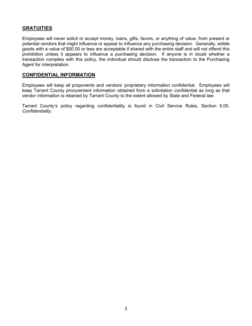# **GRATUITIES**

Employees will never solicit or accept money, loans, gifts, favors, or anything of value, from present or potential vendors that might influence or appear to influence any purchasing decision. Generally, edible goods with a value of \$50.00 or less are acceptable if shared with the entire staff and will not offend this prohibition unless it appears to influence a purchasing decision. If anyone is in doubt whether a transaction complies with this policy, the individual should disclose the transaction to the Purchasing Agent for interpretation.

## **CONFIDENTIAL INFORMATION**

Employees will keep all proponents and vendors' proprietary information confidential. Employees will keep Tarrant County procurement information obtained from a solicitation confidential as long as that vendor information is retained by Tarrant County to the extent allowed by State and Federal law.

Tarrant County's policy regarding confidentiality is found in Civil Service Rules, Section 5.05, *Confidentiality*.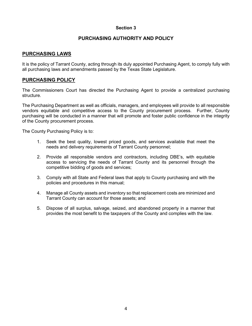## **Section 3**

# **PURCHASING AUTHORITY AND POLICY**

## **PURCHASING LAWS**

It is the policy of Tarrant County, acting through its duly appointed Purchasing Agent, to comply fully with all purchasing laws and amendments passed by the Texas State Legislature.

## **PURCHASING POLICY**

The Commissioners Court has directed the Purchasing Agent to provide a centralized purchasing structure.

The Purchasing Department as well as officials, managers, and employees will provide to all responsible vendors equitable and competitive access to the County procurement process. Further, County purchasing will be conducted in a manner that will promote and foster public confidence in the integrity of the County procurement process.

The County Purchasing Policy is to:

- 1. Seek the best quality, lowest priced goods, and services available that meet the needs and delivery requirements of Tarrant County personnel;
- 2. Provide all responsible vendors and contractors, including DBE's, with equitable access to servicing the needs of Tarrant County and its personnel through the competitive bidding of goods and services;
- 3. Comply with all State and Federal laws that apply to County purchasing and with the policies and procedures in this manual;
- 4. Manage all County assets and inventory so that replacement costs are minimized and Tarrant County can account for those assets; and
- 5. Dispose of all surplus, salvage, seized, and abandoned property in a manner that provides the most benefit to the taxpayers of the County and complies with the law.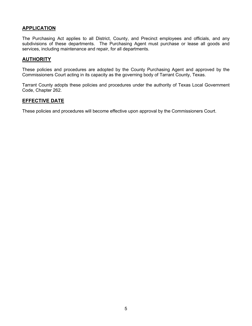# **APPLICATION**

The Purchasing Act applies to all District, County, and Precinct employees and officials, and any subdivisions of these departments. The Purchasing Agent must purchase or lease all goods and services, including maintenance and repair, for all departments.

## **AUTHORITY**

These policies and procedures are adopted by the County Purchasing Agent and approved by the Commissioners Court acting in its capacity as the governing body of Tarrant County, Texas.

Tarrant County adopts these policies and procedures under the authority of Texas Local Government Code, Chapter 262.

## **EFFECTIVE DATE**

These policies and procedures will become effective upon approval by the Commissioners Court.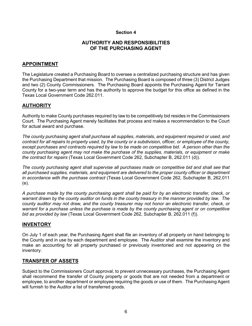## **Section 4**

## **AUTHORITY AND RESPONSIBILITIES OF THE PURCHASING AGENT**

## **APPOINTMENT**

The Legislature created a Purchasing Board to oversee a centralized purchasing structure and has given the Purchasing Department that mission. The Purchasing Board is composed of three (3) District Judges and two (2) County Commissioners. The Purchasing Board appoints the Purchasing Agent for Tarrant County for a two-year term and has the authority to approve the budget for this office as defined in the Texas Local Government Code 262.011.

## **AUTHORITY**

Authority to make County purchases required by law to be competitively bid resides in the Commissioners Court. The Purchasing Agent merely facilitates that process and makes a recommendation to the Court for actual award and purchase.

*The county purchasing agent shall purchase all supplies, materials, and equipment required or used, and contract for all repairs to property used, by the county or a subdivision, officer, or employee of the county, except purchases and contracts required by law to be made on competitive bid. A person other than the county purchasing agent may not make the purchase of the supplies, materials, or equipment or make the contract for repairs* (Texas Local Government Code 262, Subchapter B, 262.011 (d)).

*The county purchasing agent shall supervise all purchases made on competitive bid and shall see that all purchased supplies, materials, and equipment are delivered to the proper county officer or department in accordance with the purchase contract* (Texas Local Government Code 262, Subchapter B, 262.011 (e).

*A purchase made by the county purchasing agent shall be paid for by an electronic transfer, check, or warrant drawn by the county auditor on funds in the county treasury in the manner provided by law. The county auditor may not draw, and the county treasurer may not honor an electronic transfer, check, or warrant for a purchase unless the purchase is made by the county purchasing agent or on competitive bid as provided by law* (Texas Local Government Code 262, Subchapter B, 262.011 (f)).

## **INVENTORY**

On July 1 of each year, the Purchasing Agent shall file an inventory of all property on hand belonging to the County and in use by each department and employee. The Auditor shall examine the inventory and make an accounting for all property purchased or previously inventoried and not appearing on the inventory.

## **TRANSFER OF ASSETS**

Subject to the Commissioners Court approval, to prevent unnecessary purchases, the Purchasing Agent shall recommend the transfer of County property or goods that are not needed from a department or employee, to another department or employee requiring the goods or use of them. The Purchasing Agent will furnish to the Auditor a list of transferred goods.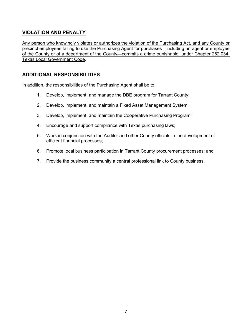# **VIOLATION AND PENALTY**

Any person who knowingly violates or authorizes the violation of the Purchasing Act, and any County or precinct employees failing to use the Purchasing Agent for purchases—including an agent or employee of the County or of a department of the County—commits a crime punishable under Chapter 262.034, Texas Local Government Code.

# **ADDITIONAL RESPONSIBILITIES**

In addition, the responsibilities of the Purchasing Agent shall be to:

- 1. Develop, implement, and manage the DBE program for Tarrant County;
- 2. Develop, implement, and maintain a Fixed Asset Management System;
- 3. Develop, implement, and maintain the Cooperative Purchasing Program;
- 4. Encourage and support compliance with Texas purchasing laws;
- 5. Work in conjunction with the Auditor and other County officials in the development of efficient financial processes;
- 6. Promote local business participation in Tarrant County procurement processes; and
- 7. Provide the business community a central professional link to County business.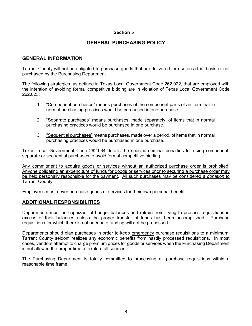## **Section 5**

## **GENERAL PURCHASING POLICY**

## **GENERAL INFORMATION**

Tarrant County will not be obligated to purchase goods that are delivered for use on a trial basis or not purchased by the Purchasing Department.

The following strategies, as defined in Texas Local Government Code 262.022, that are employed with the intention of avoiding formal competitive bidding are in violation of Texas Local Government Code 262.023:

- 1. "Component purchases" means purchases of the component parts of an item that in normal purchasing practices would be purchased in one purchase.
- 2. "Separate purchases" means purchases, made separately, of items that in normal purchasing practices would be purchased in one purchase.
- 3. "Sequential purchases" means purchases, made over a period, of items that in normal purchasing practices would be purchased in one purchase.

Texas Local Government Code 262.034 details the specific criminal penalties for using component, separate or sequential purchases to avoid formal competitive bidding.

Any commitment to acquire goods or services without an authorized purchase order is prohibited. Anyone obligating an expenditure of funds for goods or services prior to securing a purchase order may be held personally responsible for the payment. All such purchases may be considered a *donation* to Tarrant County.

Employees must never purchase goods or services for their own personal benefit.

## **ADDITIONAL RESPONSIBILITIES**

Departments must be cognizant of budget balances and refrain from trying to process requisitions in excess of their balances unless the proper transfer of funds has been accomplished. Purchase requisitions for which there is not adequate funding will not be processed.

Departments should plan purchases in order to keep emergency purchase requisitions to a minimum. Tarrant County seldom realizes any economic benefits from hastily processed requisitions. In most cases, vendors attempt to charge premium prices for goods or services when the Purchasing Department is not allowed the proper time to explore all sources.

The Purchasing Department is totally committed to processing all purchase requisitions within a reasonable time frame.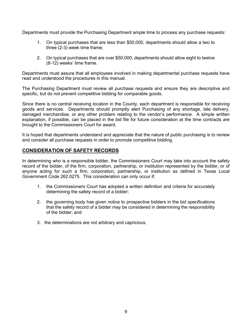Departments must provide the Purchasing Department ample time to process any purchase requests:

- 1. On typical purchases that are less than \$50,000, departments should allow a two to three (2-3) week time frame;
- 2. On typical purchases that are over \$50,000, departments should allow eight to twelve (8-12) weeks' time frame.

Departments must assure that all employees involved in making departmental purchase requests have read and understood the procedures in this manual.

The Purchasing Department must review all purchase requests and ensure they are descriptive and specific, but do not prevent competitive bidding for comparable goods.

Since there is no central receiving location in the County, each department is responsible for receiving goods and services. Departments should promptly alert Purchasing of any shortage, late delivery, damaged merchandise, or any other problem relating to the vendor's performance. A simple written explanation, if possible, can be placed in the bid file for future consideration at the time contracts are brought to the Commissioners Court for award.

It is hoped that departments understand and appreciate that the nature of public purchasing is to review and consider all purchase requests in order to promote competitive bidding.

# **CONSIDERATION OF SAFETY RECORDS**

In determining who is a responsible bidder, the Commissioners Court may take into account the safety record of the bidder, of the firm, corporation, partnership, or institution represented by the bidder, or of anyone acting for such a firm, corporation, partnership, or institution as defined in Texas Local Government Code 262.0275. This consideration can only occur if:

- 1. the Commissioners Court has adopted a written definition and criteria for accurately determining the safety record of a bidder;
- 2. the governing body has given notice to prospective bidders in the bid specifications that the safety record of a bidder may be considered in determining the responsibility of the bidder; and
- 3. the determinations are not arbitrary and capricious.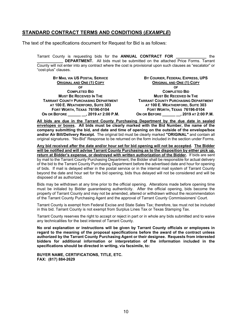## **STANDARD CONTRACT TERMS AND CONDITIONS (***EXAMPLE***)**

The text of the specifications document for Request for Bid is as follows:

Tarrant County is requesting bids for the **ANNUAL CONTRACT FOR \_\_\_\_\_\_\_\_\_\_\_\_\_\_** the **DEPARTMENT.** All bids must be submitted on the attached Price Forms. Tarrant County will not enter into any contract where the cost is provisional upon such clauses as "escalator" or "cost-plus" clauses.

| BY MAIL VIA US POSTAL SERVICE               | BY COURIER, FEDERAL EXPRESS, UPS            |  |
|---------------------------------------------|---------------------------------------------|--|
| <b>ORIGINAL AND ONE (1) COPY</b>            | <b>ORIGINAL AND ONE (1) COPY</b>            |  |
| ΟF                                          | ΟF                                          |  |
| <b>COMPLETED BID</b>                        | <b>COMPLETED BID</b>                        |  |
| <b>MUST BE RECEIVED IN THE</b>              | <b>MUST BE RECEIVED IN THE</b>              |  |
| <b>TARRANT COUNTY PURCHASING DEPARTMENT</b> | <b>TARRANT COUNTY PURCHASING DEPARTMENT</b> |  |
| AT 100 E. WEATHERFORD, SUITE 303            | AT 100 E. WEATHERFORD, SUITE 303            |  |
| FORT WORTH, TEXAS 76196-0104                | FORT WORTH, TEXAS 76196-0104                |  |
| ON OR BEFORE , 2019 AT 2:00 P.M.            | ON OR BEFORE , 2019 AT 2:00 P.M.            |  |

**All bids are due in the Tarrant County Purchasing Department by the due date in sealed envelopes or boxes. All bids must be clearly marked with the Bid Number, the name of the company submitting the bid, and date and time of opening on the outside of the envelope/box and/or Air Bill/Delivery Receipt.** The original bid must be clearly marked **"ORIGINAL"** and contain all original signatures. "No-Bid" Response to be returned on the form included in the section under Forms.

**Any bid received after the date and/or hour set for bid opening will not be accepted. The Bidder will be notified and will advise Tarrant County Purchasing as to the disposition by either pick up, return at Bidder's expense, or destroyed with written authorization of the Bidder.** If bids are sent by mail to the Tarrant County Purchasing Department, the Bidder shall be responsible for actual delivery of the bid to the Tarrant County Purchasing Department before the advertised date and hour for opening of bids. If mail is delayed either in the postal service or in the internal mail system of Tarrant County beyond the date and hour set for the bid opening, bids thus delayed will not be considered and will be disposed of as authorized.

Bids may be withdrawn at any time prior to the official opening. Alterations made before opening time must be initialed by Bidder guaranteeing authenticity. After the official opening, bids become the property of Tarrant County and may not be amended, altered or withdrawn without the recommendation of the Tarrant County Purchasing Agent and the approval of Tarrant County Commissioners' Court.

Tarrant County is exempt from Federal Excise and State Sales Tax; therefore, tax must not be included in this bid. Tarrant County is not exempt from Surplus Lines Tax or Texas Stamping Tax.

Tarrant County reserves the right to accept or reject in part or in whole any bids submitted and to waive any technicalities for the best interest of Tarrant County.

**No oral explanation or instructions will be given by Tarrant County officials or employees in regard to the meaning of the proposal specifications before the award of the contract unless authorized by the Tarrant County Purchasing Agent or their designee. Requests from interested bidders for additional information or interpretation of the information included in the specifications should be directed in writing, via facsimile, to:**

**BUYER NAME, CERTIFICATIONS, TITLE, ETC. FAX: (817) 884-2629**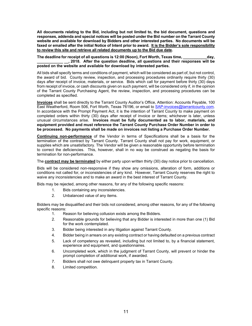**All documents relating to the Bid, including but not limited to, the bid document, questions and responses, addenda and special notices will be posted under the Bid number on the Tarrant County website and available for download by Bidders and other interested parties. No documents will be faxed or emailed after the initial Notice of Intent prior to award. It is the Bidder's sole responsibility to review this site and retrieve all related documents up to the Bid due date.**

The deadline for receipt of all questions is 12:00 (Noon), Fort Worth, Texas time, **which allow**, **\_\_\_\_\_\_\_\_\_\_\_\_ \_\_, 2018. After the question deadline, all questions and their responses will be posted on the website and available for download by interested parties.**

All bids shall specify terms and conditions of payment, which will be considered as part of, but not control, the award of bid. County review, inspection, and processing procedures ordinarily require thirty (30) days after receipt of invoice, materials, or service. Bids which call for payment before thirty (30) days from receipt of invoice, or cash discounts given on such payment, will be considered only if, in the opinion of the Tarrant County Purchasing Agent, the review, inspection, and processing procedures can be completed as specified.

**Invoices** shall be sent directly to the Tarrant County Auditor's Office, Attention: Accounts Payable, 100 East Weatherford, Room 506, Fort Worth, Texas 76196, or email to [SAP-invoices@tarrantcounty.com.](mailto:SAPinvoices@tarrantcounty.com) In accordance with the Prompt Payment Act, it is the intention of Tarrant County to make payment on completed orders within thirty (30) days after receipt of invoice or items; whichever is later, unless unusual circumstances arise. **Invoices must be fully documented as to labor, materials, and equipment provided and must reference the Tarrant County Purchase Order Number in order to be processed. No payments shall be made on invoices not listing a Purchase Order Number.**

**Continuing non-performance** of the Vendor in terms of Specifications shall be a basis for the termination of the contract by Tarrant County. Tarrant County shall not pay for work, equipment, or supplies which are unsatisfactory. The Vendor will be given a reasonable opportunity before termination to correct the deficiencies. This, however, shall in no way be construed as negating the basis for termination for non-performance.

The **contract may be terminated** by either party upon written thirty (30) day notice prior to cancellation.

Bids will be considered non-responsive if they show any omissions, alteration of form, additions or conditions not called for, or inconsistencies of any kind. However, Tarrant County reserves the right to waive any inconsistencies and to make an award in the best interest of Tarrant County.

Bids may be rejected, among other reasons, for any of the following specific reasons:

- 1. Bids containing any inconsistencies.
- 2. Unbalanced value of any items.

Bidders may be disqualified and their bids not considered, among other reasons, for any of the following specific reasons:

- 1. Reason for believing collusion exists among the Bidders.
- 2. Reasonable grounds for believing that any Bidder is interested in more than one (1) Bid for the work contemplated.
- 3. Bidder being interested in any litigation against Tarrant County.
- 4. Bidder being in arrears on any existing contract or having defaulted on a previous contract
- 5. Lack of competency as revealed, including but not limited to, by a financial statement, experience and equipment, and questionnaires.
- 6. Uncompleted work, which in the judgment of Tarrant County, will prevent or hinder the prompt completion of additional work, if awarded.
- 7. Bidders shall not owe delinquent property tax in Tarrant County.
- 8. Limited competition.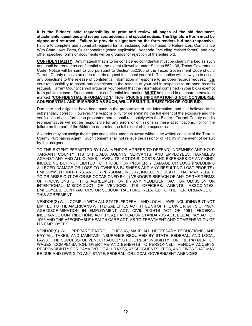**It is the Bidders' sole responsibility to print and review all pages of the bid document, attachments, questions and responses, addenda and special notices. The Signature Form must be signed and returned. Failure to provide a signature on the form renders bid non-responsive.** Failure to complete and submit all required forms, including but not limited to References, Compliance With State Laws Form, Questionnaires (when applicable), Addenda (including revised forms), and any other specified forms or documents will be grounds for rejection of the entire bid.

**CONFIDENTIALITY:** Any material that is to be considered confidential must be clearly marked as such and shall be treated as confidential to the extent allowable under Section 552.136, Texas Government Code. Notice will be sent to you pursuant to Section 552.305 of the Texas Government Code should Tarrant County receive an open records request to inspect your bid. This notice will allow you to assert any objections to the release of confidential information in response to an open records request. It is your responsibility to assert any objections to the release of your bid in response to an open records request. Tarrant County cannot argue on your behalf that the information contained in your bid is exempt from public release. Trade secrets or confidential information **MUST** be placed in a separate envelope marked "**CONFIDENTIAL INFORMATION.**" Note: **PRICING INFORMATION IS NOT CONSIDERED CONFIDENTIAL AND IF MARKED AS SUCH, WILL RESULT IN REJECTION OF YOUR BID.**

Due care and diligence have been used in the preparation of this information, and it is believed to be substantially correct. However, the responsibility for determining the full extent of the exposure and the verification of all information presented herein shall rest solely with the Bidder. Tarrant County and its representatives will not be responsible for any errors or omissions in these specifications, nor for the failure on the part of the Bidder to determine the full extent of the exposures.

A vendor may not assign their rights and duties under an award without the written consent of the Tarrant County Purchasing Agent. Such consent shall not relieve the assignor of liability in the event of default by the assignee.

TO THE EXTENT PERMITTED BY LAW, VENDOR AGREES TO DEFEND, INDEMNIFY AND HOLD TARRANT COUNTY, ITS OFFICIALS, AGENTS, SERVANTS, AND EMPLOYEES, HARMLESS AGAINST ANY AND ALL CLAIMS, LAWSUITS, ACTIONS, COSTS AND EXPENSES OF ANY KIND, INCLUDING BUT NOT LIMITED TO, THOSE FOR PROPERTY DAMAGE OR LOSS (INCLUDING ALLEGED DAMAGE OR LOSS TO OWNER'S BUSINESS AND ANY RESULTING LOST PROFITS), EMPLOYMENT MATTERS, AND/OR PERSONAL INJURY, INCLUDING DEATH, THAT MAY RELATE TO OR ARISE OUT OF OR BE OCCASIONED BY (I) VENDOR'S BREACH OF ANY OF THE TERMS OF PROVISIONS OF THIS AGREEMENT OR (II) ANY NEGLIGENT ACT OR OMISSION OR INTENTIONAL MISCONDUCT OF VENDORS, ITS OFFICERS, AGENTS, ASSOCIATES, EMPLOYEES, CONTRACTORS OR SUBCONTRACTORS, RELATED TO THE PERFORMANCE OF THIS AGREEMENT.

VENDOR(S) WILL COMPLY WITH ALL STATE, FEDERAL, AND LOCAL LAWS INCLUDING BUT NOT LIMITED TO THE AMERICANS WITH DISABILITIES ACT, TITLE VII OF THE CIVIL RIGHTS OF 1964, AGE DISCRIMINATION IN EMPLOYMENT ACT, CIVIL RIGHTS ACT OF 1991, FEDERAL INSURANCE CONTRIBUTIONS ACT (FICA), FAIR LABOR STANDARDS ACT, EQUAL PAY ACT OF 1963 AND THE AFFORDABLE HEALTH CARE ACT, AS TO TREATMENT AND COMPENSATION OF ITS EMPLOYEES.

VENDOR(S) WILL PREPARE PAYROLL CHECKS, MAKE ALL NECESSARY DEDUCTIONS, AND PAY ALL TAXES, AND MAINTAIN INSURANCE REQUIRED BY STATE, FEDERAL, AND LOCAL LAWS. THE SUCCESSFUL VENDOR ACCEPTS FULL RESPONSIBILITY FOR THE PAYMENT OF WAGES, COMPENSATION, OVERTIME AND BENEFITS TO PERSONNEL. VENDOR ACCEPTS RESPONSIBILITY FOR PAYMENT OF ALL TAXES, ASSESSMENTS, FEES, AND FINES THAT MAY BE DUE AND OWING TO ANY STATE, FEDERAL, OR LOCAL GOVERNMENT AGENCIES.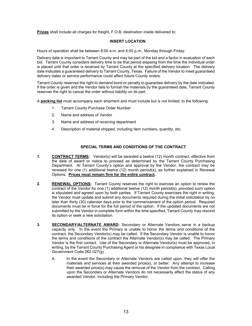**Prices** shall include all charges for freight, F.O.B. destination inside delivered to:

#### **INSERT LOCATION**

Hours of operation shall be between 8:00 a.m. and 4:00 p.m., Monday through Friday.

Delivery date is important to Tarrant County and may be part of the bid and a factor in evaluation of each bid. Tarrant County considers delivery time to be that period elapsing from the time the individual order is placed until that order is received by Tarrant County at the specified delivery location. The delivery date indicates a guaranteed delivery to Tarrant County, Texas. Failure of the Vendor to meet guaranteed delivery dates or service performance could affect future County orders.

Tarrant County reserves the right to demand bond or penalty to guarantee delivery by the date indicated. If the order is given and the Vendor fails to furnish the materials by the guaranteed date, Tarrant County reserves the right to cancel the order without liability on its part.

A **packing list** must accompany each shipment and must include but is not limited, to the following:

- 1. Tarrant County Purchase Order Number
- 2. Name and address of Vendor
- 3. Name and address of receiving department
- 4. Description of material shipped, including item numbers, quantity, etc.

## **SPECIAL TERMS AND CONDITIONS OF THE CONTRACT**

- **1. CONTRACT TERMS:** Vendor(s) will be awarded a twelve (12) month contract, effective from the date of award or notice to proceed as determined by the Tarrant County Purchasing Department. At Tarrant County's option and approval by the Vendor, the contract may be renewed for one (1) additional twelve (12) month period(s), as further explained in Renewal Options. **Prices must remain firm for the entire contract.**
- **2. RENEWAL OPTIONS:** Tarrant County reserves the right to exercise an option to renew the contract of the Vendor for one (1) additional twelve (12) month period(s), provided such option is stipulated and agreed upon by both parties. If Tarrant County exercises the right in writing, the Vendor must update and submit any documents required during the initial solicitation by no later than thirty (30) calendar days prior to the commencement of the option period. Required documents must be in force for the full period of the option. If the updated documents are not submitted by the Vendor in complete form within the time specified, Tarrant County may rescind its option or seek a new solicitation.
- **3. SECONDARY/ALTERNATE AWARD:** Secondary or Alternate Vendors serve in a backup capacity only. In the event the Primary is unable to honor the terms and conditions of the contract, the Secondary Vendor(s) may be called. If the Secondary Vendor is unable to honor the terms and conditions of the contract the Alternate Vendor(s) may be called. The Primary Vendor is the first contact. Use of the Secondary or Alternate Vendor(s) must be approved, in writing, by the Tarrant County Purchasing Agent or his designee in compliance with Texas Local Government Code 262.027(g) .
	- A. In the event the Secondary or Alternate Vendors are called upon, they will offer the materials and services at their awarded price(s), or better. Any attempt to increase their awarded price(s) may cause the removal of the Vendor from the contract. Calling upon the Secondary or Alternate Vendors do not necessarily affect the status of any awarded Vendor, including the Primary Vendor.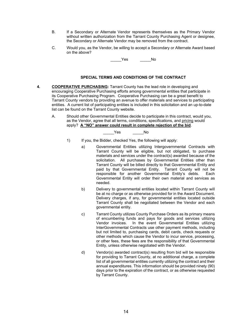- B. If a Secondary or Alternate Vendor represents themselves as the Primary Vendor without written authorization from the Tarrant County Purchasing Agent or designee, the Secondary or Alternate Vendor may be removed from the contract.
- C. Would you, as the Vendor, be willing to accept a Secondary or Alternate Award based on the above?

Yes No

#### **SPECIAL TERMS AND CONDITIONS OF THE CONTRACT**

- **4. COOPERATIVE PURCHASING:** Tarrant County has the lead role in developing and encouraging Cooperative Purchasing efforts among governmental entities that participate in its Cooperative Purchasing Program. Cooperative Purchasing can be a great benefit to Tarrant County vendors by providing an avenue to offer materials and services to participating entities. A current list of participating entities is included in this solicitation and an up-to-date list can be found on the Tarrant County website.
	- A. Should other Governmental Entities decide to participate in this contract, would you, as the Vendor, agree that all terms, conditions, specifications, and pricing would apply? **A "NO" answer could result in complete rejection of the bid**.

Yes No

- 1) If you, the Bidder, checked Yes, the following will apply:
	- a) Governmental Entities utilizing Intergovernmental Contracts with Tarrant County will be eligible, but not obligated, to purchase materials and services under the contract(s) awarded because of the solicitation. All purchases by Governmental Entities other than Tarrant County will be billed directly to that Governmental Entity and paid by that Governmental Entity. Tarrant County will not be responsible for another Governmental Entity's debts. Each Governmental Entity will order their own material and services as needed.
	- b) Delivery to governmental entities located within Tarrant County will be at no charge or as otherwise provided for in the Award Document. Delivery charges, if any, for governmental entities located outside Tarrant County shall be negotiated between the Vendor and each governmental entity.
	- c) Tarrant County utilizes County Purchase Orders as its primary means of encumbering funds and pays for goods and services utilizing Vendor invoices. In the event Governmental Entities utilizing InterGovernmental Contracts use other payment methods, including but not limited to, purchasing cards, debit cards, check requests or other methods which cause the Vendor to incur service, processing, or other fees, these fees are the responsibility of that Governmental Entity, unless otherwise negotiated with the Vendor.
	- d) Vendor(s) awarded contract(s) resulting from bid will be responsible for providing to Tarrant County, at no additional charge, a complete list of all governmental entities currently utilizing the contract and their annual expenditures. This information should be provided ninety (90) days prior to the expiration of the contract, or as otherwise requested by Tarrant County.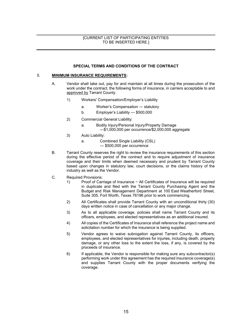## [CURRENT LIST OF PARTICIPATING ENTITIES TO BE INSERTED HERE.]

### **SPECIAL TERMS AND CONDITIONS OF THE CONTRACT**

#### 5. **MINIMUM INSURANCE REQUIREMENTS:**

- A. Vendor shall take out, pay for and maintain at all times during the prosecution of the work under the contract, the following forms of insurance, in carriers acceptable to and approved by Tarrant County.
	- 1) Workers' Compensation/Employer's Liability
		- a. Worker's Compensation statutory
		- b. Employer's Liability \$500,000
	- 2) Commercial General Liability:
		- a. Bodily Injury/Personal Injury/Property Damage —\$1,000,000 per occurrence/\$2,000,000 aggregate
	- 3) Auto Liability:
		- a. Combined Single Liability (CSL)
			- \$500,000 per occurrence
- B. Tarrant County reserves the right to review the insurance requirements of this section during the effective period of the contract and to require adjustment of insurance coverage and their limits when deemed necessary and prudent by Tarrant County based upon changes in statutory law, court decisions, or the claims history of the industry as well as the Vendor.
- C. Required Provisions:
	- 1) Proof of Carriage of Insurance − All Certificates of Insurance will be required in duplicate and filed with the Tarrant County Purchasing Agent and the Budget and Risk Management Department at 100 East Weatherford Street, Suite 305, Fort Worth, Texas 76196 prior to work commencing.
	- 2) All Certificates shall provide Tarrant County with an unconditional thirty (30) days written notice in case of cancellation or any major change.
	- 3) As to all applicable coverage, policies shall name Tarrant County and its officers, employees, and elected representatives as an additional insured.
	- 4) All copies of the Certificates of Insurance shall reference the project name and solicitation number for which the insurance is being supplied.
	- 5) Vendor agrees to waive subrogation against Tarrant County, its officers, employees, and elected representatives for injuries, including death, property damage, or any other loss to the extent the loss, if any, is covered by the proceeds of insurance.
	- 6) If applicable, the Vendor is responsible for making sure any subcontractor(s) performing work under this agreement has the required insurance coverage(s) and supplies Tarrant County with the proper documents verifying the coverage.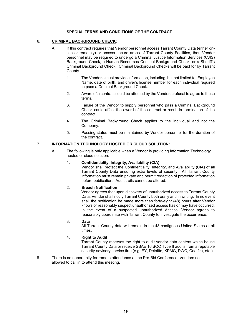## **SPECIAL TERMS AND CONDITIONS OF THE CONTRACT**

## 6. **CRIMINAL BACKGROUND CHECK:**

- A. If this contract requires that Vendor personnel access Tarrant County Data (either onsite or remotely) or access secure areas of Tarrant County Facilities, then Vendor personnel may be required to undergo a Criminal Justice Information Services (CJIS) Background Check, a Human Resources Criminal Background Check, or a Sheriff's Criminal Background Check. Criminal Background Checks will be paid for by Tarrant County.
	- 1. The Vendor's must provide information, including, but not limited to, Employee Name, date of birth, and driver's license number for each individual required to pass a Criminal Background Check.
	- 2. Award of a contract could be affected by the Vendor's refusal to agree to these terms.
	- 3. Failure of the Vendor to supply personnel who pass a Criminal Background Check could affect the award of the contract or result in termination of the contract.
	- 4. The Criminal Background Check applies to the individual and not the Company.
	- 5. Passing status must be maintained by Vendor personnel for the duration of the contract.

#### 7. **INFORMATION TECHNOLOGY HOSTED OR CLOUD SOLUTION:**

A. The following is only applicable when a Vendor is providing Information Technology hosted or cloud solution:

#### 1. **Confidentiality, Integrity, Availability (CIA)**

Vendor shall protect the Confidentiality, Integrity, and Availability (CIA) of all Tarrant County Data ensuring extra levels of security. All Tarrant County information must remain private and permit redaction of protected information before publication. Audit trails cannot be altered.

#### 2. **Breach Notification**

Vendor agrees that upon discovery of unauthorized access to Tarrant County Data, Vendor shall notify Tarrant County both orally and in writing. In no event shall the notification be made more than forty-eight (48) hours after Vendor knows or reasonably suspect unauthorized access has or may have occurred. In the event of a suspected unauthorized Access, Vendor agrees to reasonably coordinate with Tarrant County to investigate the occurrence.

#### 3. **Data**

All Tarrant County data will remain in the 48 contiguous United States at all times.

#### 4. **Right to Audit**

Tarrant County reserves the right to audit vendor data centers which house Tarrant County Data or receive SSAE 16 SOC Type II audits from a reputable security advisory service firm (e.g. EY, Deloitte, KPMG, PWC, Coalfire, etc.).

8. There is no opportunity for remote attendance at the Pre-Bid Conference. Vendors not allowed to call in to attend this meeting.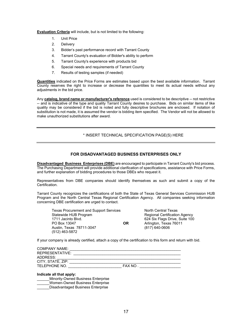**Evaluation Criteria** will include, but is not limited to the following:

- 1. Unit Price
- 2. Delivery
- 3. Bidder's past performance record with Tarrant County
- 4. Tarrant County's evaluation of Bidder's ability to perform
- 5. Tarrant County's experience with products bid
- 6. Special needs and requirements of Tarrant County
- 7. Results of testing samples (if needed)

**Quantities** indicated on the Price Forms are estimates based upon the best available information. Tarrant County reserves the right to increase or decrease the quantities to meet its actual needs without any adjustments in the bid price.

Any **catalog, brand name or manufacturer's reference** used is considered to be descriptive -- not restrictive -- and is indicative of the type and quality Tarrant County desires to purchase. Bids on similar items of like quality may be considered if the bid is noted and fully descriptive brochures are enclosed. If notation of substitution is not made, it is assumed the vendor is bidding item specified. The Vendor will not be allowed to make unauthorized substitutions after award.

## \* INSERT TECHNICAL SPECIFICATION PAGE(S) HERE

## **FOR DISADVANTAGED BUSINESS ENTERPRISES ONLY**

**Disadvantaged Business Enterprises (DBE)** are encouraged to participate in Tarrant County's bid process. The Purchasing Department will provide additional clarification of specifications, assistance with Price Forms, and further explanation of bidding procedures to those DBEs who request it.

Representatives from DBE companies should identify themselves as such and submit a copy of the Certification.

Tarrant County recognizes the certifications of both the State of Texas General Services Commission HUB Program and the North Central Texas Regional Certification Agency. All companies seeking information concerning DBE certification are urged to contact.

Texas Procurement and Support Services North Central Texas<br>Statewide HUB Program North Central Certification Statewide HUB Program **Regional Certification Agency**<br>1711 Jacinto Blvd. **Regional Certification COV** 624 Six Flags Drive, Suite 100 1711 Jacinto Blvd. **624 Six Flags Drive, Suite 100**<br> **CR** Arlington Texas 76011 Arlington, Texas 76011<br>(817) 640-0606 Austin, Texas 78711-3047 (512) 463-5872

If your company is already certified, attach a copy of the certification to this form and return with bid.

| <b>COMPANY NAME:</b> |               |  |
|----------------------|---------------|--|
| REPRESENTATIVE:      |               |  |
| ADDRESS:             |               |  |
| CITY, STATE, ZIP:    |               |  |
| TELEPHONE NO.        | <b>FAX NO</b> |  |

#### **Indicate all that apply:**

- \_\_\_\_\_\_Minority-Owned Business Enterprise
- \_\_\_\_\_\_Women-Owned Business Enterprise
- \_\_\_\_\_\_Disadvantaged Business Enterprise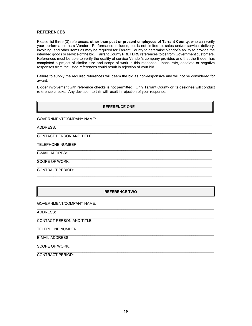#### **REFERENCES**

Please list three (3) references, **other than past or present employees of Tarrant County**, who can verify your performance as a Vendor. Performance includes, but is not limited to, sales and/or service, delivery, invoicing, and other items as may be required for Tarrant County to determine Vendor's ability to provide the intended goods or service of the bid. Tarrant County **PREFERS** references to be from Government customers. References must be able to verify the quality of service Vendor's company provides and that the Bidder has completed a project of similar size and scope of work in this response. Inaccurate, obsolete or negative responses from the listed references could result in rejection of your bid.

Failure to supply the required references will deem the bid as non-responsive and will not be considered for award.

Bidder involvement with reference checks is not permitted. Only Tarrant County or its designee will conduct reference checks. Any deviation to this will result in rejection of your response.

#### **REFERENCE ONE**

\_\_\_\_\_\_\_\_\_\_\_\_\_\_\_\_\_\_\_\_\_\_\_\_\_\_\_\_\_\_\_\_\_\_\_\_\_\_\_\_\_\_\_\_\_\_\_\_\_\_\_\_\_\_\_\_\_\_\_\_\_\_\_\_\_\_\_\_\_\_\_\_\_\_\_\_\_\_\_\_\_\_\_\_\_

 $\_$  ,  $\_$  ,  $\_$  ,  $\_$  ,  $\_$  ,  $\_$  ,  $\_$  ,  $\_$  ,  $\_$  ,  $\_$  ,  $\_$  ,  $\_$  ,  $\_$  ,  $\_$  ,  $\_$  ,  $\_$  ,  $\_$  ,  $\_$  ,  $\_$  ,  $\_$  ,  $\_$  ,  $\_$  ,  $\_$  ,  $\_$  ,  $\_$  ,  $\_$  ,  $\_$  ,  $\_$  ,  $\_$  ,  $\_$  ,  $\_$  ,  $\_$  ,  $\_$  ,  $\_$  ,  $\_$  ,  $\_$  ,  $\_$  ,

 $\_$  ,  $\_$  ,  $\_$  ,  $\_$  ,  $\_$  ,  $\_$  ,  $\_$  ,  $\_$  ,  $\_$  ,  $\_$  ,  $\_$  ,  $\_$  ,  $\_$  ,  $\_$  ,  $\_$  ,  $\_$  ,  $\_$  ,  $\_$  ,  $\_$  ,  $\_$  ,  $\_$  ,  $\_$  ,  $\_$  ,  $\_$  ,  $\_$  ,  $\_$  ,  $\_$  ,  $\_$  ,  $\_$  ,  $\_$  ,  $\_$  ,  $\_$  ,  $\_$  ,  $\_$  ,  $\_$  ,  $\_$  ,  $\_$  ,

GOVERNMENT/COMPANY NAME:

 $\_$  ,  $\_$  ,  $\_$  ,  $\_$  ,  $\_$  ,  $\_$  ,  $\_$  ,  $\_$  ,  $\_$  ,  $\_$  ,  $\_$  ,  $\_$  ,  $\_$  ,  $\_$  ,  $\_$  ,  $\_$  ,  $\_$  ,  $\_$  ,  $\_$  ,  $\_$  ,  $\_$  ,  $\_$  ,  $\_$  ,  $\_$  ,  $\_$  ,  $\_$  ,  $\_$  ,  $\_$  ,  $\_$  ,  $\_$  ,  $\_$  ,  $\_$  ,  $\_$  ,  $\_$  ,  $\_$  ,  $\_$  ,  $\_$  , ADDRESS:

 $\_$  ,  $\_$  ,  $\_$  ,  $\_$  ,  $\_$  ,  $\_$  ,  $\_$  ,  $\_$  ,  $\_$  ,  $\_$  ,  $\_$  ,  $\_$  ,  $\_$  ,  $\_$  ,  $\_$  ,  $\_$  ,  $\_$  ,  $\_$  ,  $\_$  ,  $\_$  ,  $\_$  ,  $\_$  ,  $\_$  ,  $\_$  ,  $\_$  ,  $\_$  ,  $\_$  ,  $\_$  ,  $\_$  ,  $\_$  ,  $\_$  ,  $\_$  ,  $\_$  ,  $\_$  ,  $\_$  ,  $\_$  ,  $\_$  , CONTACT PERSON AND TITLE:

TELEPHONE NUMBER:

 $\_$  ,  $\_$  ,  $\_$  ,  $\_$  ,  $\_$  ,  $\_$  ,  $\_$  ,  $\_$  ,  $\_$  ,  $\_$  ,  $\_$  ,  $\_$  ,  $\_$  ,  $\_$  ,  $\_$  ,  $\_$  ,  $\_$  ,  $\_$  ,  $\_$  ,  $\_$  ,  $\_$  ,  $\_$  ,  $\_$  ,  $\_$  ,  $\_$  ,  $\_$  ,  $\_$  ,  $\_$  ,  $\_$  ,  $\_$  ,  $\_$  ,  $\_$  ,  $\_$  ,  $\_$  ,  $\_$  ,  $\_$  ,  $\_$  , E-MAIL ADDRESS:

SCOPE OF WORK:

 $\_$  , and the set of the set of the set of the set of the set of the set of the set of the set of the set of the set of the set of the set of the set of the set of the set of the set of the set of the set of the set of th CONTRACT PERIOD:

## **REFERENCE TWO**

 $\mathcal{L}_\mathcal{L} = \{ \mathcal{L}_\mathcal{L} = \{ \mathcal{L}_\mathcal{L} = \{ \mathcal{L}_\mathcal{L} = \{ \mathcal{L}_\mathcal{L} = \{ \mathcal{L}_\mathcal{L} = \{ \mathcal{L}_\mathcal{L} = \{ \mathcal{L}_\mathcal{L} = \{ \mathcal{L}_\mathcal{L} = \{ \mathcal{L}_\mathcal{L} = \{ \mathcal{L}_\mathcal{L} = \{ \mathcal{L}_\mathcal{L} = \{ \mathcal{L}_\mathcal{L} = \{ \mathcal{L}_\mathcal{L} = \{ \mathcal{L}_\mathcal{$ 

 $\mathcal{L}_\mathcal{L} = \{ \mathcal{L}_\mathcal{L} = \{ \mathcal{L}_\mathcal{L} = \{ \mathcal{L}_\mathcal{L} = \{ \mathcal{L}_\mathcal{L} = \{ \mathcal{L}_\mathcal{L} = \{ \mathcal{L}_\mathcal{L} = \{ \mathcal{L}_\mathcal{L} = \{ \mathcal{L}_\mathcal{L} = \{ \mathcal{L}_\mathcal{L} = \{ \mathcal{L}_\mathcal{L} = \{ \mathcal{L}_\mathcal{L} = \{ \mathcal{L}_\mathcal{L} = \{ \mathcal{L}_\mathcal{L} = \{ \mathcal{L}_\mathcal{$ 

 $\mathcal{L}_\mathcal{L} = \{ \mathcal{L}_\mathcal{L} = \{ \mathcal{L}_\mathcal{L} = \{ \mathcal{L}_\mathcal{L} = \{ \mathcal{L}_\mathcal{L} = \{ \mathcal{L}_\mathcal{L} = \{ \mathcal{L}_\mathcal{L} = \{ \mathcal{L}_\mathcal{L} = \{ \mathcal{L}_\mathcal{L} = \{ \mathcal{L}_\mathcal{L} = \{ \mathcal{L}_\mathcal{L} = \{ \mathcal{L}_\mathcal{L} = \{ \mathcal{L}_\mathcal{L} = \{ \mathcal{L}_\mathcal{L} = \{ \mathcal{L}_\mathcal{$ 

 $\mathcal{L}_\mathcal{L} = \{ \mathcal{L}_\mathcal{L} = \{ \mathcal{L}_\mathcal{L} = \{ \mathcal{L}_\mathcal{L} = \{ \mathcal{L}_\mathcal{L} = \{ \mathcal{L}_\mathcal{L} = \{ \mathcal{L}_\mathcal{L} = \{ \mathcal{L}_\mathcal{L} = \{ \mathcal{L}_\mathcal{L} = \{ \mathcal{L}_\mathcal{L} = \{ \mathcal{L}_\mathcal{L} = \{ \mathcal{L}_\mathcal{L} = \{ \mathcal{L}_\mathcal{L} = \{ \mathcal{L}_\mathcal{L} = \{ \mathcal{L}_\mathcal{$ 

 $\mathcal{L}_\mathcal{L} = \{ \mathcal{L}_\mathcal{L} = \{ \mathcal{L}_\mathcal{L} = \{ \mathcal{L}_\mathcal{L} = \{ \mathcal{L}_\mathcal{L} = \{ \mathcal{L}_\mathcal{L} = \{ \mathcal{L}_\mathcal{L} = \{ \mathcal{L}_\mathcal{L} = \{ \mathcal{L}_\mathcal{L} = \{ \mathcal{L}_\mathcal{L} = \{ \mathcal{L}_\mathcal{L} = \{ \mathcal{L}_\mathcal{L} = \{ \mathcal{L}_\mathcal{L} = \{ \mathcal{L}_\mathcal{L} = \{ \mathcal{L}_\mathcal{$ 

GOVERNMENT/COMPANY NAME:

ADDRESS:

CONTACT PERSON AND TITLE:

 $\mathcal{L}_\mathcal{L} = \{ \mathcal{L}_\mathcal{L} = \{ \mathcal{L}_\mathcal{L} = \{ \mathcal{L}_\mathcal{L} = \{ \mathcal{L}_\mathcal{L} = \{ \mathcal{L}_\mathcal{L} = \{ \mathcal{L}_\mathcal{L} = \{ \mathcal{L}_\mathcal{L} = \{ \mathcal{L}_\mathcal{L} = \{ \mathcal{L}_\mathcal{L} = \{ \mathcal{L}_\mathcal{L} = \{ \mathcal{L}_\mathcal{L} = \{ \mathcal{L}_\mathcal{L} = \{ \mathcal{L}_\mathcal{L} = \{ \mathcal{L}_\mathcal{$ TELEPHONE NUMBER:

 $\mathcal{L}_\mathcal{L} = \{ \mathcal{L}_\mathcal{L} = \{ \mathcal{L}_\mathcal{L} = \{ \mathcal{L}_\mathcal{L} = \{ \mathcal{L}_\mathcal{L} = \{ \mathcal{L}_\mathcal{L} = \{ \mathcal{L}_\mathcal{L} = \{ \mathcal{L}_\mathcal{L} = \{ \mathcal{L}_\mathcal{L} = \{ \mathcal{L}_\mathcal{L} = \{ \mathcal{L}_\mathcal{L} = \{ \mathcal{L}_\mathcal{L} = \{ \mathcal{L}_\mathcal{L} = \{ \mathcal{L}_\mathcal{L} = \{ \mathcal{L}_\mathcal{$ E-MAIL ADDRESS:

SCOPE OF WORK:

CONTRACT PERIOD: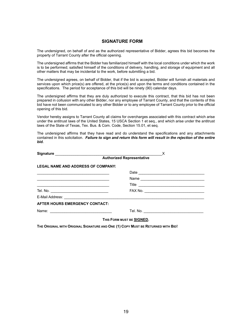## **SIGNATURE FORM**

The undersigned, on behalf of and as the authorized representative of Bidder, agrees this bid becomes the property of Tarrant County after the official opening.

The undersigned affirms that the Bidder has familiarized himself with the local conditions under which the work is to be performed; satisfied himself of the conditions of delivery, handling, and storage of equipment and all other matters that may be incidental to the work, before submitting a bid.

The undersigned agrees, on behalf of Bidder, that if the bid is accepted, Bidder will furnish all materials and services upon which price(s) are offered, at the price(s) and upon the terms and conditions contained in the specifications. The period for acceptance of this bid will be ninety (90) calendar days.

The undersigned affirms that they are duly authorized to execute this contract, that this bid has not been prepared in collusion with any other Bidder, nor any employee of Tarrant County, and that the contents of this bid have not been communicated to any other Bidder or to any employee of Tarrant County prior to the official opening of this bid.

Vendor hereby assigns to Tarrant County all claims for overcharges associated with this contract which arise under the antitrust laws of the United States, 15 USCA Section 1 et seq., and which arise under the antitrust laws of the State of Texas, Tex. Bus. & Com. Code, Section 15.01, et seq.

The undersigned affirms that they have read and do understand the specifications and any attachments contained in this solicitation. *Failure to sign and return this form will result in the rejection of the entire bid.*

|                                                                                                                      | X                                            |
|----------------------------------------------------------------------------------------------------------------------|----------------------------------------------|
|                                                                                                                      |                                              |
| <b>LEGAL NAME AND ADDRESS OF COMPANY:</b>                                                                            |                                              |
| <u> 1989 - Johann John Harry, mars ar y brening ar y brening ar y brening ar y brening ar y brening ar y brening</u> |                                              |
|                                                                                                                      |                                              |
|                                                                                                                      |                                              |
|                                                                                                                      |                                              |
|                                                                                                                      |                                              |
| <b>AFTER HOURS EMERGENCY CONTACT:</b>                                                                                |                                              |
|                                                                                                                      | Tel. No. <u>____________________________</u> |
|                                                                                                                      | THIS FORM MUST BE SIGNED.                    |

**THE ORIGINAL WITH ORIGINAL SIGNATURE AND ONE (1) COPY MUST BE RETURNED WITH BID!**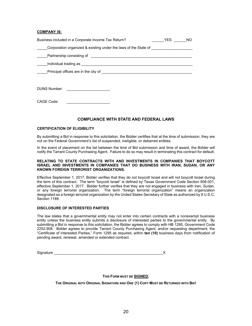#### **COMPANY IS:**

| Business included in a Corporate Income Tax Return?                                                             | <b>YES</b> |  |
|-----------------------------------------------------------------------------------------------------------------|------------|--|
| Corporation organized & existing under the laws of the State of                                                 |            |  |
| Partnership consisting of                                                                                       |            |  |
|                                                                                                                 |            |  |
| Principal offices are in the city of the controller and the controller product of the controller product of the |            |  |
|                                                                                                                 |            |  |
| <b>DUNS Number:</b><br>the control of the control of the control of                                             |            |  |
|                                                                                                                 |            |  |
| CAGE Code:                                                                                                      |            |  |

#### **COMPLIANCE WITH STATE AND FEDERAL LAWS**

#### **CERTIFICATION OF ELIGIBILITY**

By submitting a Bid in response to this solicitation, the Bidder certifies that at the time of submission, they are not on the Federal Government's list of suspended, ineligible, or debarred entities.

In the event of placement on the list between the time of Bid submission and time of award, the Bidder will notify the Tarrant County Purchasing Agent. Failure to do so may result in terminating this contract for default.

#### **RELATING TO STATE CONTRACTS WITH AND INVESTMENTS IN COMPANIES THAT BOYCOTT ISRAEL AND INVESTMENTS IN COMPANIES THAT DO BUSINESS WITH IRAN, SUDAN, OR ANY KNOWN FOREIGN TERRORIST ORGANIZATIONS.**

Effective September 1, 2017, Bidder verifies that they do not boycott Israel and will not boycott Israel during the term of this contract. The term "boycott Israel" is defined by Texas Government Code Section 808.001, effective September 1, 2017. Bidder further verifies that they are not engaged in business with Iran, Sudan, or any foreign terrorist organization. The term "foreign terrorist organization" means an organization designated as a foreign terrorist organization by the United States Secretary of State as authorized by 8 U.S.C. Section 1189.

#### **DISCLOSURE OF INTERESTED PARTIES**

The law states that a governmental entity may not enter into certain contracts with a nonexempt business entity unless the business entity submits a disclosure of interested parties to the governmental entity. By submitting a Bid in response to this solicitation, the Bidder agrees to comply with HB 1295, Government Code 2252.908. Bidder agrees to provide Tarrant County Purchasing Agent, and/or requesting department, the "Certificate of Interested Parties," Form 1295 as required, within **ten (10)** business days from notification of pending award, renewal, amended or extended contract.

| Signature |  |
|-----------|--|
|           |  |

**THIS FORM MUST BE SIGNED.**

**THE ORIGINAL WITH ORIGINAL SIGNATURE AND ONE (1) COPY MUST BE RETURNED WITH BID!**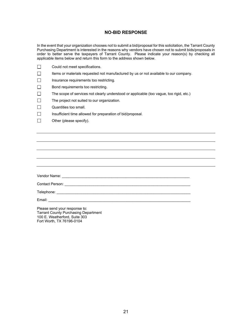## **NO-BID RESPONSE**

In the event that your organization chooses not to submit a bid/proposal for this solicitation, the Tarrant County Purchasing Department is interested in the reasons why vendors have chosen not to submit bids/proposals in order to better serve the taxpayers of Tarrant County. Please indicate your reason(s) by checking all applicable items below and return this form to the address shown below.

- $\Box$ Could not meet specifications.
- $\Box$ Items or materials requested not manufactured by us or not available to our company.
- $\Box$ Insurance requirements too restricting.
- $\Box$ Bond requirements too restricting.
- $\Box$ The scope of services not clearly understood or applicable (too vague, too rigid, etc.)
- $\Box$ The project not suited to our organization.
- $\Box$ Quantities too small.
- $\Box$ Insufficient time allowed for preparation of bid/proposal.
- $\Box$ Other (please specify).

Vendor Name: \_\_\_\_\_\_\_\_\_\_\_\_\_\_\_\_\_\_\_\_\_\_\_\_\_\_\_\_\_\_\_\_\_\_\_\_\_\_\_\_\_\_\_\_\_\_\_\_\_\_\_\_\_\_\_\_\_\_\_\_\_\_ Contact Person: \_\_\_\_\_\_\_\_\_\_\_\_\_\_\_\_\_\_\_\_\_\_\_\_\_\_\_\_\_\_\_\_\_\_\_\_\_\_\_\_\_\_\_\_\_\_\_\_\_\_\_\_\_\_\_\_\_\_\_\_\_ Telephone: \_\_\_\_\_\_\_\_\_\_\_\_\_\_\_\_\_\_\_\_\_\_\_\_\_\_\_\_\_\_\_\_\_\_\_\_\_\_\_\_\_\_\_\_\_\_\_\_\_\_\_\_\_\_\_\_\_\_\_\_\_\_\_\_\_ Email:  $\frac{1}{\sqrt{2}}$ 

Please send your response to: Tarrant County Purchasing Department 100 E. Weatherford, Suite 303 Fort Worth, TX 76196-0104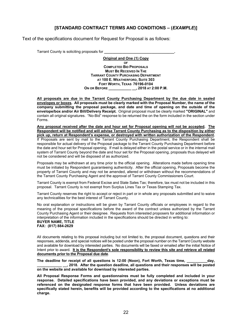## **[STANDARD CONTRACT TERMS AND CONDITIONS – (***EXAMPLE***)]**

Text of the specifications document for Request for Proposal is as follows:

Tarrant County is soliciting proposals for **\_\_\_\_\_\_\_\_\_\_\_\_\_\_\_\_\_\_\_\_\_\_\_\_\_\_\_\_\_\_\_\_\_\_.**

**Original and One (1) Copy OF COMPLETED BID PROPOSALS MUST BE RECEIVED IN THE TARRANT COUNTY PURCHASING DEPARTMENT AT 100 E. WEATHERFORD, SUITE 303 FORT WORTH, TEXAS 76196-0104 ON OR BEFORE \_\_\_\_\_\_\_\_\_\_\_ \_\_, 2018 AT 2:00 P.M.**

**All proposals are due in the Tarrant County Purchasing Department by the due date in sealed envelopes or boxes. All proposals must be clearly marked with the Proposal Number, the name of the company submitting the proposal package, and date and time of opening on the outside of the envelope/box and/or Air Bill/Delivery Receipt.** Original proposal must be clearly marked **"ORIGINAL"** and contain all original signatures. "No-Bid" response to be returned the on the form included in the section under Forms.

**Any proposal received after the date and hour set for Proposal opening will not be accepted. The Respondent will be notified and will advise Tarrant County Purchasing as to the disposition by either pick up, return at Respondent's expense, or destroyed with written authorization of the Respondent.** If Proposals are sent by mail to the Tarrant County Purchasing Department, the Respondent shall be responsible for actual delivery of the Proposal package to the Tarrant County Purchasing Department before the date and hour set for Proposal opening. If mail is delayed either in the postal service or in the internal mail system of Tarrant County beyond the date and hour set for the Proposal opening, proposals thus delayed will not be considered and will be disposed of as authorized.

Proposals may be withdrawn at any time prior to the official opening. Alterations made before opening time must be initialed by Respondent guaranteeing authenticity. After the official opening, Proposals become the property of Tarrant County and may not be amended, altered or withdrawn without the recommendations of the Tarrant County Purchasing Agent and the approval of Tarrant County Commissioners Court.

Tarrant County is exempt from Federal Excise and State Sales Tax; therefore, tax must not be included in this proposal. Tarrant County is not exempt from Surplus Lines Tax or Texas Stamping Tax.

Tarrant County reserves the right to accept or reject in part or in whole any proposals submitted and to waive any technicalities for the best interest of Tarrant County.

No oral explanation or instructions will be given by Tarrant County officials or employees in regard to the meaning of the proposal specifications before the award of the contract unless authorized by the Tarrant County Purchasing Agent or their designee. Requests from interested proposers for additional information or interpretation of the information included in the specifications should be directed in writing to: **BUYER NAME, TITLE**

# **FAX: (817) 884-2629**

All documents relating to this proposal including but not limited to, the proposal document, questions and their responses, addenda, and special notices will be posted under the proposal number on the Tarrant County website and available for download by interested parties. No documents will be faxed or emailed after the initial Notice of Intent prior to award. **It is the Respondent's sole responsibility to review this site and retrieve all related documents prior to the Proposal due date**.

The deadline for receipt of all questions is 12:00 (Noon), Fort Worth, Texas time, and ay, **\_\_\_\_\_\_\_\_\_\_\_\_ \_\_, 2018. After the question deadline, all questions and their responses will be posted on the website and available for download by interested parties.**

**All Proposal Response Forms and questionnaires must be fully completed and included in your response. Detailed specifications have been provided, and any deviations or exceptions must be referenced on the designated response forms that have been provided. Unless deviations are specifically stated herein, benefits will be provided according to the specifications at no additional charge.**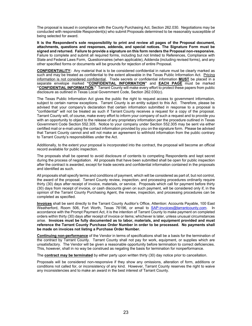The proposal is issued in compliance with the County Purchasing Act, Section 262.030. Negotiations may be conducted with responsible Respondent(s) who submit Proposals determined to be reasonably susceptible of being selected for award.

**It is the Respondent's sole responsibility to print and review all pages of the Proposal document, attachments, questions and responses, addenda, and special notices. The Signature Form must be signed and returned. Failure to provide a signature on this form renders the Proposal non-responsive.** Failure to complete and submit all required forms, including but not limited to References, Compliance with State and Federal Laws Form, Questionnaires (when applicable), Addenda (including revised forms), and any other specified forms or documents will be grounds for rejection of entire Proposal.

**CONFIDENTIALITY:** Any material that is to be considered confidential in nature must be clearly marked as such and may be treated as confidential to the extent allowable in the Texas Public Information Act. Pricing information is not considered confidential. Trade secrets or confidential information **MUST** be placed in a separate envelope marked **"CONFIDENTIAL INFORMATION"** and **EACH PAGE** must be marked **"CONFIDENTIAL INFORMATION."** Tarrant County will make every effort to protect these papers from public disclosure as outlined in Texas Local Government Code, Section 262.030(c).

The Texas Public Information Act gives the public the right to request access to government information, subject to certain narrow exceptions. Tarrant County is an entity subject to this Act. Therefore, please be advised that your company's declaration that certain information submitted in response to a proposal is "confidential" will not be treated as such if Tarrant County receives a request for a copy of the proposal. Tarrant County will, of course, make every effort to inform your company of such a request and to provide you with an opportunity to object to the release of any proprietary information per the procedure outlined in Texas Government Code Section 552.305. Notice to your company under Section 552.305 may be sent via either certified mail or e-mail using the contact information provided by you on the signature form. Please be advised that Tarrant County cannot and will not make an agreement to withhold information from the public contrary to Tarrant County's responsibilities under the Act.

Additionally, to the extent your proposal is incorporated into the contract, the proposal will become an official record available for public inspection.

The proposals shall be opened to avoid disclosure of contents to competing Respondents and kept secret during the process of negotiation. All proposals that have been submitted shall be open for public inspection after the contract is awarded, except for trade secrets and confidential information contained in the proposals and identified as such.

All proposals shall specify terms and conditions of payment, which will be considered as part of, but not control, the award of the proposal. Tarrant County review, inspection, and processing procedures ordinarily require thirty (30) days after receipt of invoice, materials, or service. Proposals which call for payment before thirty (30) days from receipt of invoice, or cash discounts given on such payment, will be considered only if, in the opinion of the Tarrant County Purchasing Agent, the review, inspection, and processing procedures can be completed as specified.

**Invoices** shall be sent directly to the Tarrant County Auditor's Office, Attention: Accounts Payable, 100 East Weatherford, Room 506, Fort Worth, Texas 76196, or email to [SAP-invoices@tarrantcounty.com.](mailto:SAPinvoices@tarrantcounty.com) In accordance with the Prompt Payment Act, it is the intention of Tarrant County to make payment on completed orders within thirty (30) days after receipt of invoice or items; whichever is later, unless unusual circumstances arise. **Invoices must be fully documented as to labor, materials, and equipment provided and must reference the Tarrant County Purchase Order Number in order to be processed. No payments shall be made on invoices not listing a Purchase Order Number.**

**Continuing non-performance** of the Vendor in terms of specifications shall be a basis for the termination of the contract by Tarrant County. Tarrant County shall not pay for work, equipment, or supplies which are unsatisfactory. The Vendor will be given a reasonable opportunity before termination to correct deficiencies. This, however, shall in no way be construed as negating the basis for termination for nonperformance.

The **contract may be terminated** by either party upon written thirty (30) day notice prior to cancellation.

Proposals will be considered non-responsive if they show any omissions, alteration of form, additions or conditions not called for, or inconsistency of any kind. However, Tarrant County reserves the right to waive any inconsistencies and to make an award in the best interest of Tarrant County.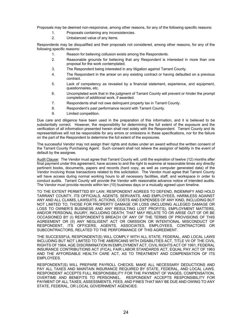Proposals may be deemed non-responsive, among other reasons, for any of the following specific reasons:

- 1. Proposals containing any inconsistencies.
- 2. Unbalanced value of any items.

Respondents may be disqualified and their proposals not considered, among other reasons, for any of the following specific reasons:

- 1. Reason for believing collusion exists among the Respondents.
- 2. Reasonable grounds for believing that any Respondent is interested in more than one proposal for the work contemplated.
- 3. The Respondent being interested in any litigation against Tarrant County.
- 4. The Respondent in the arrear on any existing contract or having defaulted on a previous contract.
- 5. Lack of competency as revealed by a financial statement, experience, and equipment, questionnaires, etc.
- 6. Uncompleted work that in the judgment of Tarrant County will prevent or hinder the prompt completion of additional work, if awarded.
- 7. Respondents shall not owe delinquent property tax in Tarrant County.
- 8. Respondent's past performance record with Tarrant County.
- 9. Limited competition.

Due care and diligence have been used in the preparation of this information, and it is believed to be substantially correct. However, the responsibility for determining the full extent of the exposure and the verification of all information presented herein shall rest solely with the Respondent. Tarrant County and its representatives will not be responsible for any errors or omissions in these specifications, nor for the failure on the part of the Respondent to determine the full extent of the exposures.

The successful Vendor may not assign their rights and duties under an award without the written consent of the Tarrant County Purchasing Agent. Such consent shall not relieve the assignor of liability in the event of default by the assignee.

Audit Clause: The Vendor must agree that Tarrant County will, until the expiration of twelve (12) months after final payment under this agreement, have access to and the right to examine at reasonable times any directly pertinent books, documents, papers and records (hard copy, as well as computer generated data) of the Vendor involving those transactions related to this solicitation. The Vendor must agree that Tarrant County will have access during normal working hours to all necessary facilities, staff, and workspace in order to conduct audits. Tarrant County will provide the Vendor with reasonable advance notice of intended audits. The Vendor must provide records within ten (10) business days or a mutually agreed upon timeline.

TO THE EXTENT PERMITTED BY LAW, RESPONDENT AGREES TO DEFEND, INDEMNIFY AND HOLD TARRANT COUNTY, ITS OFFICIALS, AGENTS, SERVANTS, AND EMPLOYEES, HARMLESS AGAINST ANY AND ALL CLAIMS, LAWSUITS, ACTIONS, COSTS AND EXPENSES OF ANY KIND, INCLUDING BUT NOT LIMITED TO, THOSE FOR PROPERTY DAMAGE OR LOSS (INCLUDING ALLEGED DAMAGE OR LOSS TO OWNER'S BUSINESS AND ANY RESULTING LOST PROFITS), EMPLOYMENT MATTERS, AND/OR PERSONAL INJURY, INCLUDING DEATH, THAT MAY RELATE TO OR ARISE OUT OF OR BE OCCASIONED BY (I) RESPONDENT'S BREACH OF ANY OF THE TERMS OF PROVISIONS OF THIS AGREEMENT OR (II) ANY NEGLIGENT ACT OR OMISSION OR INTENTIONAL MISCONDUCT OF RESPONDENT, ITS OFFICERS, AGENTS, ASSOCIATES, EMPLOYEES, CONTRACTORS OR SUBCONTRACTORS, RELATED TO THE PERFORMANCE OF THIS AGREEMENT.

THE SUCCESSFUL RESPONDENT(S) WILL COMPLY WITH ALL STATE, FEDERAL, AND LOCAL LAWS INCLUDING BUT NOT LIMITED TO THE AMERICANS WITH DISABILITIES ACT, TITLE VII OF THE CIVIL RIGHTS OF 1964, AGE DISCRIMINATION IN EMPLOYMENT ACT, CIVIL RIGHTS ACT OF 1991, FEDERAL INSURANCE CONTRIBUTIONS ACT (FICA), FAIR LABOR STANDARDS ACT, EQUAL PAY ACT OF 1963 AND THE AFFORDABLE HEALTH CARE ACT, AS TO TREATMENT AND COMPENSATION OF ITS EMPLOYEES.

RESPONDENT(S) WILL PREPARE PAYROLL CHECKS, MAKE ALL NECESSARY DEDUCTIONS AND PAY ALL TAXES AND MAINTAIN INSURANCE REQUIRED BY STATE, FEDERAL, AND LOCAL LAWS. RESPONDENT ACCEPTS FULL RESPONSIBILITY FOR THE PAYMENT OF WAGES, COMPENSATION, OVERTIME AND BENEFITS TO PERSONNEL. RESPONDENT ACCEPTS RESPONSIBILITY FOR PAYMENT OF ALL TAXES, ASSESSMENTS, FEES, AND FINES THAT MAY BE DUE AND OWING TO ANY STATE, FEDERAL, OR LOCAL GOVERNMENT AGENCIES.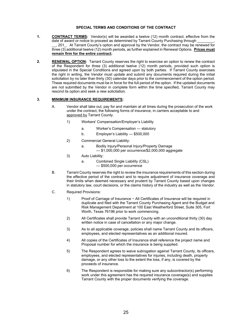#### **SPECIAL TERMS AND CONDITIONS OF THE CONTRACT**

- **1. CONTRACT TERMS:** Vendor(s) will be awarded a twelve (12) month contract, effective from the date of award or notice to proceed as determined by Tarrant County Purchasing through \_\_, 201\_. At Tarrant County's option and approval by the Vendor, the contract may be renewed for three (3) additional twelve (12) month periods, as further explained in Renewal Options. **Prices must remain firm for the entire contract.**
- **2. RENEWAL OPTION:** Tarrant County reserves the right to exercise an option to renew the contract of the Respondent for three (3) additional twelve (12) month periods, provided such option is stipulated in the Special Conditions and agreed upon by both parties. If Tarrant County exercises the right in writing, the Vendor must update and submit any documents required during the initial solicitation by no later than thirty (30) calendar days prior to the commencement of the option period. These required documents must be in force for the full period of the option. If the updated documents are not submitted by the Vendor in complete form within the time specified, Tarrant County may rescind its option and seek a new solicitation.

#### **3. MINIMUM INSURANCE REQUIREMENTS:**

- A. Vendor shall take out, pay for and maintain at all times during the prosecution of the work under the contract, the following forms of insurance, in carriers acceptable to and approved by Tarrant County.
	- 1) Workers' Compensation/Employer's Liability
		- a. Worker's Compensation statutory
		- b. Employer's Liability \$500,000
	- 2) Commercial General Liability:
		- a. Bodily Injury/Personal Injury/Property Damage — \$1,000,000 per occurrence/\$2,000,000 aggregate
	- 3) Auto Liability:
		- a. Combined Single Liability (CSL)
			- \$500,000 per occurrence
- B. Tarrant County reserves the right to review the insurance requirements of this section during the effective period of the contract and to require adjustment of insurance coverage and their limits when deemed necessary and prudent by Tarrant County based upon changes in statutory law, court decisions, or the claims history of the industry as well as the Vendor.
- C. Required Provisions:
	- 1) Proof of Carriage of Insurance − All Certificates of Insurance will be required in duplicate and filed with the Tarrant County Purchasing Agent and the Budget and Risk Management Department at 100 East Weatherford Street, Suite 305, Fort Worth, Texas 76196 prior to work commencing.
	- 2) All Certificates shall provide Tarrant County with an unconditional thirty (30) day written notice in case of cancellation or any major change.
	- 3) As to all applicable coverage, policies shall name Tarrant County and its officers, employees, and elected representatives as an additional insured.
	- 4) All copies of the Certificates of Insurance shall reference the project name and Proposal number for which the insurance is being supplied.
	- 5) The Respondent agrees to waive subrogation against Tarrant County, its officers, employees, and elected representatives for injuries, including death, property damage, or any other loss to the extent the loss, if any, is covered by the proceeds of insurance.
	- 6) The Respondent is responsible for making sure any subcontractor(s) performing work under this agreement has the required insurance coverage(s) and supplies Tarrant County with the proper documents verifying the coverage.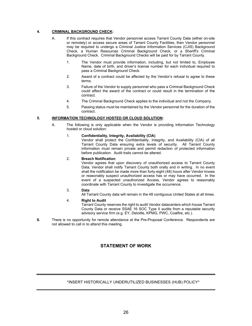## **4. CRIMINAL BACKGROUND CHECK:**

- A. If this contract requires that Vendor personnel access Tarrant County Data (either on-site or remotely) or access secure areas of Tarrant County Facilities, then Vendor personnel may be required to undergo a Criminal Justice Information Services (CJIS) Background Check, a Human Resources Criminal Background Check, or a Sheriff's Criminal Background Check. Criminal Background Checks will be paid for by Tarrant County.
	- 1. The Vendor must provide information, including, but not limited to, Employee Name, date of birth, and driver's license number for each individual required to pass a Criminal Background Check.
	- 2. Award of a contract could be affected by the Vendor's refusal to agree to these terms.
	- 3. Failure of the Vendor to supply personnel who pass a Criminal Background Check could affect the award of the contract or could result in the termination of the contract.
	- 4. The Criminal Background Check applies to the individual and not the Company.
	- 5. Passing status must be maintained by the Vendor personnel for the duration of the contract.

## **5. INFORMATION TECHNOLOGY HOSTED OR CLOUD SOLUTION:**

A. The following is only applicable when the Vendor is providing Information Technology hosted or cloud solution:

#### 1. **Confidentiality, Integrity, Availability (CIA)**

Vendor shall protect the Confidentiality, Integrity, and Availability (CIA) of all Tarrant County Data ensuring extra levels of security. All Tarrant County information must remain private and permit redaction of protected information before publication. Audit trails cannot be altered.

#### 2. **Breach Notification**

Vendor agrees that upon discovery of unauthorized access to Tarrant County Data, Vendor shall notify Tarrant County both orally and in writing. In no event shall the notification be made more than forty-eight (48) hours after Vendor knows or reasonably suspect unauthorized access has or may have occurred. In the event of a suspected unauthorized Access, Vendor agrees to reasonably coordinate with Tarrant County to investigate the occurrence.

## 3. **Data**

All Tarrant County data will remain in the 48 contiguous United States at all times.

#### 4. **Right to Audit**

Tarrant County reserves the right to audit Vendor datacenters which house Tarrant County Data or receive SSAE 16 SOC Type II audits from a reputable security advisory service firm (e.g. EY, Deloitte, KPMG, PWC, Coalfire, etc.).

**6.** There is no opportunity for remote attendance at the Pre-Proposal Conference. Respondents are not allowed to call in to attend this meeting.

## **STATEMENT OF WORK**

## \*INSERT HISTORICALLY UNDERUTILIZED BUSINESSES (HUB) POLICY\*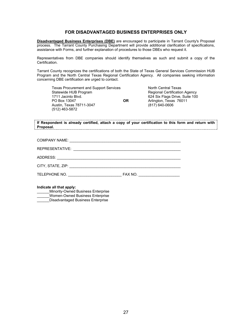## **FOR DISADVANTAGED BUSINESS ENTERPRISES ONLY**

**Disadvantaged Business Enterprises (DBE)** are encouraged to participate in Tarrant County's Proposal process. The Tarrant County Purchasing Department will provide additional clarification of specifications, assistance with Forms, and further explanation of procedures to those DBEs who request it.

Representatives from DBE companies should identify themselves as such and submit a copy of the Certification.

Tarrant County recognizes the certifications of both the State of Texas General Services Commission HUB Program and the North Central Texas Regional Certification Agency. All companies seeking information concerning DBE certification are urged to contact.

| <b>Texas Procurement and Support Services</b> |           | North Central Texas            |
|-----------------------------------------------|-----------|--------------------------------|
| Statewide HUB Program                         |           | Regional Certification Agency  |
| 1711 Jacinto Blvd.                            |           | 624 Six Flags Drive, Suite 100 |
| PO Box 13047                                  | <b>OR</b> | Arlington, Texas 76011         |
| Austin, Texas 78711-3047                      |           | $(817)$ 640-0606               |
| (512) 463-5872                                |           |                                |

**If Respondent is already certified, attach a copy of your certification to this form and return with Proposal.**

| TELEPHONE NO. | FAX NO. _____________________ |
|---------------|-------------------------------|

**Indicate all that apply:**

Minority-Owned Business Enterprise \_\_\_\_\_\_Women-Owned Business Enterprise Disadvantaged Business Enterprise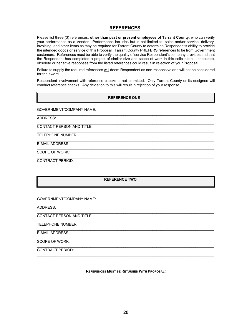#### **REFERENCES**

Please list three (3) references, **other than past or present employees of Tarrant County**, who can verify your performance as a Vendor. Performance includes but is not limited to, sales and/or service, delivery, invoicing, and other items as may be required for Tarrant County to determine Respondent's ability to provide the intended goods or service of this Proposal. Tarrant County **PREFERS** references to be from Government customers. References must be able to verify the quality of service Respondent's company provides and that the Respondent has completed a project of similar size and scope of work in this solicitation. Inaccurate, obsolete or negative responses from the listed references could result in rejection of your Proposal.

Failure to supply the required references will deem Respondent as non-responsive and will not be considered for the award.

Respondent involvement with reference checks is not permitted. Only Tarrant County or its designee will conduct reference checks. Any deviation to this will result in rejection of your response.

#### **REFERENCE ONE**

 $\mathcal{L}_\mathcal{L} = \{ \mathcal{L}_\mathcal{L} = \{ \mathcal{L}_\mathcal{L} = \{ \mathcal{L}_\mathcal{L} = \{ \mathcal{L}_\mathcal{L} = \{ \mathcal{L}_\mathcal{L} = \{ \mathcal{L}_\mathcal{L} = \{ \mathcal{L}_\mathcal{L} = \{ \mathcal{L}_\mathcal{L} = \{ \mathcal{L}_\mathcal{L} = \{ \mathcal{L}_\mathcal{L} = \{ \mathcal{L}_\mathcal{L} = \{ \mathcal{L}_\mathcal{L} = \{ \mathcal{L}_\mathcal{L} = \{ \mathcal{L}_\mathcal{$ 

 $\mathcal{L}_\mathcal{L} = \{ \mathcal{L}_\mathcal{L} = \{ \mathcal{L}_\mathcal{L} = \{ \mathcal{L}_\mathcal{L} = \{ \mathcal{L}_\mathcal{L} = \{ \mathcal{L}_\mathcal{L} = \{ \mathcal{L}_\mathcal{L} = \{ \mathcal{L}_\mathcal{L} = \{ \mathcal{L}_\mathcal{L} = \{ \mathcal{L}_\mathcal{L} = \{ \mathcal{L}_\mathcal{L} = \{ \mathcal{L}_\mathcal{L} = \{ \mathcal{L}_\mathcal{L} = \{ \mathcal{L}_\mathcal{L} = \{ \mathcal{L}_\mathcal{$ 

 $\mathcal{L}_\mathcal{L} = \{ \mathcal{L}_\mathcal{L} = \{ \mathcal{L}_\mathcal{L} = \{ \mathcal{L}_\mathcal{L} = \{ \mathcal{L}_\mathcal{L} = \{ \mathcal{L}_\mathcal{L} = \{ \mathcal{L}_\mathcal{L} = \{ \mathcal{L}_\mathcal{L} = \{ \mathcal{L}_\mathcal{L} = \{ \mathcal{L}_\mathcal{L} = \{ \mathcal{L}_\mathcal{L} = \{ \mathcal{L}_\mathcal{L} = \{ \mathcal{L}_\mathcal{L} = \{ \mathcal{L}_\mathcal{L} = \{ \mathcal{L}_\mathcal{$ 

 $\mathcal{L}_\mathcal{L} = \{ \mathcal{L}_\mathcal{L} = \{ \mathcal{L}_\mathcal{L} = \{ \mathcal{L}_\mathcal{L} = \{ \mathcal{L}_\mathcal{L} = \{ \mathcal{L}_\mathcal{L} = \{ \mathcal{L}_\mathcal{L} = \{ \mathcal{L}_\mathcal{L} = \{ \mathcal{L}_\mathcal{L} = \{ \mathcal{L}_\mathcal{L} = \{ \mathcal{L}_\mathcal{L} = \{ \mathcal{L}_\mathcal{L} = \{ \mathcal{L}_\mathcal{L} = \{ \mathcal{L}_\mathcal{L} = \{ \mathcal{L}_\mathcal{$ 

GOVERNMENT/COMPANY NAME:

ADDRESS:

 $\mathcal{L}_\mathcal{L} = \{ \mathcal{L}_\mathcal{L} = \{ \mathcal{L}_\mathcal{L} = \{ \mathcal{L}_\mathcal{L} = \{ \mathcal{L}_\mathcal{L} = \{ \mathcal{L}_\mathcal{L} = \{ \mathcal{L}_\mathcal{L} = \{ \mathcal{L}_\mathcal{L} = \{ \mathcal{L}_\mathcal{L} = \{ \mathcal{L}_\mathcal{L} = \{ \mathcal{L}_\mathcal{L} = \{ \mathcal{L}_\mathcal{L} = \{ \mathcal{L}_\mathcal{L} = \{ \mathcal{L}_\mathcal{L} = \{ \mathcal{L}_\mathcal{$ CONTACT PERSON AND TITLE:

TELEPHONE NUMBER:

E-MAIL ADDRESS:

 $\mathcal{L}_\mathcal{L} = \{ \mathcal{L}_\mathcal{L} = \{ \mathcal{L}_\mathcal{L} = \{ \mathcal{L}_\mathcal{L} = \{ \mathcal{L}_\mathcal{L} = \{ \mathcal{L}_\mathcal{L} = \{ \mathcal{L}_\mathcal{L} = \{ \mathcal{L}_\mathcal{L} = \{ \mathcal{L}_\mathcal{L} = \{ \mathcal{L}_\mathcal{L} = \{ \mathcal{L}_\mathcal{L} = \{ \mathcal{L}_\mathcal{L} = \{ \mathcal{L}_\mathcal{L} = \{ \mathcal{L}_\mathcal{L} = \{ \mathcal{L}_\mathcal{$ SCOPE OF WORK:

CONTRACT PERIOD:  $\mathcal{L}_\mathcal{L} = \{ \mathcal{L}_\mathcal{L} = \{ \mathcal{L}_\mathcal{L} = \{ \mathcal{L}_\mathcal{L} = \{ \mathcal{L}_\mathcal{L} = \{ \mathcal{L}_\mathcal{L} = \{ \mathcal{L}_\mathcal{L} = \{ \mathcal{L}_\mathcal{L} = \{ \mathcal{L}_\mathcal{L} = \{ \mathcal{L}_\mathcal{L} = \{ \mathcal{L}_\mathcal{L} = \{ \mathcal{L}_\mathcal{L} = \{ \mathcal{L}_\mathcal{L} = \{ \mathcal{L}_\mathcal{L} = \{ \mathcal{L}_\mathcal{$ 

#### **REFERENCE TWO**

GOVERNMENT/COMPANY NAME:

 $\mathcal{L}_\mathcal{L} = \{ \mathcal{L}_\mathcal{L} = \{ \mathcal{L}_\mathcal{L} = \{ \mathcal{L}_\mathcal{L} = \{ \mathcal{L}_\mathcal{L} = \{ \mathcal{L}_\mathcal{L} = \{ \mathcal{L}_\mathcal{L} = \{ \mathcal{L}_\mathcal{L} = \{ \mathcal{L}_\mathcal{L} = \{ \mathcal{L}_\mathcal{L} = \{ \mathcal{L}_\mathcal{L} = \{ \mathcal{L}_\mathcal{L} = \{ \mathcal{L}_\mathcal{L} = \{ \mathcal{L}_\mathcal{L} = \{ \mathcal{L}_\mathcal{$ ADDRESS:

 $\mathcal{L}_\mathcal{L} = \{ \mathcal{L}_\mathcal{L} = \{ \mathcal{L}_\mathcal{L} = \{ \mathcal{L}_\mathcal{L} = \{ \mathcal{L}_\mathcal{L} = \{ \mathcal{L}_\mathcal{L} = \{ \mathcal{L}_\mathcal{L} = \{ \mathcal{L}_\mathcal{L} = \{ \mathcal{L}_\mathcal{L} = \{ \mathcal{L}_\mathcal{L} = \{ \mathcal{L}_\mathcal{L} = \{ \mathcal{L}_\mathcal{L} = \{ \mathcal{L}_\mathcal{L} = \{ \mathcal{L}_\mathcal{L} = \{ \mathcal{L}_\mathcal{$ CONTACT PERSON AND TITLE:

 $\mathcal{L}_\mathcal{L} = \{ \mathcal{L}_\mathcal{L} = \{ \mathcal{L}_\mathcal{L} = \{ \mathcal{L}_\mathcal{L} = \{ \mathcal{L}_\mathcal{L} = \{ \mathcal{L}_\mathcal{L} = \{ \mathcal{L}_\mathcal{L} = \{ \mathcal{L}_\mathcal{L} = \{ \mathcal{L}_\mathcal{L} = \{ \mathcal{L}_\mathcal{L} = \{ \mathcal{L}_\mathcal{L} = \{ \mathcal{L}_\mathcal{L} = \{ \mathcal{L}_\mathcal{L} = \{ \mathcal{L}_\mathcal{L} = \{ \mathcal{L}_\mathcal{$ TELEPHONE NUMBER:

 $\mathcal{L}_\mathcal{L} = \{ \mathcal{L}_\mathcal{L} = \{ \mathcal{L}_\mathcal{L} = \{ \mathcal{L}_\mathcal{L} = \{ \mathcal{L}_\mathcal{L} = \{ \mathcal{L}_\mathcal{L} = \{ \mathcal{L}_\mathcal{L} = \{ \mathcal{L}_\mathcal{L} = \{ \mathcal{L}_\mathcal{L} = \{ \mathcal{L}_\mathcal{L} = \{ \mathcal{L}_\mathcal{L} = \{ \mathcal{L}_\mathcal{L} = \{ \mathcal{L}_\mathcal{L} = \{ \mathcal{L}_\mathcal{L} = \{ \mathcal{L}_\mathcal{$ E-MAIL ADDRESS:

 $\mathcal{L}_\mathcal{L} = \{ \mathcal{L}_\mathcal{L} = \{ \mathcal{L}_\mathcal{L} = \{ \mathcal{L}_\mathcal{L} = \{ \mathcal{L}_\mathcal{L} = \{ \mathcal{L}_\mathcal{L} = \{ \mathcal{L}_\mathcal{L} = \{ \mathcal{L}_\mathcal{L} = \{ \mathcal{L}_\mathcal{L} = \{ \mathcal{L}_\mathcal{L} = \{ \mathcal{L}_\mathcal{L} = \{ \mathcal{L}_\mathcal{L} = \{ \mathcal{L}_\mathcal{L} = \{ \mathcal{L}_\mathcal{L} = \{ \mathcal{L}_\mathcal{$ SCOPE OF WORK:

CONTRACT PERIOD:

**REFERENCES MUST BE RETURNED WITH PROPOSAL!**

 $\mathcal{L}_\mathcal{L} = \{ \mathcal{L}_\mathcal{L} = \{ \mathcal{L}_\mathcal{L} = \{ \mathcal{L}_\mathcal{L} = \{ \mathcal{L}_\mathcal{L} = \{ \mathcal{L}_\mathcal{L} = \{ \mathcal{L}_\mathcal{L} = \{ \mathcal{L}_\mathcal{L} = \{ \mathcal{L}_\mathcal{L} = \{ \mathcal{L}_\mathcal{L} = \{ \mathcal{L}_\mathcal{L} = \{ \mathcal{L}_\mathcal{L} = \{ \mathcal{L}_\mathcal{L} = \{ \mathcal{L}_\mathcal{L} = \{ \mathcal{L}_\mathcal{$ 

 $\mathcal{L}_\mathcal{L} = \{ \mathcal{L}_\mathcal{L} = \{ \mathcal{L}_\mathcal{L} = \{ \mathcal{L}_\mathcal{L} = \{ \mathcal{L}_\mathcal{L} = \{ \mathcal{L}_\mathcal{L} = \{ \mathcal{L}_\mathcal{L} = \{ \mathcal{L}_\mathcal{L} = \{ \mathcal{L}_\mathcal{L} = \{ \mathcal{L}_\mathcal{L} = \{ \mathcal{L}_\mathcal{L} = \{ \mathcal{L}_\mathcal{L} = \{ \mathcal{L}_\mathcal{L} = \{ \mathcal{L}_\mathcal{L} = \{ \mathcal{L}_\mathcal{$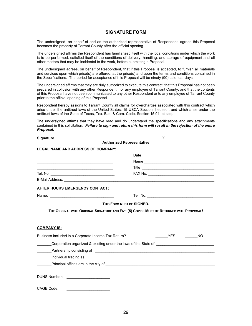#### **SIGNATURE FORM**

The undersigned, on behalf of and as the authorized representative of Respondent, agrees this Proposal becomes the property of Tarrant County after the official opening.

The undersigned affirms the Respondent has familiarized itself with the local conditions under which the work is to be performed; satisfied itself of the conditions of delivery, handling, and storage of equipment and all other matters that may be incidental to the work, before submitting a Proposal.

The undersigned agrees, on behalf of Respondent, that if this Proposal is accepted, to furnish all materials and services upon which price(s) are offered, at the price(s) and upon the terms and conditions contained in the Specifications. The period for acceptance of this Proposal will be ninety (90) calendar days.

The undersigned affirms that they are duly authorized to execute this contract, that this Proposal has not been prepared in collusion with any other Respondent, nor any employee of Tarrant County, and that the contents of this Proposal have not been communicated to any other Respondent or to any employee of Tarrant County prior to the official opening of this Proposal.

Respondent hereby assigns to Tarrant County all claims for overcharges associated with this contract which arise under the antitrust laws of the United States, 15 USCA Section 1 et seq., and which arise under the antitrust laws of the State of Texas, Tex. Bus. & Com. Code, Section 15.01, et seq.

The undersigned affirms that they have read and do understand the specifications and any attachments contained in this solicitation. *Failure to sign and return this form will result in the rejection of the entire Proposal.*

|                                                     | $\times$                                                                                     |
|-----------------------------------------------------|----------------------------------------------------------------------------------------------|
|                                                     |                                                                                              |
| <b>LEGAL NAME AND ADDRESS OF COMPANY:</b>           |                                                                                              |
|                                                     |                                                                                              |
|                                                     |                                                                                              |
|                                                     |                                                                                              |
|                                                     |                                                                                              |
|                                                     |                                                                                              |
| AFTER HOURS EMERGENCY CONTACT:                      |                                                                                              |
|                                                     |                                                                                              |
|                                                     | THIS FORM MUST BE SIGNED.                                                                    |
|                                                     | THE ORIGINAL WITH ORIGINAL SIGNATURE AND FIVE (5) COPIES MUST BE RETURNED WITH PROPOSAL!     |
|                                                     |                                                                                              |
|                                                     |                                                                                              |
| <b>COMPANY IS:</b>                                  |                                                                                              |
| Business included in a Corporate Income Tax Return? | <b>THES</b> NO                                                                               |
|                                                     | Corporation organized & existing under the laws of the State of                              |
|                                                     |                                                                                              |
|                                                     |                                                                                              |
|                                                     | Principal offices are in the city of <b>Construction</b> and the construction of the city of |
|                                                     |                                                                                              |
| <b>DUNS Number:</b>                                 |                                                                                              |
|                                                     |                                                                                              |
| CAGE Code:                                          |                                                                                              |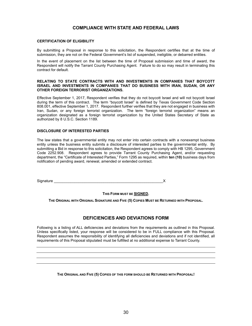#### **COMPLIANCE WITH STATE AND FEDERAL LAWS**

#### **CERTIFICATION OF ELIGIBILITY**

By submitting a Proposal in response to this solicitation, the Respondent certifies that at the time of submission, they are not on the Federal Government's list of suspended, ineligible, or debarred entities.

In the event of placement on the list between the time of Proposal submission and time of award, the Respondent will notify the Tarrant County Purchasing Agent. Failure to do so may result in terminating this contract for default.

#### **RELATING TO STATE CONTRACTS WITH AND INVESTMENTS IN COMPANIES THAT BOYCOTT ISRAEL AND INVESTMENTS IN COMPANIES THAT DO BUSINESS WITH IRAN, SUDAN, OR ANY OTHER FOREIGN TERRORIST ORGANIZATIONS.**

Effective September 1, 2017, Respondent verifies that they do not boycott Israel and will not boycott Israel during the term of this contract. The term "boycott Israel" is defined by Texas Government Code Section 808.001, effective September 1, 2017. Respondent further verifies that they are not engaged in business with Iran, Sudan, or any foreign terrorist organization. The term "foreign terrorist organization" means an organization designated as a foreign terrorist organization by the United States Secretary of State as authorized by 8 U.S.C. Section 1189.

#### **DISCLOSURE OF INTERESTED PARTIES**

The law states that a governmental entity may not enter into certain contracts with a nonexempt business entity unless the business entity submits a disclosure of interested parties to the governmental entity. By submitting a Bid in response to this solicitation, the Respondent agrees to comply with HB 1295, Government Code 2252.908. Respondent agrees to provide Tarrant County Purchasing Agent, and/or requesting department, the "Certificate of Interested Parties," Form 1295 as required, within **ten (10)** business days from notification of pending award, renewal, amended or extended contract.

Signature **Example 20** Signature **Example 20** Signature **Example 20** Signature **Example 20** Signature **Example 20** Signature **Example 20** Signature **Example 20** Signature **Example 20** Signature **Example 20** Signature **Exam** 

**THIS FORM MUST BE SIGNED.**

**THE ORIGINAL WITH ORIGINAL SIGNATURE AND FIVE (5) COPIES MUST BE RETURNED WITH PROPOSAL.**

#### **DEFICIENCIES AND DEVIATIONS FORM**

Following is a listing of ALL deficiencies and deviations from the requirements as outlined in this Proposal. Unless specifically listed, your response will be considered to be in FULL compliance with this Proposal. Respondent assumes the responsibility of identifying all deficiencies and deviations and if not identified, all requirements of this Proposal stipulated must be fulfilled at no additional expense to Tarrant County.

**THE ORIGINAL AND FIVE (5) COPIES OF THIS FORM SHOULD BE RETURNED WITH PROPOSAL!**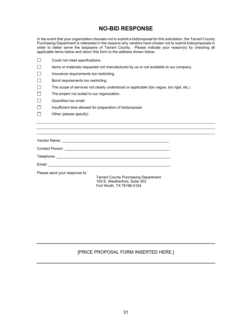# **NO-BID RESPONSE**

In the event that your organization chooses not to submit a bid/proposal for this solicitation, the Tarrant County Purchasing Department is interested in the reasons why vendors have chosen not to submit bids/proposals in order to better serve the taxpayers of Tarrant County. Please indicate your reason(s) by checking all applicable items below and return this form to the address shown below.

|        | Could not meet specifications.                                                          |
|--------|-----------------------------------------------------------------------------------------|
| $\Box$ | Items or materials requested not manufactured by us or not available to our company.    |
| $\Box$ | Insurance requirements too restricting.                                                 |
| $\Box$ | Bond requirements too restricting.                                                      |
| $\Box$ | The scope of services not clearly understood or applicable (too vague, too rigid, etc.) |
| $\Box$ | The project not suited to our organization.                                             |
| ப      | Quantities too small.                                                                   |
| $\Box$ | Insufficient time allowed for preparation of bid/proposal.                              |
|        | Other (please specify).                                                                 |
|        |                                                                                         |
|        |                                                                                         |

| Vendor Name:    |  |
|-----------------|--|
| Contact Person: |  |
| Telephone:      |  |

Email: \_\_\_\_\_\_\_\_\_\_\_\_\_\_\_\_\_\_\_\_\_\_\_\_\_\_\_\_\_\_\_\_\_\_\_\_\_\_\_\_\_\_\_\_\_\_\_\_\_\_\_\_\_\_\_\_\_\_\_

Please send your response to:

Tarrant County Purchasing Department 100 E. Weatherford, Suite 303 Fort Worth, TX 76196-0104

### [PRICE PROPOSAL FORM INSERTED HERE.]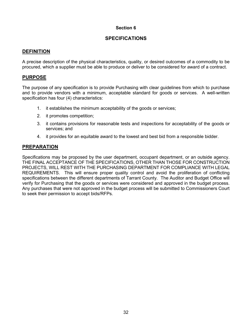### **SPECIFICATIONS**

#### **DEFINITION**

A precise description of the physical characteristics, quality, or desired outcomes of a commodity to be procured, which a supplier must be able to produce or deliver to be considered for award of a contract.

#### **PURPOSE**

The purpose of any specification is to provide Purchasing with clear guidelines from which to purchase and to provide vendors with a minimum, acceptable standard for goods or services. A well-written specification has four (4) characteristics:

- 1. it establishes the minimum acceptability of the goods or services;
- 2. it promotes competition;
- 3. it contains provisions for reasonable tests and inspections for acceptability of the goods or services; and
- 4. it provides for an equitable award to the lowest and best bid from a responsible bidder.

#### **PREPARATION**

Specifications may be proposed by the user department, occupant department, or an outside agency. THE FINAL ACCEPTANCE OF THE SPECIFICATIONS, OTHER THAN THOSE FOR CONSTRUCTION PROJECTS, WILL REST WITH THE PURCHASING DEPARTMENT FOR COMPLIANCE WITH LEGAL REQUIREMENTS. This will ensure proper quality control and avoid the proliferation of conflicting specifications between the different departments of Tarrant County. The Auditor and Budget Office will verify for Purchasing that the goods or services were considered and approved in the budget process. Any purchases that were not approved in the budget process will be submitted to Commissioners Court to seek their permission to accept bids/RFPs.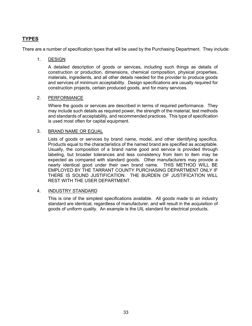# **TYPES**

There are a number of specification types that will be used by the Purchasing Department. They include:

#### 1. DESIGN

A detailed description of goods or services, including such things as details of construction or production, dimensions, chemical composition, physical properties, materials, ingredients, and all other details needed for the provider to produce goods and services of minimum acceptability. Design specifications are usually required for construction projects, certain produced goods, and for many services.

#### 2. PERFORMANCE

Where the goods or services are described in terms of required performance. They may include such details as required power, the strength of the material, test methods and standards of acceptability, and recommended practices. This type of specification is used most often for capital equipment.

#### 3. BRAND NAME OR EQUAL

Lists of goods or services by brand name, model, and other identifying specifics. Products equal to the characteristics of the named brand are specified as acceptable. Usually, the composition of a brand name good and service is provided through labeling, but broader tolerances and less consistency from item to item may be expected as compared with standard goods. Other manufacturers may provide a nearly identical good under their own brand name. THIS METHOD WILL BE EMPLOYED BY THE TARRANT COUNTY PURCHASING DEPARTMENT ONLY IF THERE IS SOUND JUSTIFICATION. THE BURDEN OF JUSTIFICATION WILL REST WITH THE USER DEPARTMENT.

#### 4. INDUSTRY STANDARD

This is one of the simplest specifications available. All goods made to an industry standard are identical, regardless of manufacturer, and will result in the acquisition of goods of uniform quality. An example is the UIL standard for electrical products.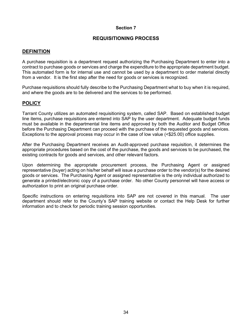### **REQUISITIONING PROCESS**

#### **DEFINITION**

A purchase requisition is a department request authorizing the Purchasing Department to enter into a contract to purchase goods or services and charge the expenditure to the appropriate department budget. This automated form is for internal use and cannot be used by a department to order material directly from a vendor. It is the first step after the need for goods or services is recognized.

Purchase requisitions should fully describe to the Purchasing Department what to buy when it is required, and where the goods are to be delivered and the services to be performed.

### **POLICY**

Tarrant County utilizes an automated requisitioning system, called SAP. Based on established budget line items, purchase requisitions are entered into SAP by the user department. Adequate budget funds must be available in the departmental line items and approved by both the Auditor and Budget Office before the Purchasing Department can proceed with the purchase of the requested goods and services. Exceptions to the approval process may occur in the case of low value (<\$25.00) office supplies.

After the Purchasing Department receives an Audit-approved purchase requisition, it determines the appropriate procedures based on the cost of the purchase, the goods and services to be purchased, the existing contracts for goods and services, and other relevant factors.

Upon determining the appropriate procurement process, the Purchasing Agent or assigned representative (buyer) acting on his/her behalf will issue a purchase order to the vendor(s) for the desired goods or services. The Purchasing Agent or assigned representative is the only individual authorized to generate a printed/electronic copy of a purchase order. No other County personnel will have access or authorization to print an original purchase order.

Specific instructions on entering requisitions into SAP are not covered in this manual. The user department should refer to the County's SAP training website or contact the Help Desk for further information and to check for periodic training session opportunities.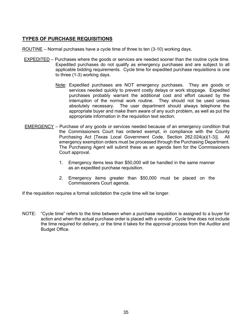## **TYPES OF PURCHASE REQUISITIONS**

- ROUTINE Normal purchases have a cycle time of three to ten (3-10) working days.
- EXPEDITED Purchases where the goods or services are needed sooner than the routine cycle time. Expedited purchases do not qualify as emergency purchases and are subject to all applicable bidding requirements. Cycle time for expedited purchase requisitions is one to three (1-3) working days.
	- Note: Expedited purchases are NOT emergency purchases. They are goods or services needed quickly to prevent costly delays or work stoppage. Expedited purchases probably warrant the additional cost and effort caused by the interruption of the normal work routine. They should not be used unless absolutely necessary. The user department should always telephone the appropriate buyer and make them aware of any such problem, as well as put the appropriate information in the requisition text section.
- EMERGENCY Purchase of any goods or services needed because of an emergency condition that the Commissioners Court has ordered exempt, in compliance with the County Purchasing Act [Texas Local Government Code, Section 262.024(a)(1-3)]. All emergency exemption orders must be processed through the Purchasing Department. The Purchasing Agent will submit these as an agenda item for the Commissioners Court approval.
	- 1. Emergency items less than \$50,000 will be handled in the same manner as an expedited purchase requisition.
	- 2. Emergency items greater than \$50,000 must be placed on the Commissioners Court agenda.

If the requisition requires a formal solicitation the cycle time will be longer.

NOTE: "Cycle time" refers to the time between when a purchase requisition is assigned to a buyer for action and when the actual purchase order is placed with a vendor. Cycle time does not include the time required for delivery, or the time it takes for the approval process from the Auditor and Budget Office.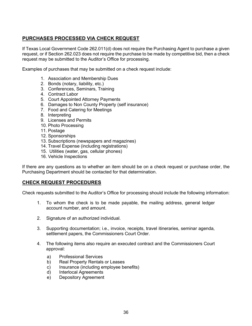## **PURCHASES PROCESSED VIA CHECK REQUEST**

If Texas Local Government Code 262.011(d) does not require the Purchasing Agent to purchase a given request, or if Section 262.023 does not require the purchase to be made by competitive bid, then a check request may be submitted to the Auditor's Office for processing.

Examples of purchases that may be submitted on a check request include:

- 1. Association and Membership Dues
- 2. Bonds (notary, liability, etc.)
- 3. Conferences, Seminars, Training
- 4. Contract Labor
- 5. Court Appointed Attorney Payments
- 6. Damages to Non County Property (self insurance)
- 7. Food and Catering for Meetings
- 8. Interpreting
- 9. Licenses and Permits
- 10. Photo Processing
- 11. Postage
- 12. Sponsorships
- 13. Subscriptions (newspapers and magazines)
- 14. Travel Expense (including registrations)
- 15. Utilities (water, gas, cellular phones)
- 16. Vehicle Inspections

If there are any questions as to whether an item should be on a check request or purchase order, the Purchasing Department should be contacted for that determination.

#### **CHECK REQUEST PROCEDURES**

Check requests submitted to the Auditor's Office for processing should include the following information:

- 1. To whom the check is to be made payable, the mailing address, general ledger account number, and amount.
- 2. Signature of an authorized individual.
- 3. Supporting documentation; i.e., invoice, receipts, travel itineraries, seminar agenda, settlement papers, the Commissioners Court Order.
- 4. The following items also require an executed contract and the Commissioners Court approval:
	- a) Professional Services
	- b) Real Property Rentals or Leases
	- c) Insurance (including employee benefits)
	- d) Interlocal Agreements
	- e) Depository Agreement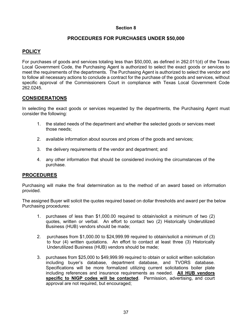### **PROCEDURES FOR PURCHASES UNDER \$50,000**

### **POLICY**

For purchases of goods and services totaling less than \$50,000, as defined in 262.011(d) of the Texas Local Government Code, the Purchasing Agent is authorized to select the exact goods or services to meet the requirements of the departments. The Purchasing Agent is authorized to select the vendor and to follow all necessary actions to conclude a contract for the purchase of the goods and services, without specific approval of the Commissioners Court in compliance with Texas Local Government Code 262.0245.

### **CONSIDERATIONS**

In selecting the exact goods or services requested by the departments, the Purchasing Agent must consider the following:

- 1. the stated needs of the department and whether the selected goods or services meet those needs;
- 2. available information about sources and prices of the goods and services;
- 3. the delivery requirements of the vendor and department; and
- 4. any other information that should be considered involving the circumstances of the purchase.

#### **PROCEDURES**

Purchasing will make the final determination as to the method of an award based on information provided.

The assigned Buyer will solicit the quotes required based on dollar thresholds and award per the below Purchasing procedures:

- 1. purchases of less than \$1,000.00 required to obtain/solicit a minimum of two (2) quotes, written or verbal. An effort to contact two (2) Historically Underutilized Business (HUB) vendors should be made;
- 2. purchases from \$1,000.00 to \$24,999.99 required to obtain/solicit a minimum of (3) to four (4) written quotations. An effort to contact at least three (3) Historically Underutilized Business (HUB) vendors should be made;
- 3. purchases from \$25,000 to \$49,999.99 required to obtain or solicit written solicitation including buyer's database, department database, and TVORS database. Specifications will be more formalized utilizing current solicitations boiler plate including references and insurance requirements as needed. **All HUB vendors specific to NIGP codes will be contacted**. Permission, advertising, and court approval are not required, but encouraged;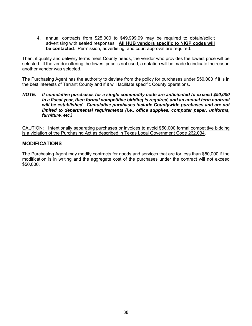4. annual contracts from \$25,000 to \$49,999.99 may be required to obtain/solicit advertising with sealed responses. **All HUB vendors specific to NIGP codes will be contacted**. Permission, advertising, and court approval are required.

Then, if quality and delivery terms meet County needs, the vendor who provides the lowest price will be selected. If the vendor offering the lowest price is not used, a notation will be made to indicate the reason another vendor was selected.

The Purchasing Agent has the authority to deviate from the policy for purchases under \$50,000 if it is in the best interests of Tarrant County and if it will facilitate specific County operations.

*NOTE: If cumulative purchases for a single commodity code are anticipated to exceed \$50,000 in a fiscal year, then formal competitive bidding is required, and an annual term contract will be established. Cumulative purchases include Countywide purchases and are not limited to departmental requirements (i.e., office supplies, computer paper, uniforms, furniture, etc.)*

CAUTION: Intentionally separating purchases or invoices to avoid \$50,000 formal competitive bidding is a violation of the Purchasing Act as described in Texas Local Government Code 262.034.

#### **MODIFICATIONS**

The Purchasing Agent may modify contracts for goods and services that are for less than \$50,000 if the modification is in writing and the aggregate cost of the purchases under the contract will not exceed \$50,000.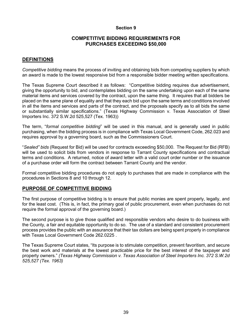#### **COMPETITIVE BIDDING REQUIREMENTS FOR PURCHASES EXCEEDING \$50,000**

### **DEFINITIONS**

*Competitive bidding* means the process of inviting and obtaining bids from competing suppliers by which an award is made to the lowest responsive bid from a responsible bidder meeting written specifications.

The Texas Supreme Court described it as follows: "Competitive bidding requires due advertisement, giving the opportunity to bid, and contemplates bidding on the same undertaking upon each of the same material items and services covered by the contract, upon the same thing. It requires that all bidders be placed on the same plane of equality and that they each bid upon the same terms and conditions involved in all the items and services and parts of the contract, and the proposals specify as to all bids the same or substantially similar specifications." (Texas Highway Commission v. Texas Association of Steel Importers Inc. 372 S.W.2d 525,527 (Tex. 1963))

The term, "*formal competitive bidding*" will be used in this manual, and is generally used in public purchasing, when the bidding process is in compliance with Texas Local Government Code, 262.023 and requires approval by a governing board, such as the Commissioners Court.

"*Sealed" bids* (Request for Bid) will be used for contracts exceeding \$50,000. The Request for Bid (RFB) will be used to solicit bids from vendors in response to Tarrant County specifications and contractual terms and conditions. A returned, notice of award letter with a valid court order number or the issuance of a purchase order will form the contract between Tarrant County and the vendor.

Formal competitive bidding procedures do not apply to purchases that are made in compliance with the procedures in Sections 8 and 10 through 12.

#### **PURPOSE OF COMPETITIVE BIDDING**

The first purpose of competitive bidding is to ensure that public monies are spent properly, legally, and for the least cost. (This is, in fact, the primary goal of public procurement, even when purchases do not require the formal approval of the governing board.)

The second purpose is to give those qualified and responsible vendors who desire to do business with the County, a fair and equitable opportunity to do so. The use of a standard and consistent procurement process provides the public with an assurance that their tax dollars are being spent properly in compliance with Texas Local Government Code 262.0225 .

The Texas Supreme Court states, "Its purpose is to stimulate competition, prevent favoritism, and secure the best work and materials at the lowest practicable price for the best interest of the taxpayer and property owners." *(Texas Highway Commission v. Texas Association of Steel Importers Inc. 372 S.W.2d 525,527 (Tex. 1963)*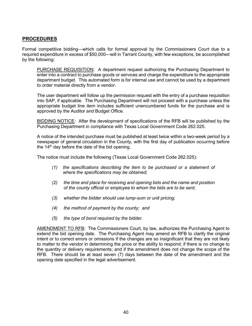### **PROCEDURES**

Formal competitive bidding—which calls for formal approval by the Commissioners Court due to a required expenditure in excess of \$50,000—will in Tarrant County, with few exceptions, be accomplished by the following:

PURCHASE REQUISITION: A department request authorizing the Purchasing Department to enter into a contract to purchase goods or services and charge the expenditure to the appropriate department budget. This automated form is for internal use and cannot be used by a department to order material directly from a vendor.

The user department will follow up the permission request with the entry of a purchase requisition into SAP, if applicable. The Purchasing Department will not proceed with a purchase unless the appropriate budget line item includes sufficient unencumbered funds for the purchase and is approved by the Auditor and Budget Office.

BIDDING NOTICE: After the development of specifications of the RFB will be published by the Purchasing Department in compliance with Texas Local Government Code 262.025.

A notice of the intended purchase must be published at least twice within a two-week period by a newspaper of general circulation in the County, with the first day of publication occurring before the  $14<sup>th</sup>$  day before the date of the bid opening.

The notice must include the following (Texas Local Government Code 262.025):

- *(1) the specifications describing the item to be purchased or a statement of where the specifications may be obtained;*
- *(2) the time and place for receiving and opening bids and the name and position of the county official or employee to whom the bids are to be sent;*
- *(3) whether the bidder should use lump-sum or unit pricing;*
- *(4) the method of payment by the county; and*
- *(5) the type of bond required by the bidder.*

AMENDMENT TO RFB: The Commissioners Court, by law, authorizes the Purchasing Agent to extend the bid opening date. The Purchasing Agent may amend an RFB to clarify the original intent or to correct errors or omissions if the changes are so insignificant that they are not likely to matter to the vendor in determining the price or the ability to respond; if there is no change to the quantity or delivery requirements; and if the amendment does not change the scope of the RFB. There should be at least seven (7) days between the date of the amendment and the opening date specified in the legal advertisement.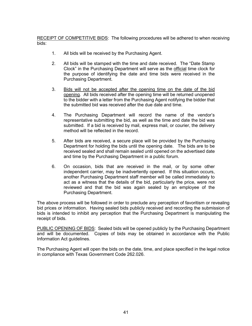RECEIPT OF COMPETITIVE BIDS: The following procedures will be adhered to when receiving bids:

- 1. All bids will be received by the Purchasing Agent.
- 2. All bids will be stamped with the time and date received. The "Date Stamp Clock" in the Purchasing Department will serve as the official time clock for the purpose of identifying the date and time bids were received in the Purchasing Department.
- 3. Bids will not be accepted after the opening time on the date of the bid opening. All bids received after the opening time will be returned unopened to the bidder with a letter from the Purchasing Agent notifying the bidder that the submitted bid was received after the due date and time.
- 4. The Purchasing Department will record the name of the vendor's representative submitting the bid, as well as the time and date the bid was submitted. If a bid is received by mail, express mail, or courier, the delivery method will be reflected in the record.
- 5. After bids are received, a secure place will be provided by the Purchasing Department for holding the bids until the opening date. The bids are to be received sealed and shall remain sealed until opened on the advertised date and time by the Purchasing Department in a public forum.
- 6. On occasion, bids that are received in the mail, or by some other independent carrier, may be inadvertently opened. If this situation occurs, another Purchasing Department staff member will be called immediately to act as a witness that the details of the bid, particularly the price, were not reviewed and that the bid was again sealed by an employee of the Purchasing Department.

The above process will be followed in order to preclude any perception of favoritism or revealing bid prices or information. Having sealed bids publicly received and recording the submission of bids is intended to inhibit any perception that the Purchasing Department is manipulating the receipt of bids.

PUBLIC OPENING OF BIDS: Sealed bids will be opened publicly by the Purchasing Department and will be documented. Copies of bids may be obtained in accordance with the Public Information Act guidelines.

The Purchasing Agent will open the bids on the date, time, and place specified in the legal notice in compliance with Texas Government Code 262.026.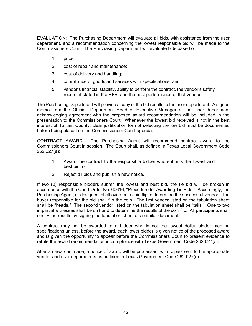EVALUATION: The Purchasing Department will evaluate all bids, with assistance from the user department, and a recommendation concerning the lowest responsible bid will be made to the Commissioners Court. The Purchasing Department will evaluate bids based on:

- 1. price;
- 2. cost of repair and maintenance;
- 3. cost of delivery and handling;
- 4. compliance of goods and services with specifications; and
- 5. vendor's financial stability, ability to perform the contract, the vendor's safety record, if stated in the RFB, and the past performance of that vendor.

The Purchasing Department will provide a copy of the bid results to the user department. A signed memo from the Official, Department Head or Executive Manager of that user department acknowledging agreement with the proposed award recommendation will be included in the presentation to the Commissioners Court. Whenever the lowest bid received is not in the best interest of Tarrant County, clear justification for not selecting the low bid must be documented before being placed on the Commissioners Court agenda.

CONTRACT AWARD: The Purchasing Agent will recommend contract award to the Commissioners Court in session. The Court shall, as defined in Texas Local Government Code 262.027(a):

- 1. Award the contract to the responsible bidder who submits the lowest and best bid; or
- 2. Reject all bids and publish a new notice.

If two (2) responsible bidders submit the lowest and best bid, the tie bid will be broken in accordance with the Court Order No. 60616, "Procedure for Awarding Tie Bids." Accordingly, the Purchasing Agent, or designee, shall oversee a coin flip to determine the successful vendor. The buyer responsible for the bid shall flip the coin. The first vendor listed on the tabulation sheet shall be "heads." The second vendor listed on the tabulation sheet shall be "tails." One to two impartial witnesses shall be on hand to determine the results of the coin flip. All participants shall certify the results by signing the tabulation sheet or a similar document.

A contract may not be awarded to a bidder who is not the lowest dollar bidder meeting specifications unless, before the award, each lower bidder is given notice of the proposed award and is given the opportunity to appear before the Commissioners Court to present evidence to refute the award recommendation in compliance with Texas Government Code 262.027(c).

After an award is made, a notice of award will be processed, with copies sent to the appropriate vendor and user departments as outlined in Texas Government Code 262.027(c).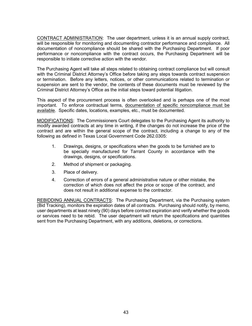CONTRACT ADMINISTRATION: The user department, unless it is an annual supply contract, will be responsible for monitoring and documenting contractor performance and compliance. All documentation of noncompliance should be shared with the Purchasing Department. If poor performance or noncompliance with the contract occurs, the Purchasing Department will be responsible to initiate corrective action with the vendor.

The Purchasing Agent will take all steps related to obtaining contract compliance but will consult with the Criminal District Attorney's Office before taking any steps towards contract suspension or termination. Before any letters, notices, or other communications related to termination or suspension are sent to the vendor, the contents of these documents must be reviewed by the Criminal District Attorney's Office as the initial steps toward potential litigation.

This aspect of the procurement process is often overlooked and is perhaps one of the most important. To enforce contractual terms, documentation of specific noncompliance must be available. Specific dates, locations, examples, etc., must be documented.

MODIFICATIONS: The Commissioners Court delegates to the Purchasing Agent its authority to modify awarded contracts at any time in writing, if the changes do not increase the price of the contract and are within the general scope of the contract, including a change to any of the following as defined in Texas Local Government Code 262.0305:

- 1. Drawings, designs, or specifications when the goods to be furnished are to be specially manufactured for Tarrant County in accordance with the drawings, designs, or specifications.
- 2. Method of shipment or packaging.
- 3. Place of delivery.
- 4. Correction of errors of a general administrative nature or other mistake, the correction of which does not affect the price or scope of the contract, and does not result in additional expense to the contractor.

REBIDDING ANNUAL CONTRACTS: The Purchasing Department, via the Purchasing system (Bid Tracking), monitors the expiration dates of all contracts. Purchasing should notify, by memo, user departments at least ninety (90) days before contract expiration and verify whether the goods or services need to be rebid. The user department will return the specifications and quantities sent from the Purchasing Department, with any additions, deletions, or corrections.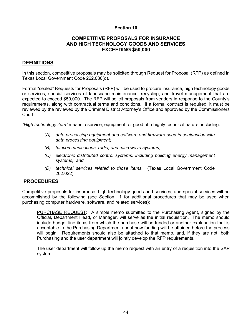#### **COMPETITIVE PROPOSALS FOR INSURANCE AND HIGH TECHNOLOGY GOODS AND SERVICES EXCEEDING \$50,000**

### **DEFINITIONS**

In this section, competitive proposals may be solicited through Request for Proposal (RFP) as defined in Texas Local Government Code 262.030(d).

Formal "sealed" Requests for Proposals (RFP) will be used to procure insurance, high technology goods or services, special services of landscape maintenance, recycling, and travel management that are expected to exceed \$50,000. The RFP will solicit proposals from vendors in response to the County's requirements, along with contractual terms and conditions. If a formal contract is required, it must be reviewed by the reviewed by the Criminal District Attorney's Office and approved by the Commissioners Court.

*"High technology item"* means a service, equipment, or good of a highly technical nature, including:

- (*A) data processing equipment and software and firmware used in conjunction with data processing equipment;*
- *(B) telecommunications, radio, and microwave systems;*
- *(C) electronic distributed control systems, including building energy management systems; and*
- *(D) technical services related to those items.* (Texas Local Government Code 262.022)

#### **PROCEDURES**

Competitive proposals for insurance, high technology goods and services, and special services will be accomplished by the following (see Section 11 for additional procedures that may be used when purchasing computer hardware, software, and related services):

PURCHASE REQUEST: A simple memo submitted to the Purchasing Agent, signed by the Official, Department Head, or Manager, will serve as the initial requisition. The memo should include budget line items from which the purchase will be funded or another explanation that is acceptable to the Purchasing Department about how funding will be attained before the process will begin. Requirements should also be attached to that memo, and, if they are not, both Purchasing and the user department will jointly develop the RFP requirements.

The user department will follow up the memo request with an entry of a requisition into the SAP system.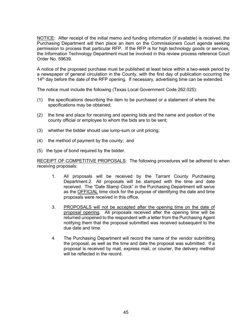NOTICE: After receipt of the initial memo and funding information (if available) is received, the Purchasing Department will then place an item on the Commissioners Court agenda seeking permission to process that particular RFP. If the RFP is for high technology goods or services, the Information Technology Department must be involved in this review process reference Court Order No. 59639.

A notice of the proposed purchase must be published at least twice within a two-week period by a newspaper of general circulation in the County, with the first day of publication occurring the  $14<sup>th</sup>$  day before the date of the RFP opening. If necessary, advertising time can be extended.

The notice must include the following (Texas Local Government Code 262.025):

- (1) the specifications describing the item to be purchased or a statement of where the specifications may be obtained;
- (2) the time and place for receiving and opening bids and the name and position of the county official or employee to whom the bids are to be sent;
- (3) whether the bidder should use lump-sum or unit pricing;
- (4) the method of payment by the county; and
- (5) the type of bond required by the bidder.

RECEIPT OF COMPETITIVE PROPOSALS: The following procedures will be adhered to when receiving proposals:

- 1. All proposals will be received by the Tarrant County Purchasing Department.2. All proposals will be stamped with the time and date received. The "Date Stamp Clock" in the Purchasing Department will serve as the OFFICIAL time clock for the purpose of identifying the date and time proposals were received in this office.
- 3. PROPOSALS will not be accepted after the opening time on the date of proposal opening. All proposals received after the opening time will be returned unopened to the respondent with a letter from the Purchasing Agent notifying them that the proposal submitted was received subsequent to the due date and time.
- 4 The Purchasing Department will record the name of the vendor submitting the proposal, as well as the time and date the proposal was submitted. If a proposal is received by mail, express mail, or courier, the delivery method will be reflected in the record.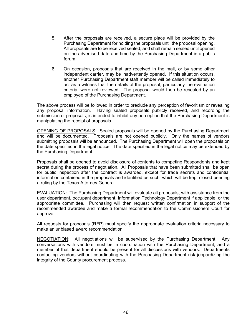- 5. After the proposals are received, a secure place will be provided by the Purchasing Department for holding the proposals until the proposal opening. All proposals are to be received sealed, and shall remain sealed until opened on the advertised date and time by the Purchasing Department in a public forum.
- 6. On occasion, proposals that are received in the mail, or by some other independent carrier, may be inadvertently opened. If this situation occurs, another Purchasing Department staff member will be called immediately to act as a witness that the details of the proposal, particularly the evaluation criteria, were not reviewed. The proposal would then be resealed by an employee of the Purchasing Department.

The above process will be followed in order to preclude any perception of favoritism or revealing any proposal information. Having sealed proposals publicly received, and recording the submission of proposals, is intended to inhibit any perception that the Purchasing Department is manipulating the receipt of proposals.

OPENING OF PROPOSALS: Sealed proposals will be opened by the Purchasing Department and will be documented. Proposals are not opened publicly. Only the names of vendors submitting proposals will be announced. The Purchasing Department will open the proposals on the date specified in the legal notice. The date specified in the legal notice may be extended by the Purchasing Department.

Proposals shall be opened to avoid disclosure of contents to competing Respondents and kept secret during the process of negotiation. All Proposals that have been submitted shall be open for public inspection after the contract is awarded, except for trade secrets and confidential information contained in the proposals and identified as such, which will be kept closed pending a ruling by the Texas Attorney General.

EVALUATION: The Purchasing Department will evaluate all proposals, with assistance from the user department, occupant department, Information Technology Department if applicable, or the appropriate committee. Purchasing will then request written confirmation in support of the recommended awardee and make a formal recommendation to the Commissioners Court for approval.

All requests for proposals (RFP) must specify the appropriate evaluation criteria necessary to make an unbiased award recommendation.

NEGOTIATION: All negotiations will be supervised by the Purchasing Department. Any conversations with vendors must be in coordination with the Purchasing Department, and a member of that department should be present for all discussions with vendors. Departments contacting vendors without coordinating with the Purchasing Department risk jeopardizing the integrity of the County procurement process.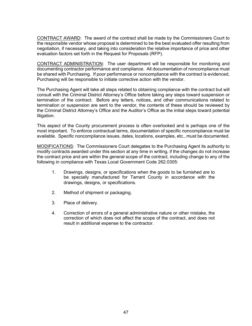CONTRACT AWARD: The award of the contract shall be made by the Commissioners Court to the responsible vendor whose proposal is determined to be the best evaluated offer resulting from negotiation, if necessary, and taking into consideration the relative importance of price and other evaluation factors set forth in the Request for Proposals (RFP).

CONTRACT ADMINISTRATION: The user department will be responsible for monitoring and documenting contractor performance and compliance. All documentation of noncompliance must be shared with Purchasing. If poor performance or noncompliance with the contract is evidenced, Purchasing will be responsible to initiate corrective action with the vendor.

The Purchasing Agent will take all steps related to obtaining compliance with the contract but will consult with the Criminal District Attorney's Office before taking any steps toward suspension or termination of the contract. Before any letters, notices, and other communications related to termination or suspension are sent to the vendor, the contents of these should be reviewed by the Criminal District Attorney's Office and the Auditor's Office as the initial steps toward potential litigation.

This aspect of the County procurement process is often overlooked and is perhaps one of the most important. To enforce contractual terms, documentation of specific noncompliance must be available. Specific noncompliance issues, dates, locations, examples, etc., must be documented.

MODIFICATIONS: The Commissioners Court delegates to the Purchasing Agent its authority to modify contracts awarded under this section at any time in writing, if the changes do not increase the contract price and are within the general scope of the contract, including change to any of the following in compliance with Texas Local Government Code 262.0305:

- 1. Drawings, designs, or specifications when the goods to be furnished are to be specially manufactured for Tarrant County in accordance with the drawings, designs, or specifications.
- 2. Method of shipment or packaging.
- 3. Place of delivery.
- 4. Correction of errors of a general administrative nature or other mistake, the correction of which does not affect the scope of the contract, and does not result in additional expense to the contractor.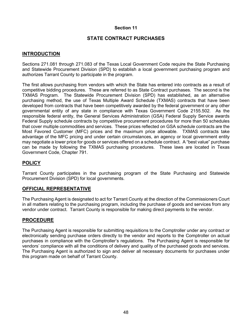### **STATE CONTRACT PURCHASES**

### **INTRODUCTION**

Sections 271.081 through 271.083 of the Texas Local Government Code require the State Purchasing and Statewide Procurement Division (SPD) to establish a local government purchasing program and authorizes Tarrant County to participate in the program.

The first allows purchasing from vendors with which the State has entered into contracts as a result of competitive bidding procedures. These are referred to as State Contract purchases. The second is the TXMAS Program. The Statewide Procurement Division (SPD) has established, as an alternative purchasing method, the use of Texas Multiple Award Schedule (TXMAS) contracts that have been developed from contracts that have been competitively awarded by the federal government or any other governmental entity of any state in compliance with Texas Government Code 2155.502. As the responsible federal entity, the General Services Administration (GSA) Federal Supply Service awards Federal Supply schedule contracts by competitive procurement procedures for more than 50 schedules that cover multiple commodities and services. These prices reflected on GSA schedule contracts are the Most Favored Customer (MFC) prices and the maximum price allowable. TXMAS contracts take advantage of the MFC pricing and under certain circumstances, an agency or local government entity may negotiate a lower price for goods or services offered on a schedule contract. A "best value" purchase can be made by following the TXMAS purchasing procedures. These laws are located in Texas Government Code, Chapter 791.

### **POLICY**

Tarrant County participates in the purchasing program of the State Purchasing and Statewide Procurement Division (SPD) for local governments.

#### **OFFICIAL REPRESENTATIVE**

The Purchasing Agent is designated to act for Tarrant County at the direction of the Commissioners Court in all matters relating to the purchasing program, including the purchase of goods and services from any vendor under contract. Tarrant County is responsible for making direct payments to the vendor.

#### **PROCEDURE**

The Purchasing Agent is responsible for submitting requisitions to the Comptroller under any contract or electronically sending purchase orders directly to the vendor and reports to the Comptroller on actual purchases in compliance with the Comptroller's regulations. The Purchasing Agent is responsible for vendors' compliance with all the conditions of delivery and quality of the purchased goods and services. The Purchasing Agent is authorized to sign and deliver all necessary documents for purchases under this program made on behalf of Tarrant County.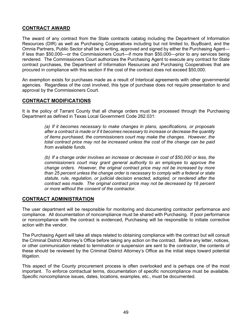## **CONTRACT AWARD**

The award of any contract from the State contracts catalog including the Department of Information Resources (DIR) as well as Purchasing Cooperatives including but not limited to, BuyBoard, and the Omnia Partners, Public Sector shall be in writing, approved and signed by either the Purchasing Agent if less than \$50,000—or the Commissioners Court—if more than \$50,000—prior to any services being rendered. The Commissioners Court authorizes the Purchasing Agent to execute any contract for State contract purchases, the Department of Information Resources and Purchasing Cooperatives that are procured in compliance with this section if the cost of the contract does not exceed \$50,000.

An exemption exists for purchases made as a result of Interlocal agreements with other governmental agencies. Regardless of the cost involved, this type of purchase does not require presentation to and approval by the Commissioners Court.

#### **CONTRACT MODIFICATIONS**

It is the policy of Tarrant County that all change orders must be processed through the Purchasing Department as defined in Texas Local Government Code 262.031:

> *(a) If it becomes necessary to make changes in plans, specifications, or proposals after a contract is made or if it becomes necessary to increase or decrease the quantity of items purchased, the commissioners court may make the changes. However, the total contract price may not be increased unless the cost of the change can be paid from available funds.*

> *(b) If a change order involves an increase or decrease in cost of \$50,000 or less, the commissioners court may grant general authority to an employee to approve the change orders. However, the original contract price may not be increased by more than 25 percent unless the change order is necessary to comply with a federal or state statute, rule, regulation, or judicial decision enacted, adopted, or rendered after the contract was made. The original contract price may not be decreased by 18 percent or more without the consent of the contractor.*

#### **CONTRACT ADMINISTRATION**

The user department will be responsible for monitoring and documenting contractor performance and compliance. All documentation of noncompliance must be shared with Purchasing. If poor performance or noncompliance with the contract is evidenced, Purchasing will be responsible to initiate corrective action with the vendor.

The Purchasing Agent will take all steps related to obtaining compliance with the contract but will consult the Criminal District Attorney's Office before taking any action on the contract. Before any letter, notices, or other communication related to termination or suspension are sent to the contractor, the contents of these should be reviewed by the Criminal District Attorney's Office as the initial steps toward potential litigation.

This aspect of the County procurement process is often overlooked and is perhaps one of the most important. To enforce contractual terms, documentation of specific noncompliance must be available. Specific noncompliance issues, dates, locations, examples, etc., must be documented.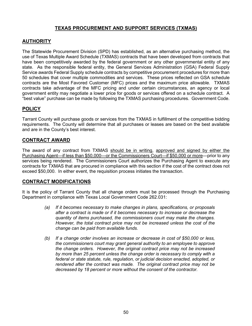## **TEXAS PROCUREMENT AND SUPPORT SERVICES (TXMAS)**

### **AUTHORITY**

The Statewide Procurement Division (SPD) has established, as an alternative purchasing method, the use of Texas Multiple Award Schedule (TXMAS) contracts that have been developed from contracts that have been competitively awarded by the federal government or any other governmental entity of any state. As the responsible federal entity, the General Services Administration (GSA) Federal Supply Service awards Federal Supply schedule contracts by competitive procurement procedures for more than 50 schedules that cover multiple commodities and services. These prices reflected on GSA schedule contracts are the Most Favored Customer (MFC) prices and the maximum price allowable. TXMAS contracts take advantage of the MFC pricing and under certain circumstances, an agency or local government entity may negotiate a lower price for goods or services offered on a schedule contract. A "best value" purchase can be made by following the TXMAS purchasing procedures. Government Code.

## **POLICY**

Tarrant County will purchase goods or services from the TXMAS in fulfillment of the competitive bidding requirements. The County will determine that all purchases or leases are based on the best available and are in the County's best interest.

### **CONTRACT AWARD**

The award of any contract from TXMAS should be in writing, approved and signed by either the Purchasing Agent—if less than \$50,000—or the Commissioners Court—if \$50,000 or more—prior to any services being rendered. The Commissioners Court authorizes the Purchasing Agent to execute any contracts for TXMAS that are procured in compliance with this section if the cost of the contract does not exceed \$50,000. In either event, the requisition process initiates the transaction.

## **CONTRACT MODIFICATIONS**

It is the policy of Tarrant County that all change orders must be processed through the Purchasing Department in compliance with Texas Local Government Code 262.031:

- *(a) If it becomes necessary to make changes in plans, specifications, or proposals after a contract is made or if it becomes necessary to increase or decrease the quantity of items purchased, the commissioners court may make the changes. However, the total contract price may not be increased unless the cost of the change can be paid from available funds.*
- *(b) If a change order involves an increase or decrease in cost of \$50,000 or less, the commissioners court may grant general authority to an employee to approve the change orders. However, the original contract price may not be increased by more than 25 percent unless the change order is necessary to comply with a federal or state statute, rule, regulation, or judicial decision enacted, adopted, or rendered after the contract was made. The original contract price may not be decreased by 18 percent or more without the consent of the contractor.*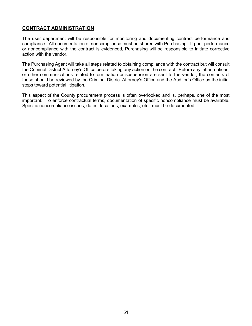### **CONTRACT ADMINISTRATION**

The user department will be responsible for monitoring and documenting contract performance and compliance. All documentation of noncompliance must be shared with Purchasing. If poor performance or noncompliance with the contract is evidenced, Purchasing will be responsible to initiate corrective action with the vendor.

The Purchasing Agent will take all steps related to obtaining compliance with the contract but will consult the Criminal District Attorney's Office before taking any action on the contract. Before any letter, notices, or other communications related to termination or suspension are sent to the vendor, the contents of these should be reviewed by the Criminal District Attorney's Office and the Auditor's Office as the initial steps toward potential litigation.

This aspect of the County procurement process is often overlooked and is, perhaps, one of the most important. To enforce contractual terms, documentation of specific noncompliance must be available. Specific noncompliance issues, dates, locations, examples, etc., must be documented.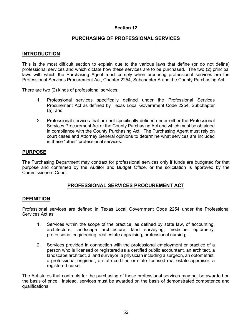### **PURCHASING OF PROFESSIONAL SERVICES**

#### **INTRODUCTION**

This is the most difficult section to explain due to the various laws that define (or do not define) professional services and which dictate how these services are to be purchased. The two (2) principal laws with which the Purchasing Agent must comply when procuring professional services are the Professional Services Procurement Act, Chapter 2254, Subchapter A and the County Purchasing Act.

There are two (2) kinds of professional services:

- 1. Professional services specifically defined under the Professional Services Procurement Act as defined by Texas Local Government Code 2254, Subchapter (a); and
- 2. Professional services that are not specifically defined under either the Professional Services Procurement Act or the County Purchasing Act and which must be obtained in compliance with the County Purchasing Act. The Purchasing Agent must rely on court cases and Attorney General opinions to determine what services are included in these "other" professional services.

#### **PURPOSE**

The Purchasing Department may contract for professional services only if funds are budgeted for that purpose and confirmed by the Auditor and Budget Office, or the solicitation is approved by the Commissioners Court.

### **PROFESSIONAL SERVICES PROCUREMENT ACT**

#### **DEFINITION**

Professional services are defined in Texas Local Government Code 2254 under the Professional Services Act as:

- 1. Services within the scope of the practice, as defined by state law, of accounting, architecture, landscape architecture, land surveying, medicine, optometry, professional engineering, real estate appraising, professional nursing;
- 2. Services provided in connection with the professional employment or practice of a person who is licensed or registered as a certified public accountant, an architect, a landscape architect, a land surveyor, a physician including a surgeon, an optometrist, a professional engineer, a state certified or state licensed real estate appraiser, a registered nurse.

The Act states that contracts for the purchasing of these professional services may not be awarded on the basis of price. Instead, services must be awarded on the basis of demonstrated competence and qualifications.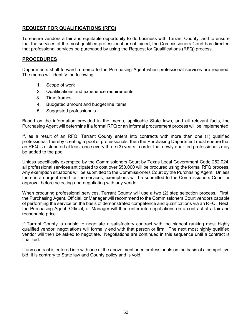## **REQUEST FOR QUALIFICATIONS (RFQ)**

To ensure vendors a fair and equitable opportunity to do business with Tarrant County, and to ensure that the services of the most qualified professional are obtained, the Commissioners Court has directed that professional services be purchased by using the Request for Qualifications (RFQ) process.

### **PROCEDURES**

Departments shall forward a memo to the Purchasing Agent when professional services are required. The memo will identify the following:

- 1. Scope of work
- 2. Qualifications and experience requirements
- 3. Time frames
- 4. Budgeted amount and budget line items
- 5. Suggested professionals

Based on the information provided in the memo, applicable State laws, and all relevant facts, the Purchasing Agent will determine if a formal RFQ or an informal procurement process will be implemented.

If, as a result of an RFQ, Tarrant County enters into contracts with more than one (1) qualified professional, thereby creating a pool of professionals, then the Purchasing Department must ensure that an RFQ is distributed at least once every three (3) years in order that newly qualified professionals may be added to the pool.

Unless specifically exempted by the Commissioners Court by Texas Local Government Code 262.024, all professional services anticipated to cost over \$50,000 will be procured using the formal RFQ process. Any exemption situations will be submitted to the Commissioners Court by the Purchasing Agent. Unless there is an urgent need for the services, exemptions will be submitted to the Commissioners Court for approval before selecting and negotiating with any vendor.

When procuring professional services, Tarrant County will use a two (2) step selection process. First, the Purchasing Agent, Official, or Manager will recommend to the Commissioners Court vendors capable of performing the service on the basis of demonstrated competence and qualifications via an RFQ. Next, the Purchasing Agent, Official, or Manager will then enter into negotiations on a contract at a fair and reasonable price.

If Tarrant County is unable to negotiate a satisfactory contract with the highest ranking most highly qualified vendor, negotiations will formally end with that person or firm. The next most highly qualified vendor will then be asked to negotiate. Negotiations are continued in this sequence until a contract is finalized.

If any contract is entered into with one of the above mentioned professionals on the basis of a competitive bid, it is contrary to State law and County policy and is void.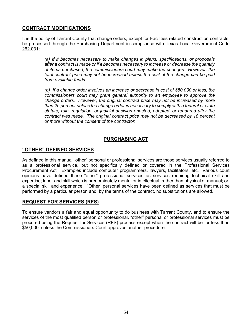### **CONTRACT MODIFICATIONS**

It is the policy of Tarrant County that change orders, except for Facilities related construction contracts, be processed through the Purchasing Department in compliance with Texas Local Government Code 262.031:

> *(a) If it becomes necessary to make changes in plans, specifications, or proposals after a contract is made or if it becomes necessary to increase or decrease the quantity of items purchased, the commissioners court may make the changes. However, the total contract price may not be increased unless the cost of the change can be paid from available funds.*

> *(b) If a change order involves an increase or decrease in cost of \$50,000 or less, the commissioners court may grant general authority to an employee to approve the change orders. However, the original contract price may not be increased by more than 25 percent unless the change order is necessary to comply with a federal or state statute, rule, regulation, or judicial decision enacted, adopted, or rendered after the contract was made. The original contract price may not be decreased by 18 percent or more without the consent of the contractor.*

## **PURCHASING ACT**

#### **"OTHER" DEFINED SERVICES**

As defined in this manual "other" personal or professional services are those services usually referred to as a professional service, but not specifically defined or covered in the Professional Services Procurement Act. Examples include computer programmers, lawyers, facilitators, etc. Various court opinions have defined these "other" professional services as services requiring technical skill and expertise; labor and skill which is predominately mental or intellectual, rather than physical or manual; or, a special skill and experience. "Other" personal services have been defined as services that must be performed by a particular person and, by the terms of the contract, no substitutions are allowed.

### **REQUEST FOR SERVICES (RFS)**

To ensure vendors a fair and equal opportunity to do business with Tarrant County, and to ensure the services of the most qualified person or professional, "other" personal or professional services must be procured using the Request for Services (RFS) process except when the contract will be for less than \$50,000, unless the Commissioners Court approves another procedure.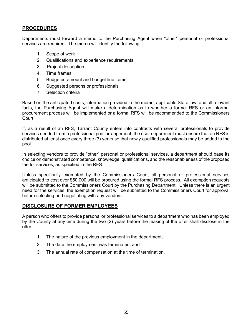### **PROCEDURES**

Departments must forward a memo to the Purchasing Agent when "other" personal or professional services are required. The memo will identify the following:

- 1. Scope of work
- 2. Qualifications and experience requirements
- 3. Project description
- 4. Time frames
- 5. Budgeted amount and budget line items
- 6. Suggested persons or professionals
- 7. Selection criteria

Based on the anticipated costs, information provided in the memo, applicable State law, and all relevant facts, the Purchasing Agent will make a determination as to whether a formal RFS or an informal procurement process will be implemented or a formal RFS will be recommended to the Commissioners Court.

If, as a result of an RFS, Tarrant County enters into contracts with several professionals to provide services needed from a professional pool arrangement, the user department must ensure that an RFS is distributed at least once every three (3) years so that newly qualified professionals may be added to the pool.

In selecting vendors to provide "other" personal or professional services, a department should base its choice on demonstrated competence, knowledge, qualifications, and the reasonableness of the proposed fee for services, as specified in the RFS.

Unless specifically exempted by the Commissioners Court, all personal or professional services anticipated to cost over \$50,000 will be procured using the formal RFS process. All exemption requests will be submitted to the Commissioners Court by the Purchasing Department. Unless there is an urgent need for the services, the exemption request will be submitted to the Commissioners Court for approval before selecting and negotiating with any vendors.

### **DISCLOSURE OF FORMER EMPLOYEES**

A person who offers to provide personal or professional services to a department who has been employed by the County at any time during the two (2) years before the making of the offer shall disclose in the offer:

- 1. The nature of the previous employment in the department;
- 2. The date the employment was terminated; and
- 3. The annual rate of compensation at the time of termination.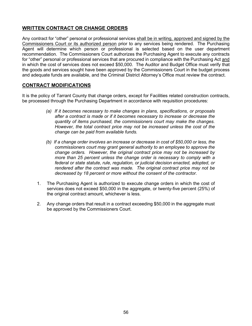## **WRITTEN CONTRACT OR CHANGE ORDERS**

Any contract for "other" personal or professional services shall be in writing, approved and signed by the Commissioners Court or its authorized person prior to any services being rendered. The Purchasing Agent will determine which person or professional is selected based on the user department recommendation. The Commissioners Court authorizes the Purchasing Agent to execute any contracts for "other" personal or professional services that are procured in compliance with the Purchasing Act and in which the cost of services does not exceed \$50,000. The Auditor and Budget Office must verify that the goods and services sought have been approved by the Commissioners Court in the budget process and adequate funds are available, and the Criminal District Attorney's Office must review the contract.

### **CONTRACT MODIFICATIONS**

It is the policy of Tarrant County that change orders, except for Facilities related construction contracts, be processed through the Purchasing Department in accordance with requisition procedures:

- *(a) If it becomes necessary to make changes in plans, specifications, or proposals after a contract is made or if it becomes necessary to increase or decrease the quantity of items purchased, the commissioners court may make the changes. However, the total contract price may not be increased unless the cost of the change can be paid from available funds.*
- *(b) If a change order involves an increase or decrease in cost of \$50,000 or less, the commissioners court may grant general authority to an employee to approve the change orders. However, the original contract price may not be increased by more than 25 percent unless the change order is necessary to comply with a federal or state statute, rule, regulation, or judicial decision enacted, adopted, or rendered after the contract was made. The original contract price may not be decreased by 18 percent or more without the consent of the contractor.*
- 1. The Purchasing Agent is authorized to execute change orders in which the cost of services does not exceed \$50,000 in the aggregate, or twenty-five percent (25%) of the original contract amount, whichever is less.
- 2. Any change orders that result in a contract exceeding \$50,000 in the aggregate must be approved by the Commissioners Court.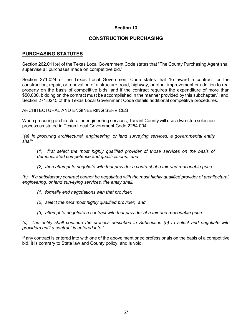### **CONSTRUCTION PURCHASING**

### **PURCHASING STATUTES**

Section 262.011(e) of the Texas Local Government Code states that "The County Purchasing Agent shall supervise all purchases made on competitive bid."

Section 271.024 of the Texas Local Government Code states that "to award a contract for the construction, repair, or renovation of a structure, road, highway, or other improvement or addition to real property on the basis of competitive bids, and if the contract requires the expenditure of more than \$50,000, bidding on the contract must be accomplished in the manner provided by this subchapter."; and, Section 271.0245 of the Texas Local Government Code details additional competitive procedures.

ARCHITECTURAL AND ENGINEERING SERVICES

When procuring architectural or engineering services, Tarrant County will use a two-step selection process as stated in Texas Local Government Code 2254.004:

*"(a) In procuring architectural, engineering, or land surveying services, a governmental entity shall:*

(*1) first select the most highly qualified provider of those services on the basis of demonstrated competence and qualifications; and*

*(2) then attempt to negotiate with that provider a contract at a fair and reasonable price.*

*(b) If a satisfactory contract cannot be negotiated with the most highly qualified provider of architectural, engineering, or land surveying services, the entity shall:*

- *(1) formally end negotiations with that provider;*
- *(2) select the next most highly qualified provider; and*
- *(3) attempt to negotiate a contract with that provider at a fair and reasonable price.*

*(c) The entity shall continue the process described in Subsection (b) to select and negotiate with providers until a contract is entered into."*

If any contract is entered into with one of the above mentioned professionals on the basis of a competitive bid, it is contrary to State law and County policy, and is void.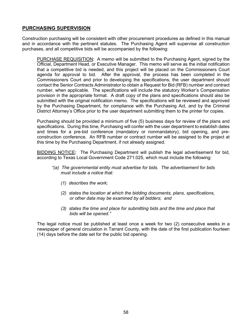### **PURCHASING SUPERVISION**

Construction purchasing will be consistent with other procurement procedures as defined in this manual and in accordance with the pertinent statutes. The Purchasing Agent will supervise all construction purchases, and all competitive bids will be accompanied by the following:

PURCHASE REQUISITION: A memo will be submitted to the Purchasing Agent, signed by the Official, Department Head, or Executive Manager. This memo will serve as the initial notification that a competitive bid is needed, and this project will be placed on the Commissioners Court agenda for approval to bid. After the approval, the process has been completed in the Commissioners Court and prior to developing the specifications, the user department should contact the Senior Contracts Administrator to obtain a Request for Bid (RFB) number and contract number, when applicable. The specifications will include the statutory Worker's Compensation provision in the appropriate format. A draft copy of the plans and specifications should also be submitted with the original notification memo. The specifications will be reviewed and approved by the Purchasing Department, for compliance with the Purchasing Act, and by the Criminal District Attorney's Office prior to the user department submitting them to the printer for copies.

Purchasing should be provided a minimum of five (5) business days for review of the plans and specifications. During this time, Purchasing will confer with the user department to establish dates and times for a pre-bid conference (mandatory or nonmandatory), bid opening, and preconstruction conference. An RFB number or contract number will be assigned to the project at this time by the Purchasing Department, if not already assigned.

BIDDING NOTICE**:** The Purchasing Department will publish the legal advertisement for bid, according to Texas Local Government Code 271.025, which must include the following:

- *"(a) The governmental entity must advertise for bids. The advertisement for bids must include a notice that:*
	- *(1) describes the work;*
	- *(2) states the location at which the bidding documents, plans, specifications, or other data may be examined by all bidders; and*
	- *(3) states the time and place for submitting bids and the time and place that bids will be opened."*

The legal notice must be published at least once a week for two (2) consecutive weeks in a newspaper of general circulation in Tarrant County, with the date of the first publication fourteen (14) days before the date set for the public bid opening.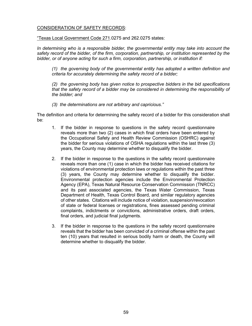#### CONSIDERATION OF SAFETY RECORDS:

"Texas Local Government Code 271.0275 and 262.0275 states:

*In determining who is a responsible bidder, the governmental entity may take into account the safety record of the bidder, of the firm, corporation, partnership, or institution represented by the bidder, or of anyone acting for such a firm, corporation, partnership, or institution if:*

*(1) the governing body of the governmental entity has adopted a written definition and criteria for accurately determining the safety record of a bidder;*

*(2) the governing body has given notice to prospective bidders in the bid specifications that the safety record of a bidder may be considered in determining the responsibility of the bidder; and*

*(3) the determinations are not arbitrary and capricious."*

The definition and criteria for determining the safety record of a bidder for this consideration shall be:

- 1. If the bidder in response to questions in the safety record questionnaire reveals more than two (2) cases in which final orders have been entered by the Occupational Safety and Health Review Commission (OSHRC) against the bidder for serious violations of OSHA regulations within the last three (3) years, the County may determine whether to disqualify the bidder.
- 2. If the bidder in response to the questions in the safety record questionnaire reveals more than one (1) case in which the bidder has received citations for violations of environmental protection laws or regulations within the past three (3) years, the County may determine whether to disqualify the bidder. Environmental protection agencies include the Environmental Protection Agency (EPA), Texas Natural Resource Conservation Commission (TNRCC) and its past associated agencies, the Texas Water Commission, Texas Department of Health, Texas Control Board, and similar regulatory agencies of other states. Citations will include notice of violation, suspension/revocation of state or federal licenses or registrations, fines assessed pending criminal complaints, indictments or convictions, administrative orders, draft orders, final orders, and judicial final judgments.
- 3. If the bidder in response to the questions in the safety record questionnaire reveals that the bidder has been convicted of a criminal offense within the past ten (10) years that resulted in serious bodily harm or death, the County will determine whether to disqualify the bidder.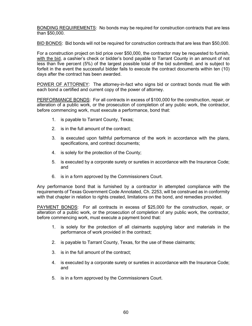BONDING REQUIREMENTS: No bonds may be required for construction contracts that are less than \$50,000.

BID BONDS: Bid bonds will not be required for construction contracts that are less than \$50,000.

For a construction project on bid price over \$50,000, the contractor may be requested to furnish, with the bid, a cashier's check or bidder's bond payable to Tarrant County in an amount of not less than five percent (5%) of the largest possible total of the bid submitted, and is subject to forfeit in the event the successful bidder fails to execute the contract documents within ten (10) days after the contract has been awarded.

POWER OF ATTORNEY: The attorney-in-fact who signs bid or contract bonds must file with each bond a certified and current copy of the power of attorney.

PERFORMANCE BONDS: For all contracts in excess of \$100,000 for the construction, repair, or alteration of a public work, or the prosecution of completion of any public work, the contractor, before commencing work, must execute a performance, bond that:

- 1. is payable to Tarrant County, Texas;
- 2. is in the full amount of the contract;
- 3. is executed upon faithful performance of the work in accordance with the plans, specifications, and contract documents;
- 4. is solely for the protection of the County;
- 5. is executed by a corporate surety or sureties in accordance with the Insurance Code; and
- 6. is in a form approved by the Commissioners Court.

Any performance bond that is furnished by a contractor in attempted compliance with the requirements of Texas Government Code Annotated, Ch. 2253, will be construed as in conformity with that chapter in relation to rights created, limitations on the bond, and remedies provided.

PAYMENT BONDS: For all contracts in excess of \$25,000 for the construction, repair, or alteration of a public work, or the prosecution of completion of any public work, the contractor, before commencing work, must execute a payment bond that:

- 1. is solely for the protection of all claimants supplying labor and materials in the performance of work provided in the contract;
- 2. is payable to Tarrant County, Texas, for the use of these claimants;
- 3. is in the full amount of the contract;
- 4. is executed by a corporate surety or sureties in accordance with the Insurance Code; and
- 5. is in a form approved by the Commissioners Court.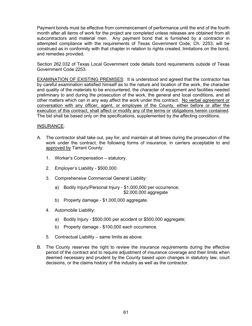Payment bonds must be effective from commencement of performance until the end of the fourth month after all items of work for the project are completed unless releases are obtained from all subcontractors and material men. Any payment bond that is furnished by a contractor in attempted compliance with the requirements of Texas Government Code, Ch. 2253, will be construed as in conformity with that chapter in relation to rights created, limitations on the bond, and remedies provided.

Section 262.032 of Texas Local Government code details bond requirements outside of Texas Government Code 2253.

EXAMINATION OF EXISTING PREMISES: It is understood and agreed that the contractor has by careful examination satisfied himself as to the nature and location of the work, the character and quality of the materials to be encountered, the character of equipment and facilities needed preliminary to and during the prosecution of the work, the general and local conditions, and all other matters which can in any way affect the work under this contract. No verbal agreement or conversation with any officer, agent, or employee of the County, either before or after the execution of this contract, shall affect or modify any of the terms or obligations herein contained. The bid shall be based only on the specifications, supplemented by the affecting conditions.

#### INSURANCE:

- A. The contractor shall take out, pay for, and maintain at all times during the prosecution of the work under the contract, the following forms of insurance, in carriers acceptable to and approved by Tarrant County:
	- 1. Worker's Compensation statutory.
	- 2. Employer's Liability \$500,000.
	- 3. Comprehensive Commercial General Liability:
		- a) Bodily Injury/Personal Injury \$1,000,000 per occurrence; \$2,000,000 aggregate
		- b) Property damage \$1,000,000 aggregate.
	- 4. Automobile Liability:
		- a) Bodily Injury \$500,000 per accident or \$500,000 aggregate;
		- b) Property damage \$100,000 each occurrence.
	- 5. Contractual Liability same limits as above.
- B. The County reserves the right to review the insurance requirements during the effective period of the contract and to require adjustment of insurance coverage and their limits when deemed necessary and prudent by the County based upon changes in statutory law, court decisions, or the claims history of the industry as well as the contractor.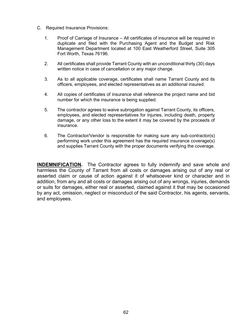- C. Required Insurance Provisions:
	- 1. Proof of Carriage of Insurance All certificates of insurance will be required in duplicate and filed with the Purchasing Agent and the Budget and Risk Management Department located at 100 East Weatherford Street, Suite 305 Fort Worth, Texas 76196.
	- 2. All certificates shall provide Tarrant County with an unconditional thirty (30) days written notice in case of cancellation or any major change.
	- 3. As to all applicable coverage, certificates shall name Tarrant County and its officers, employees, and elected representatives as an additional insured.
	- 4. All copies of certificates of insurance shall reference the project name and bid number for which the insurance is being supplied.
	- 5. The contractor agrees to waive subrogation against Tarrant County, its officers, employees, and elected representatives for injuries, including death, property damage, or any other loss to the extent it may be covered by the proceeds of insurance.
	- 6. The Contractor/Vendor is responsible for making sure any sub-contractor(s) performing work under this agreement has the required insurance coverage(s) and supplies Tarrant County with the proper documents verifying the coverage.

**INDEMNIFICATION.** The Contractor agrees to fully indemnify and save whole and harmless the County of Tarrant from all costs or damages arising out of any real or asserted claim or cause of action against it of whatsoever kind or character and in addition, from any and all costs or damages arising out of any wrongs, injuries, demands or suits for damages, either real or asserted, claimed against it that may be occasioned by any act, omission, neglect or misconduct of the said Contractor, his agents, servants, and employees.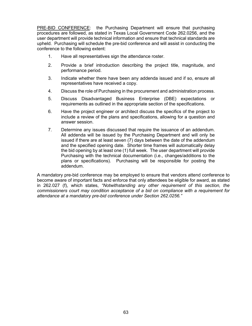PRE-BID CONFERENCE: the Purchasing Department will ensure that purchasing procedures are followed, as stated in Texas Local Government Code 262.0256, and the user department will provide technical information and ensure that technical standards are upheld. Purchasing will schedule the pre-bid conference and will assist in conducting the conference to the following extent:

- 1. Have all representatives sign the attendance roster.
- 2. Provide a brief introduction describing the project title, magnitude, and performance period.
- 3. Indicate whether there have been any addenda issued and if so, ensure all representatives have received a copy.
- 4. Discuss the role of Purchasing in the procurement and administration process.
- 5. Discuss Disadvantaged Business Enterprise (DBE) expectations or requirements as outlined in the appropriate section of the specifications.
- 6. Have the project engineer or architect discuss the specifics of the project to include a review of the plans and specifications, allowing for a question and answer session.
- 7. Determine any issues discussed that require the issuance of an addendum. All addenda will be issued by the Purchasing Department and will only be issued if there are at least seven (7) days between the date of the addendum and the specified opening date. Shorter time frames will automatically delay the bid opening by at least one (1) full week. The user department will provide Purchasing with the technical documentation (i.e., changes/additions to the plans or specifications). Purchasing will be responsible for posting the addendum.

A mandatory pre-bid conference may be employed to ensure that vendors attend conference to become aware of important facts and enforce that only attendees be eligible for award, as stated in 262.027 (f), which states, *"Notwithstanding any other requirement of this section, the commissioners court may condition acceptance of a bid on compliance with a requirement for attendance at a mandatory pre-bid conference under Section 262.0256."*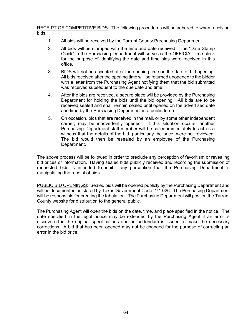RECEIPT OF COMPETITIVE BIDS: The following procedures will be adhered to when receiving bids:

- 1. All bids will be received by the Tarrant County Purchasing Department.
- 2. All bids will be stamped with the time and date received. The "Date Stamp Clock" in the Purchasing Department will serve as the OFFICIAL time clock for the purpose of identifying the date and time bids were received in this office.
- 3. BIDS will not be accepted after the opening time on the date of bid opening. All bids received after the opening time will be returned unopened to the bidder with a letter from the Purchasing Agent notifying them that the bid submitted was received subsequent to the due date and time.
- 4. After the bids are received, a secure place will be provided by the Purchasing Department for holding the bids until the bid opening. All bids are to be received sealed and shall remain sealed until opened on the advertised date and time by the Purchasing Department in a public forum.
- 5. On occasion, bids that are received in the mail, or by some other independent carrier, may be inadvertently opened. If this situation occurs, another Purchasing Department staff member will be called immediately to act as a witness that the details of the bid, particularly the price, were not reviewed. The bid would then be resealed by an employee of the Purchasing Department.

The above process will be followed in order to preclude any perception of favoritism or revealing bid prices or information. Having sealed bids publicly received and recording the submission of requested bids is intended to inhibit any perception that the Purchasing Department is manipulating the receipt of bids.

PUBLIC BID OPENINGS: Sealed bids will be opened publicly by the Purchasing Department and will be documented as stated by Texas Government Code 271.026. The Purchasing Department will be responsible for creating the tabulation. The Purchasing Department will post on the Tarrant County website for distribution to the general public.

The Purchasing Agent will open the bids on the date, time, and place specified in the notice. The date specified in the legal notice may be extended by the Purchasing Agent if an error is discovered in the original specifications and an addendum is issued to make the necessary corrections. A bid that has been opened may not be changed for the purpose of correcting an error in the bid price.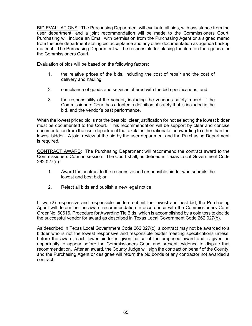BID EVALUATIONS: The Purchasing Department will evaluate all bids, with assistance from the user department, and a joint recommendation will be made to the Commissioners Court. Purchasing will include an Email with permission from the Purchasing Agent or a signed memo from the user department stating bid acceptance and any other documentation as agenda backup material. The Purchasing Department will be responsible for placing the item on the agenda for the Commissioners Court.

Evaluation of bids will be based on the following factors:

- 1. the relative prices of the bids, including the cost of repair and the cost of delivery and hauling;
- 2. compliance of goods and services offered with the bid specifications; and
- 3. the responsibility of the vendor, including the vendor's safety record, if the Commissioners Court has adopted a definition of safety that is included in the bid, and the vendor's past performance.

When the lowest priced bid is not the best bid, clear justification for not selecting the lowest bidder must be documented to the Court. This recommendation will be support by clear and concise documentation from the user department that explains the rationale for awarding to other than the lowest bidder. A joint review of the bid by the user department and the Purchasing Department is required.

CONTRACT AWARD: The Purchasing Department will recommend the contract award to the Commissioners Court in session. The Court shall, as defined in Texas Local Government Code 262.027(a):

- 1. Award the contract to the responsive and responsible bidder who submits the lowest and best bid; or
- 2. Reject all bids and publish a new legal notice.

If two (2) responsive and responsible bidders submit the lowest and best bid, the Purchasing Agent will determine the award recommendation in accordance with the Commissioners Court Order No. 60616, Procedure for Awarding Tie Bids, which is accomplished by a coin toss to decide the successful vendor for award as described in Texas Local Government Code 262.027(b).

As described in Texas Local Government Code 262.027(c), a contract may not be awarded to a bidder who is not the lowest responsive and responsible bidder meeting specifications unless, before the award, each lower bidder is given notice of the proposed award and is given an opportunity to appear before the Commissioners Court and present evidence to dispute that recommendation. After an award, the County Judge will sign the contract on behalf of the County, and the Purchasing Agent or designee will return the bid bonds of any contractor not awarded a contract.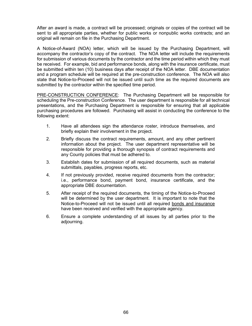After an award is made, a contract will be processed; originals or copies of the contract will be sent to all appropriate parties, whether for public works or nonpublic works contracts; and an original will remain on file in the Purchasing Department.

A Notice-of-Award (NOA) letter, which will be issued by the Purchasing Department, will accompany the contractor's copy of the contract. The NOA letter will include the requirements for submission of various documents by the contractor and the time period within which they must be received. For example, bid and performance bonds, along with the insurance certificate, must be submitted within ten (10) business days after receipt of the NOA letter. DBE documentation and a program schedule will be required at the pre-construction conference. The NOA will also state that Notice-to-Proceed will not be issued until such time as the required documents are submitted by the contractor within the specified time period.

PRE-CONSTRUCTION CONFERENCE: The Purchasing Department will be responsible for scheduling the Pre-construction Conference. The user department is responsible for all technical presentations, and the Purchasing Department is responsible for ensuring that all applicable purchasing procedures are followed. Purchasing will assist in conducting the conference to the following extent:

- 1. Have all attendees sign the attendance roster, introduce themselves, and briefly explain their involvement in the project.
- 2. Briefly discuss the contract requirements, amount, and any other pertinent information about the project. The user department representative will be responsible for providing a thorough synopsis of contract requirements and any County policies that must be adhered to.
- 3. Establish dates for submission of all required documents, such as material submittals, payables, progress reports, etc.
- 4. If not previously provided, receive required documents from the contractor; i.e., performance bond, payment bond, insurance certificate, and the appropriate DBE documentation.
- 5. After receipt of the required documents, the timing of the Notice-to-Proceed will be determined by the user department. It is important to note that the Notice-to-Proceed will not be issued until all required bonds and insurance have been received and verified with the appropriate agency.
- 6. Ensure a complete understanding of all issues by all parties prior to the adjourning.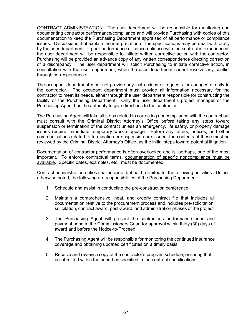CONTRACT ADMINISTRATION: The user department will be responsible for monitoring and documenting contractor performance/compliance and will provide Purchasing with copies of this documentation to keep the Purchasing Department appraised of all performance or compliance issues. Discussions that explain the interpretation of the specifications may be dealt with orally by the user department. If poor performance or noncompliance with the contract is experienced, the user department will be responsible to initiate written corrective action with the contractor. Purchasing will be provided an advance copy of any written correspondence directing correction of a discrepancy. The user department will solicit Purchasing to initiate corrective action, in consultation with the user department, when the user department cannot resolve any conflict through correspondence.

The occupant department must not provide any instructions or requests for changes directly to the contractor. The occupant department must provide all information necessary for the contractor to meet its needs, either through the user department responsible for constructing the facility or the Purchasing Department. Only the user department's project manager or the Purchasing Agent has the authority to give directions to the contractor.

The Purchasing Agent will take all steps related to correcting noncompliance with the contract but must consult with the Criminal District Attorney's Office before taking any steps toward suspension or termination of the contract unless an emergency, life safety, or property damage issues require immediate temporary work stoppage. Before any letters, notices, and other communications related to termination or suspension are issued, the contents of these must be reviewed by the Criminal District Attorney's Office, as the initial steps toward potential litigation.

Documentation of contractor performance is often overlooked and is, perhaps, one of the most important. To enforce contractual terms, documentation of specific noncompliance must be available. Specific dates, examples, etc., must be documented.

Contract administration duties shall include, but not be limited to, the following activities. Unless otherwise noted, the following are responsibilities of the Purchasing Department:

- 1. Schedule and assist in conducting the pre-construction conference.
- 2. Maintain a comprehensive, neat, and orderly contract file that includes all documentation relative to the procurement process and includes pre-solicitation, solicitation, contract award, post-award, and administration phases of the project.
- 3. The Purchasing Agent will present the contractor's performance bond and payment bond to the Commissioners Court for approval within thirty (30) days of award and before the Notice-to-Proceed.
- 4. The Purchasing Agent will be responsible for monitoring the continued insurance coverage and obtaining updated certificates on a timely basis.
- 5. Receive and review a copy of the contractor's program schedule, ensuring that it is submitted within the period as specified in the contract specifications.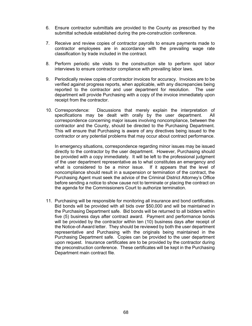- 6. Ensure contractor submittals are provided to the County as prescribed by the submittal schedule established during the pre-construction conference.
- 7. Receive and review copies of contractor payrolls to ensure payments made to contractor employees are in accordance with the prevailing wage rate classification by trade included in the contract.
- 8. Perform periodic site visits to the construction site to perform spot labor interviews to ensure contractor compliance with prevailing labor laws.
- 9. Periodically review copies of contractor invoices for accuracy. Invoices are to be verified against progress reports, when applicable, with any discrepancies being reported to the contractor and user department for resolution. The user department will provide Purchasing with a copy of the invoice immediately upon receipt from the contractor.
- 10. Correspondence: Discussions that merely explain the interpretation of specifications may be dealt with orally by the user department. All correspondence concerning major issues involving noncompliance, between the contractor and the County, should be directed to the Purchasing Department. This will ensure that Purchasing is aware of any directives being issued to the contractor or any potential problems that may occur about contract performance.

In emergency situations, correspondence regarding minor issues may be issued directly to the contractor by the user department. However, Purchasing should be provided with a copy immediately. It will be left to the professional judgment of the user department representative as to what constitutes an emergency and what is considered to be a minor issue. If it appears that the level of noncompliance should result in a suspension or termination of the contract, the Purchasing Agent must seek the advice of the Criminal District Attorney's Office before sending a notice to show cause not to terminate or placing the contract on the agenda for the Commissioners Court to authorize termination.

11. Purchasing will be responsible for monitoring all insurance and bond certificates. Bid bonds will be provided with all bids over \$50,000 and will be maintained in the Purchasing Department safe. Bid bonds will be returned to all bidders within five (5) business days after contract award. Payment and performance bonds will be provided by the contractor within ten (10) business days after receipt of the Notice-of-Award letter. They should be reviewed by both the user department representative and Purchasing with the originals being maintained in the Purchasing Department safe. Copies can be provided to the user department upon request. Insurance certificates are to be provided by the contractor during the preconstruction conference. These certificates will be kept in the Purchasing Department main contract file.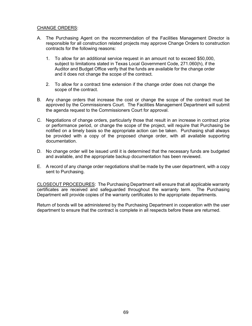#### CHANGE ORDERS:

- A. The Purchasing Agent on the recommendation of the Facilities Management Director is responsible for all construction related projects may approve Change Orders to construction contracts for the following reasons:
	- 1. To allow for an additional service request in an amount not to exceed \$50,000, subject to limitations stated in Texas Local Government Code, 271.060(h), if the Auditor and Budget Office verify that the funds are available for the change order and it does not change the scope of the contract.
	- 2. To allow for a contract time extension if the change order does not change the scope of the contract.
- B. Any change orders that increase the cost or change the scope of the contract must be approved by the Commissioners Court. The Facilities Management Department will submit the agenda request to the Commissioners Court for approval.
- C. Negotiations of change orders, particularly those that result in an increase in contract price or performance period, or change the scope of the project, will require that Purchasing be notified on a timely basis so the appropriate action can be taken. Purchasing shall always be provided with a copy of the proposed change order, with all available supporting documentation.
- D. No change order will be issued until it is determined that the necessary funds are budgeted and available, and the appropriate backup documentation has been reviewed.
- E. A record of any change order negotiations shall be made by the user department, with a copy sent to Purchasing.

CLOSEOUT PROCEDURES: The Purchasing Department will ensure that all applicable warranty certificates are received and safeguarded throughout the warranty term. The Purchasing Department will provide copies of the warranty certificates to the appropriate departments.

Return of bonds will be administered by the Purchasing Department in cooperation with the user department to ensure that the contract is complete in all respects before these are returned.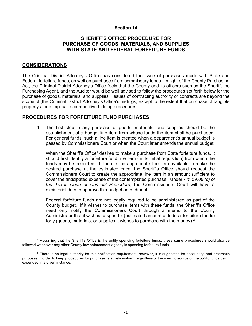# **SHERIFF'S OFFICE PROCEDURE FOR PURCHASE OF GOODS, MATERIALS, AND SUPPLIES WITH STATE AND FEDERAL FORFEITURE FUNDS**

# **CONSIDERATIONS**

 $\overline{\phantom{a}}$  , where  $\overline{\phantom{a}}$  , where  $\overline{\phantom{a}}$  , where  $\overline{\phantom{a}}$ 

The Criminal District Attorney's Office has considered the issue of purchases made with State and Federal forfeiture funds, as well as purchases from commissary funds. In light of the County Purchasing Act, the Criminal District Attorney's Office feels that the County and its officers such as the Sheriff, the Purchasing Agent, and the Auditor would be well advised to follow the procedures set forth below for the purchase of goods, materials, and supplies. Issues of contracting authority or contracts are beyond the scope of [the Criminal District Attorney's Office's findings, except to the extent that purchase of tangible property alone implicates competitive bidding procedures.

#### **PROCEDURES FOR FORFEITURE FUND PURCHASES**

1. The first step in any purchase of goods, materials, and supplies should be the establishment of a budget line item from whose funds the item shall be purchased. For general funds, such a line item is created when a department's annual budget is passed by Commissioners Court or when the Court later amends the annual budget.

When the Sheriff's Office<sup>1</sup> desires to make a purchase from State forfeiture funds, it should first identify a forfeiture fund line item (in its initial requisition) from which the funds may be deducted. If there is no appropriate line item available to make the desired purchase at the estimated price, the Sheriff's Office should request the Commissioners Court to create the appropriate line item in an amount sufficient to cover the anticipated expense of the contemplated purchase. Under *Art. 59.06 (d) of the Texas Code of Criminal Procedure*, the Commissioners Court will have a ministerial duty to approve this budget amendment.

Federal forfeiture funds are not legally required to be administered as part of the County budget. If it wishes to purchase items with these funds, the Sheriff's Office need only notify the Commissioners Court through a memo to the County Administrator that it wishes to spend *x* (estimated amount of federal forfeiture funds) for *y* (goods, materials, or supplies it wishes to purchase with the money).2

<sup>1</sup> Assuming that the Sheriff's Office is the entity spending forfeiture funds, these same procedures should also be followed whenever any other County law enforcement agency is spending forfeiture funds.

 $2$  There is no legal authority for this notification requirement; however, it is suggested for accounting and pragmatic purposes in order to keep procedures for purchase relatively uniform regardless of the specific source of the public funds being expended in a given instance.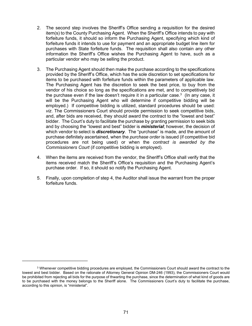- 2. The second step involves the Sheriff's Office sending a requisition for the desired item(s) to the County Purchasing Agent. When the Sheriff's Office intends to pay with forfeiture funds, it should so inform the Purchasing Agent, specifying which kind of forfeiture funds it intends to use for payment and an appropriate budget line item for purchases with State forfeiture funds. The requisition shall also contain any other information the Sheriff's Office wishes the Purchasing Agent to have, such as a particular vendor who may be selling the product.
- 3. The Purchasing Agent should then make the purchase according to the specifications provided by the Sheriff's Office, which has the sole discretion to set specifications for items to be purchased with forfeiture funds within the parameters of applicable law. The Purchasing Agent has the discretion to seek the best price, to buy from the vendor of his choice so long as the specifications are met, and to competitively bid the purchase even if the law doesn't require it in a particular case. $^3\,$  (In any case, it will be the Purchasing Agent who will determine if competitive bidding will be employed.) If competitive bidding is utilized, standard procedures should be used: *viz*. The Commissioners Court should provide permission to seek competitive bids, and, after bids are received, they should award the contract to the "lowest and best" bidder. The Court's duty to facilitate the purchase by granting permission to seek bids and by choosing the "lowest and best" bidder is *ministerial*; however, the decision of which vendor to select is *discretionary*. The "purchase" is made, and the amount of purchase definitely ascertained, when the *purchase order* is issued (if competitive bid procedures are not being used) or when the *contract is awarded by the Commissioners Court* (if competitive bidding is employed).
- 4. When the items are received from the vendor, the Sheriff's Office shall verify that the items received match the Sheriff's Office's requisition and the Purchasing Agent's purchase order. If so, it should so notify the Purchasing Agent.
- 5. Finally, upon completion of step 4, the Auditor shall issue the warrant from the proper forfeiture funds.

\_\_\_\_\_\_\_\_\_\_\_\_\_\_\_\_\_\_\_\_\_\_\_\_\_\_

 $3$  Whenever competitive bidding procedures are employed, the Commissioners Court should award the contract to the lowest and best bidder. Based on the rationale of Attorney General Opinion DM-246 (1993), the Commissioners Court would be prohibited from rejecting all bids for the purpose of thwarting the purchase, since the determination of what kind of goods are to be purchased with the money belongs to the Sheriff alone. The Commissioners Court's duty to facilitate the purchase, according to this opinion, is "ministerial".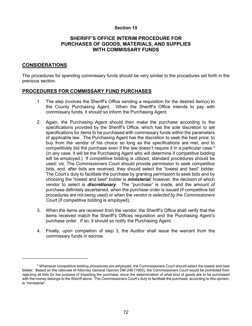#### **SHERIFF'S OFFICE INTERIM PROCEDURE FOR PURCHASES OF GOODS, MATERIALS, AND SUPPLIES WITH COMMISSARY FUNDS**

# **CONSIDERATIONS**

\_\_\_\_\_\_\_\_\_\_\_\_\_\_\_\_\_\_\_\_\_\_\_\_\_\_

The procedures for spending commissary funds should be very similar to the procedures set forth in the previous section.

#### **PROCEDURES FOR COMMISSARY FUND PURCHASES**

- 1. The step involves the Sheriff's Office sending a requisition for the desired item(s) to the County Purchasing Agent. When the Sheriff's Office intends to pay with commissary funds, it should so inform the Purchasing Agent.
- 2. Again, the Purchasing Agent should then make the purchase according to the specifications provided by the Sheriff's Office, which has the sole discretion to set specifications for items to be purchased with commissary funds within the parameters of applicable law. The Purchasing Agent has the discretion to seek the best price, to buy from the vendor of his choice so long as the specifications are met, and to competitively bid the purchase even if the law doesn't require it in a particular case. $4$ (In any case, it will be the Purchasing Agent who will determine if competitive bidding will be employed.) If competitive bidding is utilized, standard procedures should be used: *viz*. The Commissioners Court should provide permission to seek competitive bids, and, after bids are received, they should select the "lowest and best" bidder. The Court's duty to facilitate the purchase by granting permission to seek bids and by choosing the "lowest and best" bidder is *ministerial*; however, the decision of which vendor to select is *discretionary*. The "purchase" is made, and the amount of purchase definitely ascertained, when the *purchase order* is issued (if competitive bid procedures are not being used) or when the *vendor is selected by the Commissioners Court* (if competitive bidding is employed).
- 3. When the items are received from the vendor, the Sheriff's Office shall verify that the items received match the Sheriff's Offices requisition and the Purchasing Agent's purchase order. If so, it should so notify the Purchasing Agent.
- 4. Finally, upon completion of step 3, the Auditor shall issue the warrant from the commissary funds in escrow.

<sup>4</sup> Whenever competitive bidding procedures are employed, the Commissioners Court should select the lowest and best bidder. Based on the rationale of Attorney General Opinion DM-246 (1993), the Commissioners Court would be prohibited from rejecting all bids for the purpose of thwarting the purchase, since the determination of what kind of goods are to be purchased with the money belongs to the Sheriff alone. The Commissioners Court's duty to facilitate the purchase, according to this opinion, is "ministerial".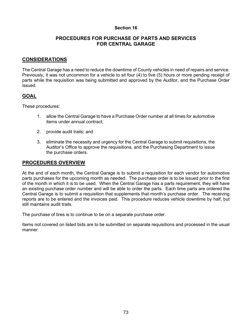# **PROCEDURES FOR PURCHASE OF PARTS AND SERVICES FOR CENTRAL GARAGE**

# **CONSIDERATIONS**

The Central Garage has a need to reduce the downtime of County vehicles in need of repairs and service. Previously, it was not uncommon for a vehicle to sit four (4) to five (5) hours or more pending receipt of parts while the requisition was being submitted and approved by the Auditor, and the Purchase Order issued.

#### **GOAL**

These procedures:

- 1. allow the Central Garage to have a Purchase Order number at all times for automotive items under annual contract;
- 2. provide audit trails; and
- 3. eliminate the necessity and urgency for the Central Garage to submit requisitions, the Auditor's Office to approve the requisitions, and the Purchasing Department to issue the purchase orders.

#### **PROCEDURES OVERVIEW**

At the end of each month, the Central Garage is to submit a requisition for each vendor for automotive parts purchases for the upcoming month as needed. The purchase order is to be issued prior to the first of the month in which it is to be used. When the Central Garage has a parts requirement, they will have an existing purchase order number and will be able to order the parts. Each time parts are ordered the Central Garage is to submit a requisition that supplements that month's purchase order. The receiving reports are to be entered and the invoices paid. This procedure reduces vehicle downtime by half, but still maintains audit trails.

The purchase of tires is to continue to be on a separate purchase order.

Items not covered on listed bids are to be submitted on separate requisitions and processed in the usual manner.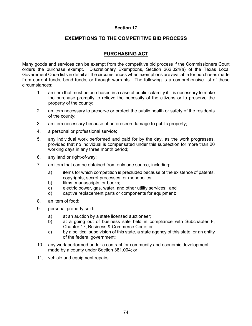# **EXEMPTIONS TO THE COMPETITIVE BID PROCESS**

# **PURCHASING ACT**

Many goods and services can be exempt from the competitive bid process if the Commissioners Court orders the purchase exempt. Discretionary Exemptions, Section 262.024(a) of the Texas Local Government Code lists in detail all the circumstances when exemptions are available for purchases made from current funds, bond funds, or through warrants. The following is a comprehensive list of these circumstances:

- 1. an item that must be purchased in a case of public calamity if it is necessary to make the purchase promptly to relieve the necessity of the citizens or to preserve the property of the county;
- 2. an item necessary to preserve or protect the public health or safety of the residents of the county;
- 3. an item necessary because of unforeseen damage to public property;
- 4. a personal or professional service;
- 5. any individual work performed and paid for by the day, as the work progresses, provided that no individual is compensated under this subsection for more than 20 working days in any three month period;
- 6. any land or right-of-way;
- 7. an item that can be obtained from only one source, including:
	- a) items for which competition is precluded because of the existence of patents, copyrights, secret processes, or monopolies;
	- b) films, manuscripts, or books;
	- c) electric power, gas, water, and other utility services; and
	- d) captive replacement parts or components for equipment;
- 8. an item of food;
- 9. personal property sold:
	- a) at an auction by a state licensed auctioneer;
	- b) at a going out of business sale held in compliance with Subchapter F, Chapter [17,](http://www.statutes.legis.state.tx.us/GetStatute.aspx?Code=BC&Value=17) Business & Commerce Code; or
	- c) by a political subdivision of this state, a state agency of this state, or an entity of the federal government;
- 10. any work performed under a contract for community and economic development made by a county under Section 381.004; or
- 11, vehicle and equipment repairs.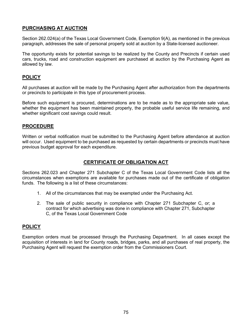# **PURCHASING AT AUCTION**

Section 262.024(a) of the Texas Local Government Code, Exemption 9(A), as mentioned in the previous paragraph, addresses the sale of personal property sold at auction by a State-licensed auctioneer.

The opportunity exists for potential savings to be realized by the County and Precincts if certain used cars, trucks, road and construction equipment are purchased at auction by the Purchasing Agent as allowed by law.

# **POLICY**

All purchases at auction will be made by the Purchasing Agent after authorization from the departments or precincts to participate in this type of procurement process.

Before such equipment is procured, determinations are to be made as to the appropriate sale value, whether the equipment has been maintained properly, the probable useful service life remaining, and whether significant cost savings could result.

#### **PROCEDURE**

Written or verbal notification must be submitted to the Purchasing Agent before attendance at auction will occur. Used equipment to be purchased as requested by certain departments or precincts must have previous budget approval for each expenditure.

# **CERTIFICATE OF OBLIGATION ACT**

Sections 262.023 and Chapter 271 Subchapter C of the Texas Local Government Code lists all the circumstances when exemptions are available for purchases made out of the certificate of obligation funds. The following is a list of these circumstances:

- 1. All of the circumstances that may be exempted under the Purchasing Act.
- 2. The sale of public security in compliance with Chapter 271 Subchapter C, or; a contract for which advertising was done in compliance with Chapter 271, Subchapter C, of the Texas Local Government Code

# **POLICY**

Exemption orders must be processed through the Purchasing Department. In all cases except the acquisition of interests in land for County roads, bridges, parks, and all purchases of real property, the Purchasing Agent will request the exemption order from the Commissioners Court.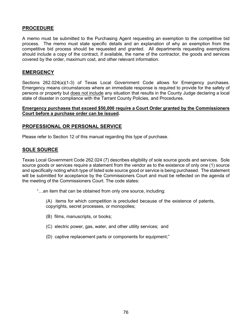# **PROCEDURE**

A memo must be submitted to the Purchasing Agent requesting an exemption to the competitive bid process. The memo must state specific details and an explanation of why an exemption from the competitive bid process should be requested and granted. All departments requesting exemptions should include a copy of the contract, if available, the name of the contractor, the goods and services covered by the order, maximum cost, and other relevant information.

# **EMERGENCY**

Sections 262.024(a)(1-3) of Texas Local Government Code allows for Emergency purchases. Emergency means circumstances where an immediate response is required to provide for the safety of persons or property but does not include any situation that results in the County Judge declaring a local state of disaster in compliance with the Tarrant County Policies, and Procedures.

#### **Emergency purchases that exceed \$50,000 require a Court Order granted by the Commissioners Court before a purchase order can be issued.**

#### **PROFESSIONAL OR PERSONAL SERVICE**

Please refer to Section 12 of this manual regarding this type of purchase.

# **SOLE SOURCE**

Texas Local Government Code 262.024 (7) describes eligibility of sole source goods and services. Sole source goods or services require a statement from the vendor as to the existence of only one (1) source and specifically noting which type of listed sole source good or service is being purchased. The statement will be submitted for acceptance by the Commissioners Court and must be reflected on the agenda of the meeting of the Commissioners Court. The code states:

- "…an item that can be obtained from only one source, including:
	- (A) items for which competition is precluded because of the existence of patents, copyrights, secret processes, or monopolies;
	- (B) films, manuscripts, or books;
	- (C) electric power, gas, water, and other utility services; and
	- (D) captive replacement parts or components for equipment;"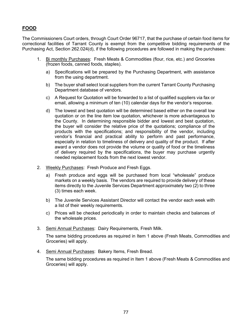# **FOOD**

The Commissioners Court orders, through Court Order 96717, that the purchase of certain food items for correctional facilities of Tarrant County is exempt from the competitive bidding requirements of the Purchasing Act, Section 262.024(d), if the following procedures are followed in making the purchases:

- 1. Bi monthly Purchases: Fresh Meats & Commodities (flour, rice, etc.) and Groceries (frozen foods, canned foods, staples).
	- a) Specifications will be prepared by the Purchasing Department, with assistance from the using department.
	- b) The buyer shall select local suppliers from the current Tarrant County Purchasing Department database of vendors.
	- c) A Request for Quotation will be forwarded to a list of qualified suppliers via fax or email, allowing a minimum of ten (10) calendar days for the vendor's response.
	- d) The lowest and best quotation will be determined based either on the overall low quotation or on the line item low quotation, whichever is more advantageous to the County. In determining responsible bidder and lowest and best quotation, the buyer will consider the relative price of the quotations; compliance of the products with the specifications; and responsibility of the vendor, including vendor's financial and practical ability to perform and past performance, especially in relation to timeliness of delivery and quality of the product. If after award a vendor does not provide the volume or quality of food or the timeliness of delivery required by the specifications, the buyer may purchase urgently needed replacement foods from the next lowest vendor.
- 2. Weekly Purchases: Fresh Produce and Fresh Eggs.
	- a) Fresh produce and eggs will be purchased from local "wholesale" produce markets on a weekly basis. The vendors are required to provide delivery of these items directly to the Juvenile Services Department approximately two (2) to three (3) times each week.
	- b) The Juvenile Services Assistant Director will contact the vendor each week with a list of their weekly requirements.
	- c) Prices will be checked periodically in order to maintain checks and balances of the wholesale prices.
- 3. Semi Annual Purchases: Dairy Requirements, Fresh Milk.

The same bidding procedures as required in Item 1 above (Fresh Meats, Commodities and Groceries) will apply.

4. Semi Annual Purchases: Bakery Items, Fresh Bread.

The same bidding procedures as required in Item 1 above (Fresh Meats & Commodities and Groceries) will apply.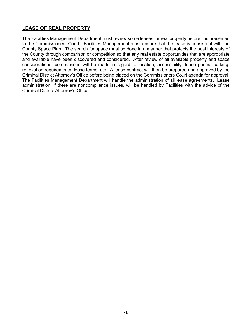# **LEASE OF REAL PROPERTY:**

The Facilities Management Department must review some leases for real property before it is presented to the Commissioners Court. Facilities Management must ensure that the lease is consistent with the County Space Plan. The search for space must be done in a manner that protects the best interests of the County through comparison or competition so that any real estate opportunities that are appropriate and available have been discovered and considered. After review of all available property and space considerations, comparisons will be made in regard to location, accessibility, lease prices, parking, renovation requirements, lease terms, etc. A lease contract will then be prepared and approved by the Criminal District Attorney's Office before being placed on the Commissioners Court agenda for approval. The Facilities Management Department will handle the administration of all lease agreements. Lease administration, if there are noncompliance issues, will be handled by Facilities with the advice of the Criminal District Attorney's Office.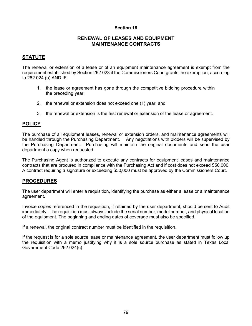#### **RENEWAL OF LEASES AND EQUIPMENT MAINTENANCE CONTRACTS**

# **STATUTE**

The renewal or extension of a lease or of an equipment maintenance agreement is exempt from the requirement established by Section 262.023 if the Commissioners Court grants the exemption, according to 262.024 (b) AND IF:

- 1. the lease or agreement has gone through the competitive bidding procedure within the preceding year;
- 2. the renewal or extension does not exceed one (1) year; and
- 3. the renewal or extension is the first renewal or extension of the lease or agreement.

# **POLICY**

The purchase of all equipment leases, renewal or extension orders, and maintenance agreements will be handled through the Purchasing Department. Any negotiations with bidders will be supervised by the Purchasing Department. Purchasing will maintain the original documents and send the user department a copy when requested.

The Purchasing Agent is authorized to execute any contracts for equipment leases and maintenance contracts that are procured in compliance with the Purchasing Act and if cost does not exceed \$50,000. A contract requiring a signature or exceeding \$50,000 must be approved by the Commissioners Court.

#### **PROCEDURES**

The user department will enter a requisition, identifying the purchase as either a lease or a maintenance agreement.

Invoice copies referenced in the requisition, if retained by the user department, should be sent to Audit immediately. The requisition must always include the serial number, model number, and physical location of the equipment. The beginning and ending dates of coverage must also be specified.

If a renewal, the original contract number must be identified in the requisition.

If the request is for a sole source lease or maintenance agreement, the user department must follow up the requisition with a memo justifying why it is a sole source purchase as stated in Texas Local Government Code 262.024(c)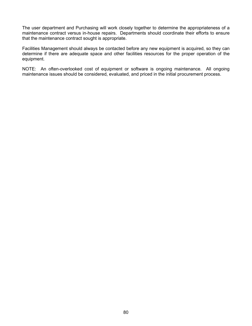The user department and Purchasing will work closely together to determine the appropriateness of a maintenance contract versus in-house repairs. Departments should coordinate their efforts to ensure that the maintenance contract sought is appropriate.

Facilities Management should always be contacted before any new equipment is acquired, so they can determine if there are adequate space and other facilities resources for the proper operation of the equipment.

NOTE: An often-overlooked cost of equipment or software is ongoing maintenance. All ongoing maintenance issues should be considered, evaluated, and priced in the initial procurement process.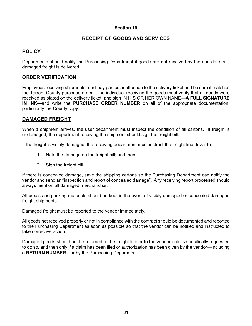# **RECEIPT OF GOODS AND SERVICES**

# **POLICY**

Departments should notify the Purchasing Department if goods are not received by the due date or if damaged freight is delivered.

# **ORDER VERIFICATION**

Employees receiving shipments must pay particular attention to the delivery ticket and be sure it matches the Tarrant County purchase order. The individual receiving the goods must verify that all goods were received as stated on the delivery ticket, and sign IN HIS OR HER OWN NAME—**A FULL SIGNATURE IN INK**—and write the **PURCHASE ORDER NUMBER** on all of the appropriate documentation, particularly the County copy.

#### **DAMAGED FREIGHT**

When a shipment arrives, the user department must inspect the condition of all cartons. If freight is undamaged, the department receiving the shipment should sign the freight bill.

If the freight is visibly damaged, the receiving department must instruct the freight line driver to:

- 1. Note the damage on the freight bill; and then
- 2. Sign the freight bill.

If there is concealed damage, save the shipping cartons so the Purchasing Department can notify the vendor and send an "inspection and report of concealed damage". Any receiving report processed should always mention all damaged merchandise.

All boxes and packing materials should be kept in the event of visibly damaged or concealed damaged freight shipments.

Damaged freight must be reported to the vendor immediately.

All goods not received properly or not in compliance with the contract should be documented and reported to the Purchasing Department as soon as possible so that the vendor can be notified and instructed to take corrective action.

Damaged goods should not be returned to the freight line or to the vendor unless specifically requested to do so, and then only if a claim has been filed or authorization has been given by the vendor—including a **RETURN NUMBER**—or by the Purchasing Department.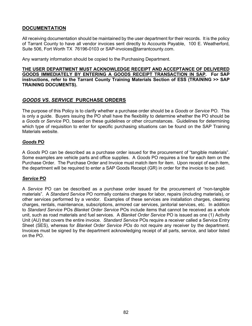# **DOCUMENTATION**

All receiving documentation should be maintained by the user department for their records. It is the policy of Tarrant County to have all vendor invoices sent directly to Accounts Payable, 100 E. Weatherford, Suite 506, Fort Worth TX 76196-0103 or SAP-invoices@tarrantcounty.com.

Any warranty information should be copied to the Purchasing Department.

**THE USER DEPARTMENT MUST ACKNOWLEDGE RECEIPT AND ACCEPTANCE OF DELIVERED GOODS IMMEDIATELY BY ENTERING A GOODS RECEIPT TRANSACTION IN SAP. For SAP instructions, refer to the Tarrant County Training Materials Section of ESS (TRAINING ˃˃ SAP TRAINING DOCUMENTS).**

# *GOODS VS***.** *SERVICE* **PURCHASE ORDERS**

The purpose of this Policy is to clarify whether a purchase order should be a *Goods* or *Service* PO. This is only a guide. Buyers issuing the PO shall have the flexibility to determine whether the PO should be a *Goods* or *Service* PO, based on these guidelines or other circumstances. Guidelines for determining which type of requisition to enter for specific purchasing situations can be found on the SAP Training Materials website.

#### *Goods* **PO**

A *Goods* PO can be described as a purchase order issued for the procurement of "tangible materials". Some examples are vehicle parts and office supplies. A *Goods* PO requires a line for each item on the Purchase Order. The Purchase Order and Invoice must match item for item. Upon receipt of each item, the department will be required to enter a SAP Goods Receipt (GR) in order for the invoice to be paid.

#### *Service* **PO**

A *Service* PO can be described as a purchase order issued for the procurement of "non-tangible materials". A *Standard Service* PO normally contains charges for labor, repairs (including materials), or other services performed by a vendor. Examples of these services are installation charges, cleaning charges, rentals, maintenance, subscriptions, armored car services, janitorial services, etc. In addition to *Standard Service* POs *Blanket Order Service* POs include items that cannot be received as a whole unit, such as road materials and fuel services. A *Blanket Order Service* PO is issued as one (1) Activity Unit (AU) that covers the entire invoice. *Standard Service* POs require a receiver called a Service Entry Sheet (SES), whereas for *Blanket Order Service POs* do not require any receiver by the department. Invoices must be signed by the department acknowledging receipt of all parts, service, and labor listed on the PO.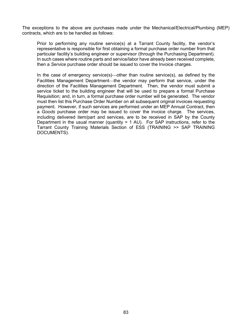The exceptions to the above are purchases made under the Mechanical/Electrical/Plumbing (MEP) contracts, which are to be handled as follows:

Prior to performing any routine service(s) at a Tarrant County facility, the vendor's representative is responsible for first obtaining a formal purchase order number from that particular facility's building engineer or supervisor (through the Purchasing Department). In such cases where routine parts and service/labor have already been received complete, then a *Service* purchase order should be issued to cover the Invoice charges.

In the case of emergency service(s)—other than routine service(s), as defined by the Facilities Management Department—the vendor may perform that service, under the direction of the Facilities Management Department. Then, the vendor must submit a service ticket to the building engineer that will be used to prepare a formal Purchase Requisition; and, in turn, a formal purchase order number will be generated. The vendor must then list this Purchase Order Number on all subsequent original invoices requesting payment. However, if such services are performed under an MEP Annual Contract, then a *Goods* purchase order may be issued to cover the invoice charge. The services, including delivered item/part and services, are to be received in SAP by the County Department in the usual manner (quantity = 1 AU). For SAP instructions, refer to the Tarrant County Training Materials Section of ESS (TRAINING ˃˃ SAP TRAINING DOCUMENTS).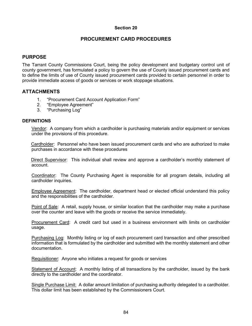# **PROCUREMENT CARD PROCEDURES**

# **PURPOSE**

The Tarrant County Commissions Court, being the policy development and budgetary control unit of county government, has formulated a policy to govern the use of County issued procurement cards and to define the limits of use of County issued procurement cards provided to certain personnel in order to provide immediate access of goods or services or work stoppage situations.

#### **ATTACHMENTS**

- 1. "Procurement Card Account Application Form"
- 2. "Employee Agreement"
- 3. "Purchasing Log"

#### **DEFINITIONS**

Vendor: A company from which a cardholder is purchasing materials and/or equipment or services under the provisions of this procedure.

Cardholder: Personnel who have been issued procurement cards and who are authorized to make purchases in accordance with these procedures

Direct Supervisor: This individual shall review and approve a cardholder's monthly statement of account.

Coordinator: The County Purchasing Agent is responsible for all program details, including all cardholder inquiries.

Employee Agreement: The cardholder, department head or elected official understand this policy and the responsibilities of the cardholder.

Point of Sale: A retail, supply house, or similar location that the cardholder may make a purchase over the counter and leave with the goods or receive the service immediately.

Procurement Card: A credit card but used in a business environment with limits on cardholder usage.

Purchasing Log: Monthly listing or log of each procurement card transaction and other prescribed information that is formulated by the cardholder and submitted with the monthly statement and other documentation.

Requisitioner: Anyone who initiates a request for goods or services

Statement of Account: A monthly listing of all transactions by the cardholder, issued by the bank directly to the cardholder and the coordinator.

Single Purchase Limit: A dollar amount limitation of purchasing authority delegated to a cardholder. This dollar limit has been established by the Commissioners Court.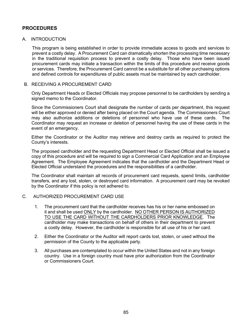# **PROCEDURES**

#### A. INTRODUCTION

This program is being established in order to provide immediate access to goods and services to prevent a costly delay. A Procurement Card can dramatically shorten the processing time necessary in the traditional requisition process to prevent a costly delay. Those who have been issued procurement cards may initiate a transaction within the limits of this procedure and receive goods or services. Therefore, the Procurement Card cannot be a substitute for all other purchasing options and defined controls for expenditures of public assets must be maintained by each cardholder.

#### B. RECEIVING A PROCUREMENT CARD

Only Department Heads or Elected Officials may propose personnel to be cardholders by sending a signed memo to the Coordinator.

Since the Commissioners Court shall designate the number of cards per department, this request will be either approved or denied after being placed on the Court agenda. The Commissioners Court may also authorize additions or deletions of personnel who have use of these cards. The Coordinator may request an increase or deletion of personnel having the use of these cards in the event of an emergency.

Either the Coordinator or the Auditor may retrieve and destroy cards as required to protect the County's interests.

The proposed cardholder and the requesting Department Head or Elected Official shall be issued a copy of this procedure and will be required to sign a Commercial Card Application and an Employee Agreement. The Employee Agreement indicates that the cardholder and the Department Head or Elected Official understand the procedures and the responsibilities of a cardholder.

The Coordinator shall maintain all records of procurement card requests, spend limits, cardholder transfers, and any lost, stolen, or destroyed card information. A procurement card may be revoked by the Coordinator if this policy is not adhered to.

#### C. AUTHORIZED PROCUREMENT CARD USE

- 1. The procurement card that the cardholder receives has his or her name embossed on it and shall be used ONLY by the cardholder. NO OTHER PERSON IS AUTHORIZED TO USE THE CARD WITHOUT THE CARDHOLDERS PRIOR KNOWLEDGE. The cardholder may make transactions on behalf of others in their department to prevent a costly delay. However, the cardholder is responsible for all use of his or her card.
- 2. Either the Coordinator or the Auditor will report cards lost, stolen, or used without the permission of the County to the applicable party.
- 3. All purchases are contemplated to occur within the United States and not in any foreign country. Use in a foreign country must have prior authorization from the Coordinator or Commissioners Court.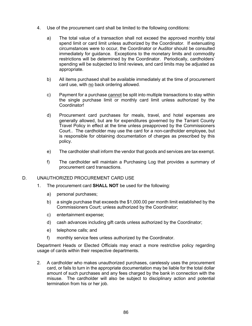- 4. Use of the procurement card shall be limited to the following conditions:
	- a) The total value of a transaction shall not exceed the approved monthly total spend limit or card limit unless authorized by the Coordinator. If extenuating circumstances were to occur, the Coordinator or Auditor should be consulted immediately for guidance. Exceptions to the monetary limits and commodity restrictions will be determined by the Coordinator. Periodically, cardholders' spending will be subjected to limit reviews, and card limits may be adjusted as appropriate.
	- b) All items purchased shall be available immediately at the time of procurement card use, with no back ordering allowed.
	- c) Payment for a purchase cannot be split into multiple transactions to stay within the single purchase limit or monthly card limit unless authorized by the Coordinator!
	- d) Procurement card purchases for meals, travel, and hotel expenses are generally allowed, but are for expenditures governed by the Tarrant County Travel Policy in effect at the time unless preapproved by the Commissioners Court.. The cardholder may use the card for a non-cardholder employee, but is responsible for obtaining documentation of charges as prescribed by this policy.
	- e) The cardholder shall inform the vendor that goods and services are tax exempt.
	- f) The cardholder will maintain a Purchasing Log that provides a summary of procurement card transactions.

#### D. UNAUTHORIZED PROCUREMENT CARD USE

- 1. The procurement card **SHALL NOT** be used for the following:
	- a) personal purchases;
	- b) a single purchase that exceeds the \$1,000.00 per month limit established by the Commissioners Court; unless authorized by the Coordinator;
	- c) entertainment expense;
	- d) cash advances including gift cards unless authorized by the Coordinator;
	- e) telephone calls; and
	- f) monthly service fees unless authorized by the Coordinator.

Department Heads or Elected Officials may enact a more restrictive policy regarding usage of cards within their respective departments.

2. A cardholder who makes unauthorized purchases, carelessly uses the procurement card, or fails to turn in the appropriate documentation may be liable for the total dollar amount of such purchases and any fees charged by the bank in connection with the misuse. The cardholder will also be subject to disciplinary action and potential termination from his or her job.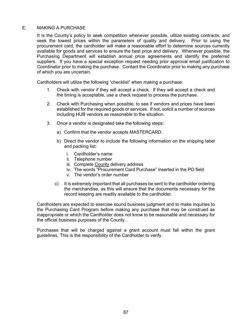#### E. MAKING A PURCHASE

It is the County's policy to seek competition whenever possible, utilize existing contracts, and seek the lowest prices within the parameters of quality and delivery. Prior to using the procurement card, the cardholder will make a reasonable effort to determine sources currently available for goods and services to ensure the best price and delivery. Whenever possible, the Purchasing Department will establish annual price agreements and identify the preferred suppliers. If you have a special exception request needing prior approval email justification to Coordinator prior to making the purchase. Contact the Coordinator prior to making any purchase of which you are uncertain.

Cardholders will utilize the following "checklist" when making a purchase:

- 1. Check with vendor if they will accept a check. If they will accept a check and the timing is acceptable, use a check request to process the purchase.
- 2. Check with Purchasing when possible, to see if vendors and prices have been established for the required goods or services. If not, solicit a number of sources including HUB vendors as reasonable to the situation.
- 3. Once a vendor is designated take the following steps:
	- a) Confirm that the vendor accepts MASTERCARD.
	- b) Direct the vendor to include the following information on the shipping label and packing list:
		- i. Cardholder's name
		- ii. Telephone number
		- iii. Complete County delivery address
		- iv. The words "Procurement Card Purchase" inserted in the PO field
		- v. The vendor's order number
	- c) It is extremely important that all purchases be sent to the cardholder ordering the merchandise, as this will ensure that the documents necessary for the record keeping are readily available to the cardholder.

Cardholders are expected to exercise sound business judgment and to make inquiries to the Purchasing Card Program before making any purchase that may be construed as inappropriate or which the Cardholder does not know to be reasonable and necessary for the official business purposes of the County.

Purchases that will be charged against a grant account must fall within the grant guidelines. This is the responsibility of the Cardholder to verify.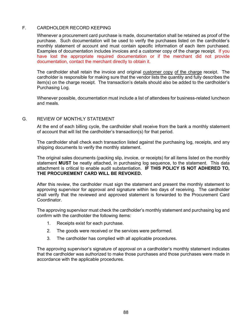#### F. CARDHOLDER RECORD KEEPING

Whenever a procurement card purchase is made, documentation shall be retained as proof of the purchase. Such documentation will be used to verify the purchases listed on the cardholder's monthly statement of account and must contain specific information of each item purchased. Examples of documentation includes invoices and a customer copy of the charge receipt. If you have lost the appropriate required documentation or if the merchant did not provide documentation, contact the merchant directly to obtain it.

The cardholder shall retain the invoice and original customer copy of the charge receipt. The cardholder is responsible for making sure that the vendor lists the quantity and fully describes the item(s) on the charge receipt. The transaction's details should also be added to the cardholder's Purchasing Log.

Whenever possible, documentation must include a list of attendees for business-related luncheon and meals.

#### G. REVIEW OF MONTHLY STATEMENT

At the end of each billing cycle, the cardholder shall receive from the bank a monthly statement of account that will list the cardholder's transaction(s) for that period.

The cardholder shall check each transaction listed against the purchasing log, receipts, and any shipping documents to verify the monthly statement.

The original sales documents (packing slip, invoice, or receipts) for all items listed on the monthly statement **MUST** be neatly attached, in purchasing log sequence, to the statement. This data attachment is critical to enable audit substantiation. **IF THIS POLICY IS NOT ADHERED TO, THE PROCUREMENT CARD WILL BE REVOKED.**

After this review, the cardholder must sign the statement and present the monthly statement to approving supervisor for approval and signature within two days of receiving. The cardholder shall verify that the reviewed and approved statement is forwarded to the Procurement Card Coordinator.

The approving supervisor must check the cardholder's monthly statement and purchasing log and confirm with the cardholder the following items:

- 1. Receipts exist for each purchase.
- 2. The goods were received or the services were performed.
- 3. The cardholder has complied with all applicable procedures.

The approving supervisor's signature of approval on a cardholder's monthly statement indicates that the cardholder was authorized to make those purchases and those purchases were made in accordance with the applicable procedures.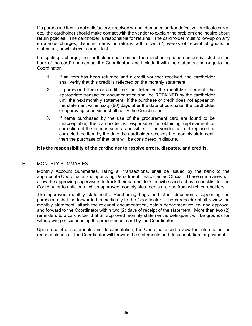If a purchased item is not satisfactory, received wrong, damaged and/or defective, duplicate order, etc., the cardholder should make contact with the vendor to explain the problem and inquire about return policies. The cardholder is responsible for returns. The cardholder must follow-up on any erroneous charges, disputed items or returns within two (2) weeks of receipt of goods or statement, or whichever comes last.

If disputing a charge, the cardholder shall contact the merchant (phone number is listed on the back of the card) and contact the Coordinator, and include it with the statement package to the Coordinator.

- 1. If an item has been returned and a credit voucher received, the cardholder shall verify that this credit is reflected on the monthly statement.
- 2. If purchased items or credits are not listed on the monthly statement, the appropriate transaction documentation shall be RETAINED by the cardholder until the next monthly statement. If the purchase or credit does not appear on the statement within sixty (60) days after the date of purchase, the cardholder or approving supervisor shall notify the Coordinator.
- 3. If items purchased by the use of the procurement card are found to be unacceptable, the cardholder is responsible for obtaining replacement or correction of the item as soon as possible. If the vendor has not replaced or corrected the item by the date the cardholder receives the monthly statement, then the purchase of that item will be considered in dispute.

#### **It is the responsibility of the cardholder to resolve errors, disputes, and credits.**

#### H. MONTHLY SUMMARIES

Monthly Account Summaries, listing all transactions, shall be issued by the bank to the appropriate Coordinator and approving Department Head/Elected Official. These summaries will allow the approving supervisors to track their cardholder's activities and act as a checklist for the Coordinator to anticipate which approved monthly statements are due from which cardholders.

The approved monthly statements, Purchasing Logs and other documents supporting the purchases shall be forwarded immediately to the Coordinator. The cardholder shall review the monthly statement, attach the relevant documentation, obtain department review and approval and forward to the Coordinator within two (2) days of receipt of the statement. More than two (2) reminders to a cardholder that an approved monthly statement is delinquent will be grounds for withdrawing or suspending the procurement card by the Coordinator.

Upon receipt of statements and documentation, the Coordinator will review the information for reasonableness. The Coordinator will forward the statements and documentation for payment.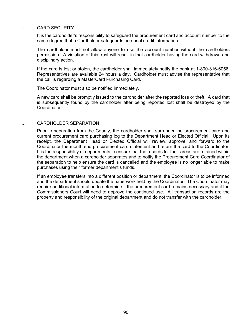#### I. CARD SECURITY

It is the cardholder's responsibility to safeguard the procurement card and account number to the same degree that a Cardholder safeguards personal credit information.

The cardholder must not allow anyone to use the account number without the cardholders permission. A violation of this trust will result in that cardholder having the card withdrawn and disciplinary action.

If the card is lost or stolen, the cardholder shall immediately notify the bank at 1-800-316-6056. Representatives are available 24 hours a day. Cardholder must advise the representative that the call is regarding a MasterCard Purchasing Card.

The Coordinator must also be notified immediately.

A new card shall be promptly issued to the cardholder after the reported loss or theft. A card that is subsequently found by the cardholder after being reported lost shall be destroyed by the Coordinator.

#### J. CARDHOLDER SEPARATION

Prior to separation from the County, the cardholder shall surrender the procurement card and current procurement card purchasing log to the Department Head or Elected Official. Upon its receipt, the Department Head or Elected Official will review, approve, and forward to the Coordinator the month end procurement card statement and return the card to the Coordinator. It is the responsibility of departments to ensure that the records for their areas are retained within the department when a cardholder separates and to notify the Procurement Card Coordinator of the separation to help ensure the card is cancelled and the employee is no longer able to make purchases using their former department's funds.

If an employee transfers into a different position or department, the Coordinator is to be informed and the department should update the paperwork held by the Coordinator. The Coordinator may require additional information to determine if the procurement card remains necessary and if the Commissioners Court will need to approve the continued use. All transaction records are the property and responsibility of the original department and do not transfer with the cardholder.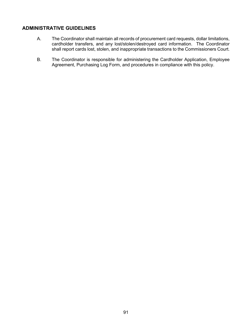# **ADMINISTRATIVE GUIDELINES**

- A. The Coordinator shall maintain all records of procurement card requests, dollar limitations, cardholder transfers, and any lost/stolen/destroyed card information. The Coordinator shall report cards lost, stolen, and inappropriate transactions to the Commissioners Court.
- B. The Coordinator is responsible for administering the Cardholder Application, Employee Agreement, Purchasing Log Form, and procedures in compliance with this policy.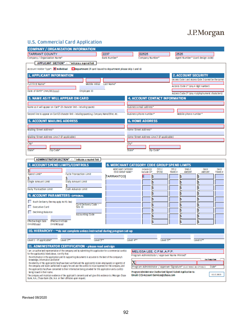# J.P.Morgan

# **U.S. Commercial Card Application**

| <b>COMPANY / ORGANIZATION INFORMATION</b>                                                                                                                                                                                                                               |                                              |                                                                              |                                                                                                               |  |  |  |
|-------------------------------------------------------------------------------------------------------------------------------------------------------------------------------------------------------------------------------------------------------------------------|----------------------------------------------|------------------------------------------------------------------------------|---------------------------------------------------------------------------------------------------------------|--|--|--|
| <b>TARRANT COUNTY</b>                                                                                                                                                                                                                                                   | 2237                                         | 02525                                                                        | 2525                                                                                                          |  |  |  |
| Company / Organization Name*                                                                                                                                                                                                                                            | Bank Number*                                 | Company Number*                                                              | Agent Number* (card design code)                                                                              |  |  |  |
| APPLICANT SECTION* - * indicates a required field                                                                                                                                                                                                                       |                                              |                                                                              |                                                                                                               |  |  |  |
| Account Holder Type*: $\boxed{\mathbf{X}}$ Individual $\boxed{\blacksquare}$ Department (if card issued to department please skip 1 and 6)                                                                                                                              |                                              |                                                                              |                                                                                                               |  |  |  |
| <b>1. APPLICANT INFORMATION</b>                                                                                                                                                                                                                                         |                                              |                                                                              | <b>2. ACCOUNT SECURITY</b>                                                                                    |  |  |  |
| Middle Initial<br>Full First Name*                                                                                                                                                                                                                                      | Last Name*                                   |                                                                              | (Access Code 1 and Access Code 2 cannot be the same                                                           |  |  |  |
|                                                                                                                                                                                                                                                                         |                                              |                                                                              | Access Code 1* (any 4 digit number)                                                                           |  |  |  |
| Date of Birth* (mm/dd/yyyy)<br>Employee ID                                                                                                                                                                                                                              |                                              |                                                                              | Access Code 2* (any 4 alpha/numeric characters                                                                |  |  |  |
| <b>3. NAME AS IT WILL APPEAR ON CARD</b>                                                                                                                                                                                                                                |                                              | <b>4. ACCOUNT CONTACT INFORMATION</b>                                        |                                                                                                               |  |  |  |
| Name as it will appear on Card* (2) character limit - including spaces)                                                                                                                                                                                                 |                                              | Business email address*                                                      |                                                                                                               |  |  |  |
| Second line to appear on Card 21 marader link - including spaces) e.g. Company Name/Other, etc.                                                                                                                                                                         |                                              | Business phone number*                                                       | Mobile phone number*                                                                                          |  |  |  |
| <b>5. ACCOUNT MAILING ADDRESS</b>                                                                                                                                                                                                                                       |                                              | <b>6. HOME ADDRESS</b>                                                       |                                                                                                               |  |  |  |
|                                                                                                                                                                                                                                                                         |                                              |                                                                              |                                                                                                               |  |  |  |
| Mailing Street Address*                                                                                                                                                                                                                                                 |                                              | Home Street Address*                                                         |                                                                                                               |  |  |  |
| Mailing Street Address Line 2 (if applicable)                                                                                                                                                                                                                           |                                              | Home Street Address Line 2 (if applicable)                                   |                                                                                                               |  |  |  |
| City*                                                                                                                                                                                                                                                                   |                                              | City*                                                                        |                                                                                                               |  |  |  |
| Zip Code*<br>State*                                                                                                                                                                                                                                                     |                                              | State*<br>Zip Code*                                                          |                                                                                                               |  |  |  |
| ADMINISTRATOR SECTION* - * indicates a required field                                                                                                                                                                                                                   |                                              |                                                                              |                                                                                                               |  |  |  |
| 7. ACCOUNT SPEND LIMITS/CONTROLS                                                                                                                                                                                                                                        |                                              | 8. MERCHANT CATEGORY CODE GROUP SPEND LIMITS                                 |                                                                                                               |  |  |  |
|                                                                                                                                                                                                                                                                         | <b>MERCHANT CATEGORY</b><br>CODE GROUP NAME* | <b>CYCLE</b><br>Include 0)/<br>SPEND                                         | <b>CYCLE</b><br><b>SINGLE</b><br>DAILY<br>DAILY<br>TRANS #<br><b>AMOUNT</b><br><b>AMOUNT</b><br><b>TRANS#</b> |  |  |  |
| Spend Limit*<br><b>Cycle Transaction Limit</b>                                                                                                                                                                                                                          | <b>TARRANTCO</b>                             | Exclude (E)*<br>s                                                            | \$<br>S                                                                                                       |  |  |  |
| Single Amount Limit<br>Daily Amount Limit                                                                                                                                                                                                                               |                                              |                                                                              |                                                                                                               |  |  |  |
|                                                                                                                                                                                                                                                                         |                                              |                                                                              | S                                                                                                             |  |  |  |
| Daily Transaction Limit<br>Cash Advance Limit                                                                                                                                                                                                                           |                                              |                                                                              |                                                                                                               |  |  |  |
| 9. ACCOUNT PARAMETERS - OPTIONAL                                                                                                                                                                                                                                        |                                              |                                                                              |                                                                                                               |  |  |  |
| Rush Delivery (fee may apply. No P.O. box)                                                                                                                                                                                                                              |                                              |                                                                              |                                                                                                               |  |  |  |
| Card Delivery Code -<br><b>Executive Card</b><br>Site ID                                                                                                                                                                                                                |                                              |                                                                              |                                                                                                               |  |  |  |
| Declining Balance<br><b>Accounting Code</b>                                                                                                                                                                                                                             |                                              |                                                                              |                                                                                                               |  |  |  |
|                                                                                                                                                                                                                                                                         |                                              |                                                                              |                                                                                                               |  |  |  |
| <b>Effective Begin Date</b><br>Effective End Date<br>(mm/dd/yyyy)<br>(mm/dd/ww)                                                                                                                                                                                         |                                              |                                                                              |                                                                                                               |  |  |  |
| 10. HIERARCHY - ** do not complete unless instructed during program set-up                                                                                                                                                                                              |                                              |                                                                              |                                                                                                               |  |  |  |
|                                                                                                                                                                                                                                                                         |                                              |                                                                              |                                                                                                               |  |  |  |
| Level 1 - if applicable*<br>Level 2**                                                                                                                                                                                                                                   | Level 3**                                    | Level 4**<br>Level 5**                                                       | Level 6**                                                                                                     |  |  |  |
| 11. ADMINISTRATOR CERTIFICATION - please read and sign                                                                                                                                                                                                                  |                                              |                                                                              |                                                                                                               |  |  |  |
| I am an authorized representative of the company and by submitting this application for a commercial card(s)<br>for the applicant(s) listed above, I certify that:                                                                                                      |                                              | MELISSA LEE, C.P.M., A.P.P.                                                  |                                                                                                               |  |  |  |
| the information in the application and its supporting documents is accurate to the best of the company's<br>knowledge, information and belief                                                                                                                           |                                              | Program Administrator / Approver Name Printed*                               | the Today's Date                                                                                              |  |  |  |
| the identity of the applicant(s) has/have been verified and the applicant(s) is/are employee(s) or agent(s) of                                                                                                                                                          |                                              |                                                                              |                                                                                                               |  |  |  |
| the company and is/are authorized to apply for and use the card(s) to incur expenses for the company, and<br>the applicant(s) has have consented to their information being provided for this application and a card(s)                                                 |                                              | Program Administrator / Approver Signature* (ELECTRONIC ACCEPTABLE)<br>Date* |                                                                                                               |  |  |  |
| Program Administrator (Authorized Signer) Submit Application to:<br>being issued in their name.<br>US CC 0820<br>Email: CCS-Account-Services@chase.com<br>The company will maint ain evidence of the applicant's consents and will give this evidence to JPMorgan Chase |                                              |                                                                              |                                                                                                               |  |  |  |
| Bank, N.A., Chase Bank USA, N.A. or their affiliates upon request.                                                                                                                                                                                                      |                                              |                                                                              |                                                                                                               |  |  |  |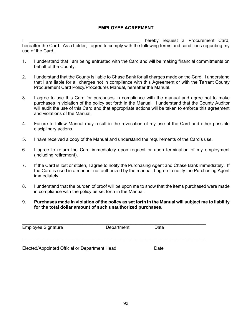#### **EMPLOYEE AGREEMENT**

I, thereby request a Procurement Card, hereafter the Card. As a holder, I agree to comply with the following terms and conditions regarding my use of the Card.

- 1. I understand that I am being entrusted with the Card and will be making financial commitments on behalf of the County.
- 2. I understand that the County is liable to Chase Bank for all charges made on the Card. I understand that I am liable for all charges not in compliance with this Agreement or with the Tarrant County Procurement Card Policy/Procedures Manual, hereafter the Manual.
- 3. I agree to use this Card for purchases in compliance with the manual and agree not to make purchases in violation of the policy set forth in the Manual. I understand that the County Auditor will audit the use of this Card and that appropriate actions will be taken to enforce this agreement and violations of the Manual.
- 4. Failure to follow Manual may result in the revocation of my use of the Card and other possible disciplinary actions.
- 5. I have received a copy of the Manual and understand the requirements of the Card's use.
- 6. I agree to return the Card immediately upon request or upon termination of my employment (including retirement).
- 7. If the Card is lost or stolen, I agree to notify the Purchasing Agent and Chase Bank immediately. If the Card is used in a manner not authorized by the manual, I agree to notify the Purchasing Agent immediately.
- 8. I understand that the burden of proof will be upon me to show that the items purchased were made in compliance with the policy as set forth in the Manual.
- 9. **Purchases made in violation of the policy as set forth in the Manual will subject me to liability for the total dollar amount of such unauthorized purchases.**

| <b>Employee Signature</b>                     | Department | Date |  |
|-----------------------------------------------|------------|------|--|
| Elected/Appointed Official or Department Head |            | Date |  |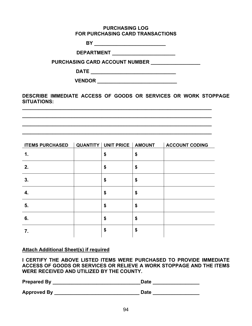#### **PURCHASING LOG FOR PURCHASING CARD TRANSACTIONS**

**BY \_\_\_\_\_\_\_\_\_\_\_\_\_\_\_\_\_\_\_\_\_\_\_\_\_\_**

**DEPARTMENT \_\_\_\_\_\_\_\_\_\_\_\_\_\_\_\_\_\_\_\_\_\_\_**

**PURCHASING CARD ACCOUNT NUMBER \_\_\_\_\_\_\_\_\_\_\_\_\_\_\_\_\_** 

**DATE \_\_\_\_\_\_\_\_\_\_\_\_\_\_\_\_\_\_\_\_\_\_\_\_\_\_\_\_\_\_\_**

**VENDOR \_\_\_\_\_\_\_\_\_\_\_\_\_\_\_\_\_\_\_\_\_\_\_\_\_\_\_\_\_**

**DESCRIBE IMMEDIATE ACCESS OF GOODS OR SERVICES OR WORK STOPPAGE SITUATIONS:**

**\_\_\_\_\_\_\_\_\_\_\_\_\_\_\_\_\_\_\_\_\_\_\_\_\_\_\_\_\_\_\_\_\_\_\_\_\_\_\_\_\_\_\_\_\_\_\_\_\_\_\_\_\_\_\_\_\_\_\_\_\_\_\_\_\_\_\_\_\_ \_\_\_\_\_\_\_\_\_\_\_\_\_\_\_\_\_\_\_\_\_\_\_\_\_\_\_\_\_\_\_\_\_\_\_\_\_\_\_\_\_\_\_\_\_\_\_\_\_\_\_\_\_\_\_\_\_\_\_\_\_\_\_\_\_\_\_\_\_ \_\_\_\_\_\_\_\_\_\_\_\_\_\_\_\_\_\_\_\_\_\_\_\_\_\_\_\_\_\_\_\_\_\_\_\_\_\_\_\_\_\_\_\_\_\_\_\_\_\_\_\_\_\_\_\_\_\_\_\_\_\_\_\_\_\_\_\_\_ \_\_\_\_\_\_\_\_\_\_\_\_\_\_\_\_\_\_\_\_\_\_\_\_\_\_\_\_\_\_\_\_\_\_\_\_\_\_\_\_\_\_\_\_\_\_\_\_\_\_\_\_\_\_\_\_\_\_\_\_\_\_\_\_\_\_\_\_\_**

|    | <b>ACCOUNT CODING</b>          |
|----|--------------------------------|
| \$ | \$                             |
| \$ | \$                             |
| \$ | \$                             |
| \$ | \$                             |
| \$ | \$                             |
| \$ | \$                             |
| \$ | \$                             |
|    | QUANTITY   UNIT PRICE   AMOUNT |

# **Attach Additional Sheet(s) if required**

**I CERTIFY THE ABOVE LISTED ITEMS WERE PURCHASED TO PROVIDE IMMEDIATE ACCESS OF GOODS OR SERVICES OR RELIEVE A WORK STOPPAGE AND THE ITEMS WERE RECEIVED AND UTILIZED BY THE COUNTY.**

| <b>Prepared By</b> | <b>Date</b> |
|--------------------|-------------|
| <b>Approved By</b> | Date        |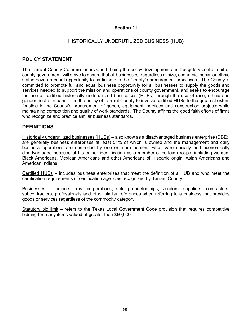#### HISTORICALLY UNDERUTILIZED BUSINESS (HUB)

# **POLICY STATEMENT**

The Tarrant County Commissioners Court, being the policy development and budgetary control unit of county government, will strive to ensure that all businesses, regardless of size, economic, social or ethnic status have an equal opportunity to participate in the County's procurement processes. The County is committed to promote full and equal business opportunity for all businesses to supply the goods and services needed to support the mission and operations of county government, and seeks to encourage the use of certified historically underutilized businesses (HUBs) through the use of race, ethnic and gender neutral means. It is the policy of Tarrant County to involve certified HUBs to the greatest extent feasible in the County's procurement of goods, equipment, services and construction projects while maintaining competition and quality of work standards. The County affirms the good faith efforts of firms who recognize and practice similar business standards.

# **DEFINITIONS**

Historically underutilized businesses (HUBs) – also know as a disadvantaged business enterprise (DBE), are generally business enterprises at least 51% of which is owned and the management and daily business operations are controlled by one or more persons who is/are socially and economically disadvantaged because of his or her identification as a member of certain groups, including women, Black Americans, Mexican Americans and other Americans of Hispanic origin, Asian Americans and American Indians.

Certified HUBs – includes business enterprises that meet the definition of a HUB and who meet the certification requirements of certification agencies recognized by Tarrant County.

Businesses – include firms, corporations, sole proprietorships, vendors, suppliers, contractors, subcontractors, professionals and other similar references when referring to a business that provides goods or services regardless of the commodity category.

Statutory bid limit – refers to the Texas Local Government Code provision that requires competitive bidding for many items valued at greater than \$50,000.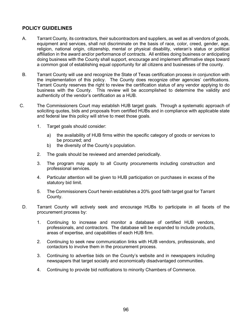# **POLICY GUIDELINES**

- A. Tarrant County, its contractors, their subcontractors and suppliers, as well as all vendors of goods, equipment and services, shall not discriminate on the basis of race, color, creed, gender, age, religion, national origin, citizenship, mental or physical disability, veteran's status or political affiliation in the award and/or performance of contracts. All entities doing business or anticipating doing business with the County shall support, encourage and implement affirmative steps toward a common goal of establishing equal opportunity for all citizens and businesses of the county.
- B. Tarrant County will use and recognize the State of Texas certification process in conjunction with the implementation of this policy. The County does recognize other agencies' certifications. Tarrant County reserves the right to review the certification status of any vendor applying to do business with the County. This review will be accomplished to determine the validity and authenticity of the vendor's certification as a HUB.
- C. The Commissioners Court may establish HUB target goals. Through a systematic approach of soliciting quotes, bids and proposals from certified HUBs and in compliance with applicable state and federal law this policy will strive to meet those goals.
	- 1. Target goals should consider:
		- a) the availability of HUB firms within the specific category of goods or services to be procured; and
		- b) the diversity of the County's population.
	- 2. The goals should be reviewed and amended periodically.
	- 3. The program may apply to all County procurements including construction and professional services.
	- 4. Particular attention will be given to HUB participation on purchases in excess of the statutory bid limit.
	- 5. The Commissioners Court herein establishes a 20% good faith target goal for Tarrant County.
- D. Tarrant County will actively seek and encourage HUBs to participate in all facets of the procurement process by:
	- 1. Continuing to increase and monitor a database of certified HUB vendors, professionals, and contractors. The database will be expanded to include products, areas of expertise, and capabilities of each HUB firm.
	- 2. Continuing to seek new communication links with HUB vendors, professionals, and contactors to involve them in the procurement process.
	- 3. Continuing to advertise bids on the County's website and in newspapers including newspapers that target socially and economically disadvantaged communities.
	- 4. Continuing to provide bid notifications to minority Chambers of Commerce.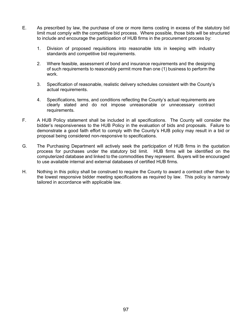- E. As prescribed by law, the purchase of one or more items costing in excess of the statutory bid limit must comply with the competitive bid process. Where possible, those bids will be structured to include and encourage the participation of HUB firms in the procurement process by:
	- 1. Division of proposed requisitions into reasonable lots in keeping with industry standards and competitive bid requirements.
	- 2. Where feasible, assessment of bond and insurance requirements and the designing of such requirements to reasonably permit more than one (1) business to perform the work.
	- 3. Specification of reasonable, realistic delivery schedules consistent with the County's actual requirements.
	- 4. Specifications, terms, and conditions reflecting the County's actual requirements are clearly stated and do not impose unreasonable or unnecessary contract requirements.
- F. A HUB Policy statement shall be included in all specifications. The County will consider the bidder's responsiveness to the HUB Policy in the evaluation of bids and proposals. Failure to demonstrate a good faith effort to comply with the County's HUB policy may result in a bid or proposal being considered non-responsive to specifications.
- G. The Purchasing Department will actively seek the participation of HUB firms in the quotation process for purchases under the statutory bid limit. HUB firms will be identified on the computerized database and linked to the commodities they represent. Buyers will be encouraged to use available internal and external databases of certified HUB firms.
- H. Nothing in this policy shall be construed to require the County to award a contract other than to the lowest responsive bidder meeting specifications as required by law. This policy is narrowly tailored in accordance with applicable law.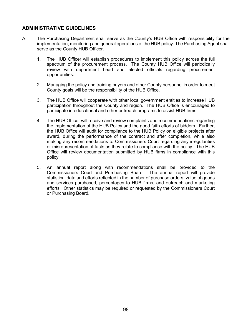# **ADMINISTRATIVE GUIDELINES**

- A. The Purchasing Department shall serve as the County's HUB Office with responsibility for the implementation, monitoring and general operations of the HUB policy. The Purchasing Agent shall serve as the County HUB Officer.
	- 1. The HUB Officer will establish procedures to implement this policy across the full spectrum of the procurement process. The County HUB Office will periodically review with department head and elected officials regarding procurement opportunities.
	- 2. Managing the policy and training buyers and other County personnel in order to meet County goals will be the responsibility of the HUB Office.
	- 3. The HUB Office will cooperate with other local government entities to increase HUB participation throughout the County and region. The HUB Office is encouraged to participate in educational and other outreach programs to assist HUB firms.
	- 4. The HUB Officer will receive and review complaints and recommendations regarding the implementation of the HUB Policy and the good faith efforts of bidders. Further, the HUB Office will audit for compliance to the HUB Policy on eligible projects after award, during the performance of the contract and after completion, while also making any recommendations to Commissioners Court regarding any irregularities or misrepresentation of facts as they relate to compliance with the policy. The HUB Office will review documentation submitted by HUB firms in compliance with this policy.
	- 5. An annual report along with recommendations shall be provided to the Commissioners Court and Purchasing Board. The annual report will provide statistical data and efforts reflected in the number of purchase orders, value of goods and services purchased, percentages to HUB firms, and outreach and marketing efforts. Other statistics may be required or requested by the Commissioners Court or Purchasing Board.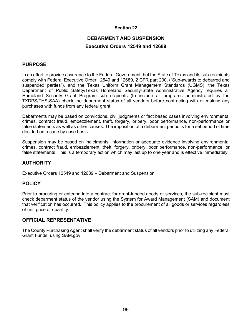# **DEBARMENT AND SUSPENSION Executive Orders 12549 and 12689**

# **PURPOSE**

In an effort to provide assurance to the Federal Government that the State of Texas and its sub-recipients comply with Federal Executive Order 12549 and 12689, 2 CFR part 200, ("Sub-awards to debarred and suspended parties"), and the Texas Uniform Grant Management Standards (UGMS), the Texas Department of Public Safety/Texas Homeland Security-State Administrative Agency requires all Homeland Security Grant Program sub-recipients (to include all programs administrated by the TXDPS/THS-SAA) check the debarment status of all vendors before contracting with or making any purchases with funds from any federal grant.

Debarments may be based on convictions, civil judgments or fact based cases involving environmental crimes, contract fraud, embezzlement, theft, forgery, bribery, poor performance, non-performance or false statements as well as other causes. The imposition of a debarment period is for a set period of time decided on a case by case basis.

Suspension may be based on indictments, information or adequate evidence involving environmental crimes, contract fraud, embezzlement, theft, forgery, bribery, poor performance, non-performance, or false statements. This is a temporary action which may last up to one year and is effective immediately.

# **AUTHORITY**

Executive Orders 12549 and 12689 – Debarment and Suspension

# **POLICY**

Prior to procuring or entering into a contract for grant-funded goods or services, the sub-recipient must check debarment status of the vendor using the System for Award Management (SAM) and document that verification has occurred. This policy applies to the procurement of all goods or services regardless of unit price or quantity.

# **OFFICIAL REPRESENTATIVE**

The County Purchasing Agent shall verify the debarment status of all vendors prior to utilizing any Federal Grant Funds, using SAM.gov.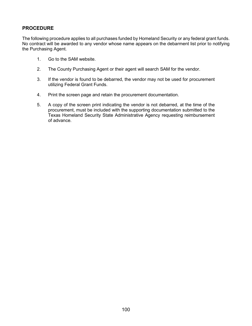# **PROCEDURE**

The following procedure applies to all purchases funded by Homeland Security or any federal grant funds. No contract will be awarded to any vendor whose name appears on the debarment list prior to notifying the Purchasing Agent.

- 1. Go to the SAM website.
- 2. The County Purchasing Agent or their agent will search SAM for the vendor.
- 3. If the vendor is found to be debarred, the vendor may not be used for procurement utilizing Federal Grant Funds.
- 4. Print the screen page and retain the procurement documentation.
- 5. A copy of the screen print indicating the vendor is not debarred, at the time of the procurement, must be included with the supporting documentation submitted to the Texas Homeland Security State Administrative Agency requesting reimbursement of advance.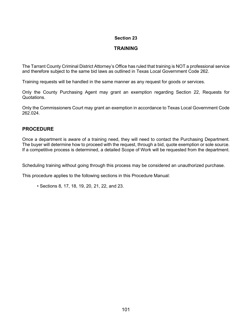# **TRAINING**

The Tarrant County Criminal District Attorney's Office has ruled that training is NOT a professional service and therefore subject to the same bid laws as outlined in Texas Local Government Code 262.

Training requests will be handled in the same manner as any request for goods or services.

Only the County Purchasing Agent may grant an exemption regarding Section 22, Requests for Quotations.

Only the Commissioners Court may grant an exemption in accordance to Texas Local Government Code 262.024.

# **PROCEDURE**

Once a department is aware of a training need, they will need to contact the Purchasing Department. The buyer will determine how to proceed with the request, through a bid, quote exemption or sole source. If a competitive process is determined, a detailed Scope of Work will be requested from the department.

Scheduling training without going through this process may be considered an unauthorized purchase.

This procedure applies to the following sections in this Procedure Manual:

• Sections 8, 17, 18, 19, 20, 21, 22, and 23.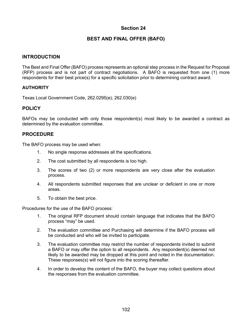# **BEST AND FINAL OFFER (BAFO)**

# **INTRODUCTION**

The Best and Final Offer (BAFO) process represents an optional step process in the Request for Proposal (RFP) process and is not part of contract negotiations. A BAFO is requested from one (1) more respondents for their best price(s) for a specific solicitation prior to determining contract award.

# **AUTHORITY**

Texas Local Government Code, 262.0295(e); 262.030(e)

# **POLICY**

BAFOs may be conducted with only those respondent(s) most likely to be awarded a contract as determined by the evaluation committee.

# **PROCEDURE**

The BAFO process may be used when:

- 1. No single response addresses all the specifications.
- 2. The cost submitted by all respondents is too high.
- 3. The scores of two (2) or more respondents are very close after the evaluation process.
- 4. All respondents submitted responses that are unclear or deficient in one or more areas.
- 5. To obtain the best price.

Procedures for the use of the BAFO process:

- 1. The original RFP document should contain language that indicates that the BAFO process "may" be used.
- 2. The evaluation committee and Purchasing will determine if the BAFO process will be conducted and who will be invited to participate.
- 3. The evaluation committee may restrict the number of respondents invited to submit a BAFO or may offer the option to all respondents. Any respondent(s) deemed not likely to be awarded may be dropped at this point and noted in the documentation. These responses(s) will not figure into the scoring thereafter.
- 4. In order to develop the content of the BAFO, the buyer may collect questions about the responses from the evaluation committee.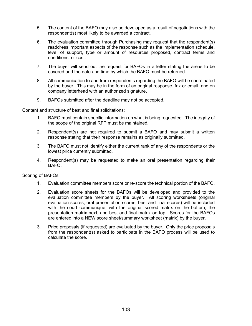- 5. The content of the BAFO may also be developed as a result of negotiations with the respondent(s) most likely to be awarded a contract.
- 6. The evaluation committee through Purchasing may request that the respondent(s) readdress important aspects of the response such as the implementation schedule, level of support, type or amount of resources proposed, contract terms and conditions, or cost.
- 7. The buyer will send out the request for BAFOs in a letter stating the areas to be covered and the date and time by which the BAFO must be returned.
- 8. All communication to and from respondents regarding the BAFO will be coordinated by the buyer. This may be in the form of an original response, fax or email, and on company letterhead with an authorized signature.
- 9. BAFOs submitted after the deadline may not be accepted.

Content and structure of best and final solicitations:

- 1. BAFO must contain specific information on what is being requested. The integrity of the scope of the original RFP must be maintained.
- 2. Respondent(s) are not required to submit a BAFO and may submit a written response stating that their response remains as originally submitted.
- 3 The BAFO must not identify either the current rank of any of the respondents or the lowest price currently submitted.
- 4. Respondent(s) may be requested to make an oral presentation regarding their BAFO.

Scoring of BAFOs:

- 1. Evaluation committee members score or re-score the technical portion of the BAFO.
- 2. Evaluation score sheets for the BAFOs will be developed and provided to the evaluation committee members by the buyer. All scoring worksheets (original evaluation scores, oral presentation scores, best and final scores) will be included with the court communique, with the original scored matrix on the bottom, the presentation matrix next, and best and final matrix on top. Scores for the BAFOs are entered into a NEW score sheet/summary worksheet (matrix) by the buyer.
- 3. Price proposals (if requested) are evaluated by the buyer. Only the price proposals from the respondent(s) asked to participate in the BAFO process will be used to calculate the score.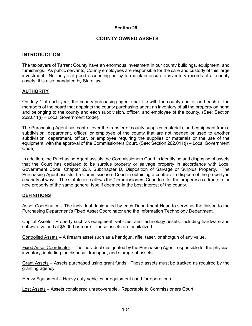# **COUNTY OWNED ASSETS**

# **INTRODUCTION**

The taxpayers of Tarrant County have an enormous investment in our county buildings, equipment, and furnishings. As public servants, County employees are responsible for the care and custody of this large investment. Not only is it good accounting policy to maintain accurate inventory records of all county assets, it is also mandated by State law.

# **AUTHORITY**

On July 1 of each year, the county purchasing agent shall file with the county auditor and each of the members of the board that appoints the county purchasing agent an inventory of all the property on hand and belonging to the county and each subdivision, officer, and employee of the county. (See: Section 262.011(i) – Local Government Code).

The Purchasing Agent has control over the transfer of county supplies, materials, and equipment from a subdivision, department, officer, or employee of the county that are not needed or used to another subdivision, department, officer, or employee requiring the supplies or materials or the use of the equipment, with the approval of the Commissioners Court. (See: Section 262.011(j) – Local Government Code).

In addition, the Purchasing Agent assists the Commissioners Court in identifying and disposing of assets that the Court has declared to be surplus property or salvage property in accordance with Local Government Code, Chapter 263, Subchapter D, Disposition of Salvage or Surplus Property. The Purchasing Agent assists the Commissioners Court in obtaining a contract to dispose of the property in a variety of ways. The statute also allows the Commissioners Court to offer the property as a trade-in for new property of the same general type if deemed in the best interest of the county.

# **DEFINITIONS**

Asset Coordinator - The individual designated by each Department Head to serve as the liaison to the Purchasing Department's Fixed Asset Coordinator and the Information Technology Department.

Capital Assets –Property such as equipment, vehicles, and technology assets, including hardware and software valued at \$5,000 or more. These assets are capitalized.

Controlled Assets – A firearm asset such as a handgun, rifle, taser, or shotgun of any value.

Fixed Asset Coordinator – The individual designated by the Purchasing Agent responsible for the physical inventory, including the disposal, transport, and storage of assets.

Grant Assets – Assets purchased using grant funds. These assets must be tracked as required by the granting agency.

Heavy Equipment – Heavy duty vehicles or equipment used for operations.

Lost Assets – Assets considered unrecoverable. Reportable to Commissioners Court.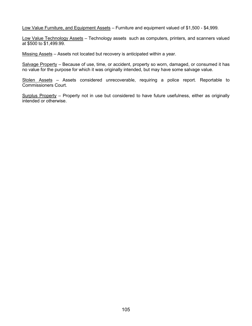Low Value Furniture, and Equipment Assets - Furniture and equipment valued of \$1,500 - \$4,999.

Low Value Technology Assets - Technology assets such as computers, printers, and scanners valued at \$500 to \$1,499.99.

Missing Assets – Assets not located but recovery is anticipated within a year.

Salvage Property - Because of use, time, or accident, property so worn, damaged, or consumed it has no value for the purpose for which it was originally intended, but may have some salvage value.

Stolen Assets – Assets considered unrecoverable, requiring a police report. Reportable to Commissioners Court.

Surplus Property – Property not in use but considered to have future usefulness, either as originally intended or otherwise.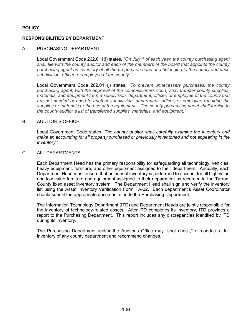# **POLICY**

# **RESPONSIBILITIES BY DEPARTMENT**

#### A. PURCHASING DEPARTMENT

Local Government Code 262.011(i) states, "*On July 1 of each year, the county purchasing agent shall file with the county auditor and each of the members of the board that appoints the county purchasing agent an inventory of all the property on hand and belonging to the county and each subdivision, officer, or employee of the county."*

Local Government Code 262.011(j) states, "*To prevent unnecessary purchases, the county purchasing agent, with the approval of the commissioners court, shall transfer county supplies, materials, and equipment from a subdivision, department, officer, or employee of the county that are not needed or used to another subdivision, department, officer, or employee requiring the supplies or materials or the use of the equipment. The county purchasing agent shall furnish to the county auditor a list of transferred supplies, materials, and equipment."*

#### B. AUDITOR'S OFFICE

Local Government Code states "*The county auditor shall carefully examine the inventory and make an accounting for all property purchased or previously inventoried and not appearing in the inventory."*

#### C. ALL DEPARTMENTS

Each Department Head has the primary responsibility for safeguarding all technology, vehicles, heavy equipment, furniture, and other equipment assigned to their department. Annually, each Department Head must ensure that an annual inventory is performed to account for all high value and low value furniture and equipment assigned to their department as recorded in the Tarrant County fixed asset inventory system. The Department Head shall sign and verify the inventory list using the Asset Inventory Verification Form FA-02. Each department's Asset Coordinator should submit the appropriate documentation to the Purchasing Department.

The Information Technology Department (ITD) and Department Heads are jointly responsible for the inventory of technology-related assets. After ITD completes its inventory, ITD provides a report to the Purchasing Department. This report includes any discrepancies identified by ITD during its inventory.

The Purchasing Department and/or the Auditor's Office may "spot check," or conduct a full inventory of any county department and recommend changes.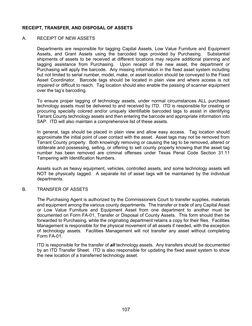# **RECEIPT, TRANSFER, AND DISPOSAL OF ASSETS**

#### A. RECEIPT OF NEW ASSETS

Departments are responsible for tagging Capital Assets, Low Value Furniture and Equipment Assets, and Grant Assets using the barcoded tags provided by Purchasing. Substantial shipments of assets to be received at different locations may require additional planning and tagging assistance from Purchasing. Upon receipt of the new asset, the department or Purchasing will apply the barcode. Any missing information in the fixed asset system including but not limited to serial number, model, make, or asset location should be conveyed to the Fixed Asset Coordinator. Barcode tags should be located in plain view and where access is not impaired or difficult to reach. Tag location should also enable the passing of scanner equipment over the tag's barcoding.

To ensure proper tagging of technology assets, under normal circumstances ALL purchased technology assets must be delivered to and received by ITD. ITD is responsible for creating or procuring specially colored and/or uniquely identifiable barcoded tags to assist in identifying Tarrant County technology assets and then entering the barcode and appropriate information into SAP. ITD will also maintain a comprehensive list of these assets.

In general, tags should be placed in plain view and allow easy access. Tag location should approximate the initial point of user contact with the asset. Asset tags may not be removed from Tarrant County property. Both knowingly removing or causing the tag to be removed, altered or obliterate and possessing, selling, or offering to sell county property knowing that the asset tag number has been removed are criminal offenses under Texas Penal Code Section 31.11 Tampering with Identification Numbers.

Assets such as heavy equipment, vehicles, controlled assets, and some technology assets will NOT be physically tagged. A separate list of asset tags will be maintained by the individual departments.

#### B. TRANSFER OF ASSETS

The Purchasing Agent is authorized by the Commissioners Court to transfer supplies, materials and equipment among the various county departments. The transfer or trade of any Capital Asset or Low Value Furniture and Equipment Asset from one department to another must be documented on Form FA-01, Transfer or Disposal of County Assets. This form should then be forwarded to Purchasing, while the originating department retains a copy for their files. Facilities Management is responsible for the physical movement of all assets if needed, with the exception of technology assets. Facilities Management will not transfer any asset without completing Form FA-01.

ITD is responsible for the transfer of *all* technology assets. Any transfers should be documented by an ITD Transfer Sheet. ITD is also responsible for updating the fixed asset system to show the new location of a transferred technology asset.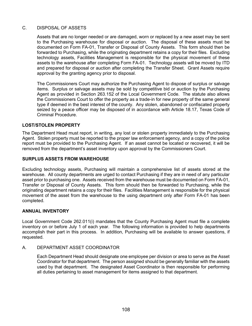# C. DISPOSAL OF ASSETS

Assets that are no longer needed or are damaged, worn or replaced by a new asset may be sent to the Purchasing warehouse for disposal or auction. The disposal of these assets must be documented on Form FA-01, Transfer or Disposal of County Assets. This form should then be forwarded to Purchasing, while the originating department retains a copy for their files. Excluding technology assets, Facilities Management is responsible for the physical movement of these assets to the warehouse after completing Form FA-01. Technology assets will be moved by ITD and prepared for disposal or auction after completing the Transfer Sheet. Grant Assets require approval by the granting agency prior to disposal.

The Commissioners Court may authorize the Purchasing Agent to dispose of surplus or salvage items. Surplus or salvage assets may be sold by competitive bid or auction by the Purchasing Agent as provided in Section 263.152 of the Local Government Code. The statute also allows the Commissioners Court to offer the property as a trade-in for new property of the same general type if deemed in the best interest of the county. Any stolen, abandoned or confiscated property seized by a peace officer may be disposed of in accordance with Article 18.17, Texas Code of Criminal Procedure.

#### **LOST/STOLEN PROPERTY**

The Department Head must report, in writing, any lost or stolen property immediately to the Purchasing Agent. Stolen property must be reported to the proper law enforcement agency, and a copy of the police report must be provided to the Purchasing Agent. If an asset cannot be located or recovered, it will be removed from the department's asset inventory upon approval by the Commissioners Court.

#### **SURPLUS ASSETS FROM WAREHOUSE**

Excluding technology assets, Purchasing will maintain a comprehensive list of assets stored at the warehouse. All county departments are urged to contact Purchasing if they are in need of any particular asset prior to purchasing one. Assets received from the warehouse must be documented on Form FA-01, Transfer or Disposal of County Assets. This form should then be forwarded to Purchasing, while the originating department retains a copy for their files. Facilities Management is responsible for the physical movement of the asset from the warehouse to the using department only after Form FA-01 has been completed.

#### **ANNUAL INVENTORY**

Local Government Code 262.011(i) mandates that the County Purchasing Agent must file a complete inventory on or before July 1 of each year. The following information is provided to help departments accomplish their part in this process. In addition, Purchasing will be available to answer questions, if requested.

#### A. DEPARTMENT ASSET COORDINATOR

Each Department Head should designate one employee per division or area to serve as the Asset Coordinator for that department. The person assigned should be generally familiar with the assets used by that department. The designated Asset Coordinator is then responsible for performing all duties pertaining to asset management for items assigned to that department.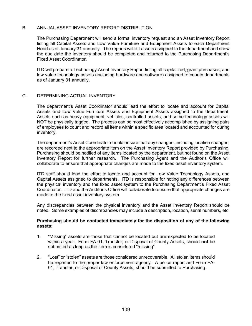#### B. ANNUAL ASSET INVENTORY REPORT DISTRIBUTION

The Purchasing Department will send a formal inventory request and an Asset Inventory Report listing all Capital Assets and Low Value Furniture and Equipment Assets to each Department Head as of January 31 annually. The reports will list assets assigned to the department and show the due date the inventory should be completed and returned to the Purchasing Department's Fixed Asset Coordinator.

ITD will prepare a Technology Asset Inventory Report listing all capitalized, grant purchases, and low value technology assets (including hardware and software) assigned to county departments as of January 31 annually.

#### C. DETERMINING ACTUAL INVENTORY

The department's Asset Coordinator should lead the effort to locate and account for Capital Assets and Low Value Furniture Assets and Equipment Assets assigned to the department. Assets such as heavy equipment, vehicles, controlled assets, and some technology assets will NOT be physically tagged. The process can be most effectively accomplished by assigning pairs of employees to count and record all items within a specific area located and accounted for during inventory.

The department's Asset Coordinator should ensure that any changes, including location changes, are recorded next to the appropriate item on the Asset Inventory Report provided by Purchasing. Purchasing should be notified of any items located by the department, but not found on the Asset Inventory Report for further research. The Purchasing Agent and the Auditor's Office will collaborate to ensure that appropriate changes are made to the fixed asset inventory system.

ITD staff should lead the effort to locate and account for Low Value Technology Assets, and Capital Assets assigned to departments. ITD is responsible for noting any differences between the physical inventory and the fixed asset system to the Purchasing Department's Fixed Asset Coordinator. ITD and the Auditor's Office will collaborate to ensure that appropriate changes are made to the fixed asset inventory system.

Any discrepancies between the physical inventory and the Asset Inventory Report should be noted. Some examples of discrepancies may include a description, location, serial numbers, etc.

#### **Purchasing should be contacted immediately for the disposition of any of the following assets:**

- 1. "Missing" assets are those that cannot be located but are expected to be located within a year. Form FA-01, Transfer, or Disposal of County Assets, should **not** be submitted as long as the item is considered "missing".
- 2. "Lost" or "stolen" assets are those considered unrecoverable. All stolen items should be reported to the proper law enforcement agency. A police report and Form FA-01, Transfer, or Disposal of County Assets, should be submitted to Purchasing.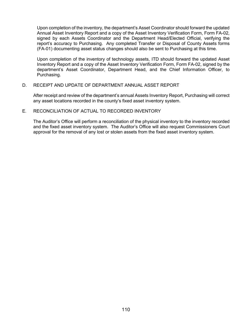Upon completion of the inventory, the department's Asset Coordinator should forward the updated Annual Asset Inventory Report and a copy of the Asset Inventory Verification Form, Form FA-02, signed by each Assets Coordinator and the Department Head/Elected Official, verifying the report's accuracy to Purchasing. Any completed Transfer or Disposal of County Assets forms (FA-01) documenting asset status changes should also be sent to Purchasing at this time.

Upon completion of the inventory of technology assets, ITD should forward the updated Asset Inventory Report and a copy of the Asset Inventory Verification Form, Form FA-02, signed by the department's Asset Coordinator, Department Head, and the Chief Information Officer, to Purchasing.

#### D. RECEIPT AND UPDATE OF DEPARTMENT ANNUAL ASSET REPORT

After receipt and review of the department's annual Assets Inventory Report, Purchasing will correct any asset locations recorded in the county's fixed asset inventory system.

#### E. RECONCILIATION OF ACTUAL TO RECORDED INVENTORY

The Auditor's Office will perform a reconciliation of the physical inventory to the inventory recorded and the fixed asset inventory system. The Auditor's Office will also request Commissioners Court approval for the removal of any lost or stolen assets from the fixed asset inventory system.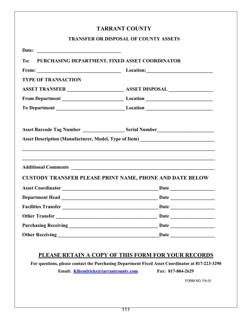# **TARRANT COUNTY**

# **TRANSFER OR DISPOSAL OF COUNTY ASSETS**

| <b>TYPE OF TRANSACTION</b> |                                                                                                                                                                                                                                                                                                                                                                                                                                                   |
|----------------------------|---------------------------------------------------------------------------------------------------------------------------------------------------------------------------------------------------------------------------------------------------------------------------------------------------------------------------------------------------------------------------------------------------------------------------------------------------|
|                            |                                                                                                                                                                                                                                                                                                                                                                                                                                                   |
|                            |                                                                                                                                                                                                                                                                                                                                                                                                                                                   |
|                            |                                                                                                                                                                                                                                                                                                                                                                                                                                                   |
|                            |                                                                                                                                                                                                                                                                                                                                                                                                                                                   |
|                            |                                                                                                                                                                                                                                                                                                                                                                                                                                                   |
|                            |                                                                                                                                                                                                                                                                                                                                                                                                                                                   |
|                            |                                                                                                                                                                                                                                                                                                                                                                                                                                                   |
|                            |                                                                                                                                                                                                                                                                                                                                                                                                                                                   |
|                            |                                                                                                                                                                                                                                                                                                                                                                                                                                                   |
|                            |                                                                                                                                                                                                                                                                                                                                                                                                                                                   |
|                            |                                                                                                                                                                                                                                                                                                                                                                                                                                                   |
|                            | Asset Description (Manufacturer, Model, Type of Item) ___________________________<br><b>CUSTODY TRANSFER PLEASE PRINT NAME, PHONE AND DATE BELOW</b><br>Asset Coordinator <b>Exercise 2018</b> Date <b>Date</b><br>Other Transfer Date Date Date Date Discount of the Date Date Date Discount of the Date Discount of the Date Discount of the Discount of the Discount of the Discount of the Discount of the Discount of the Discount of the Di |

# **PLEASE RETAIN A COPY OF THIS FORM FOR YOUR RECORDS**

**For questions, please contact the Purchasing Department Fixed Asset Coordinator at 817-223-3290**

**Email: [Klhendricks@tarrantcounty.com](mailto:Klhendricks@tarrantcounty.com) Fax: 817-884-2629**

FORM NO. FA-01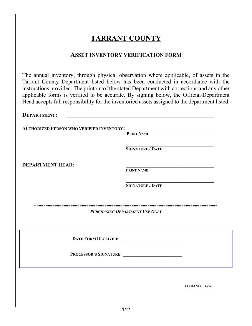# **TARRANT COUNTY**

# **ASSET INVENTORY VERIFICATION FORM**

The annual inventory, through physical observation where applicable, of assets in the Tarrant County Department listed below has been conducted in accordance with the instructions provided. The printout of the stated Department with corrections and any other applicable forms is verified to be accurate. By signing below, the Official/Department Head accepts full responsibility for the inventoried assets assigned to the department listed.

| <b>DEPARTMENT:</b>                               |                         |
|--------------------------------------------------|-------------------------|
| <b>AUTHORIZED PERSON WHO VERIFIED INVENTORY:</b> | <b>PRINT NAME</b>       |
| <b>DEPARTMENT HEAD:</b>                          | <b>SIGNATURE / DATE</b> |
|                                                  | <b>PRINT NAME</b>       |
|                                                  | <b>SIGNATURE / DATE</b> |
| <b>PURCHASING DEPARTMENT USE ONLY</b>            |                         |
|                                                  |                         |
| PROCESSOR'S SIGNATURE:                           |                         |
|                                                  | FORM NO. FA-02          |
|                                                  |                         |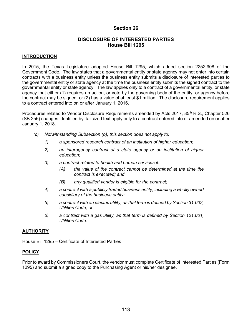# **DISCLOSURE OF INTERESTED PARTIES House Bill 1295**

#### **INTRODUCTION**

In 2015, the Texas Legislature adopted House Bill 1295, which added section 2252.908 of the Government Code. The law states that a governmental entity or state agency may not enter into certain contracts with a business entity unless the business entity submits a disclosure of interested parties to the governmental entity or state agency at the time the business entity submits the signed contract to the governmental entity or state agency. The law applies only to a contract of a governmental entity, or state agency that either (1) requires an action, or vote by the governing body of the entity, or agency before the contract may be signed, or (2) has a value of at least \$1 million. The disclosure requirement applies to a contract entered into on or after January 1, 2016.

Procedures related to Vendor Disclosure Requirements amended by Acts 2017, 85<sup>th</sup> R.S., Chapter 526 (SB 255) changes identified by italicized text apply only to a contract entered into or amended on or after January 1, 2018.

- *(c) Notwithstanding Subsection (b), this section does not apply to:*
	- *1) a sponsored research contract of an institution of higher education;*
	- *2) an interagency contract of a state agency or an institution of higher education;*
	- *3) a contract related to health and human services if:*
		- *(A) the value of the contract cannot be determined at the time the contract is executed; and*
		- *(B) any qualified vendor is eligible for the contract;*
	- *4) a contract with a publicly traded business entity, including a wholly owned subsidiary of the business entity;*
	- *5) a contract with an electric utility, as that term is defined by Section 31.002, Utilities Code; or*
	- *6) a contract with a gas utility, as that term is defined by Section 121.001, Utilities Code.*

# **AUTHORITY**

House Bill 1295 – Certificate of Interested Parties

# **POLICY**

Prior to award by Commissioners Court, the vendor must complete Certificate of Interested Parties (Form 1295) and submit a signed copy to the Purchasing Agent or his/her designee.